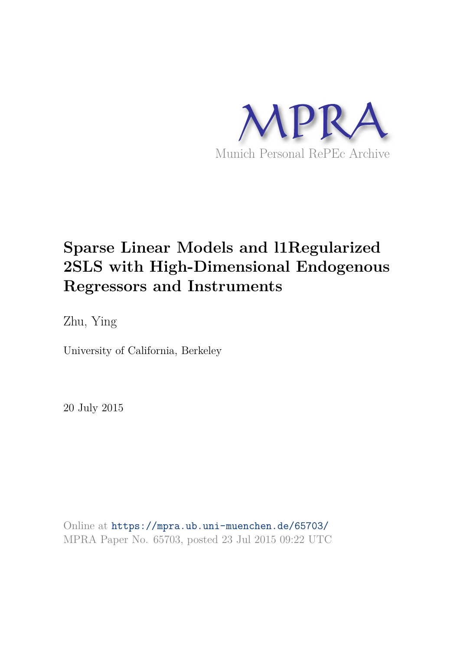

# **Sparse Linear Models and l1Regularized 2SLS with High-Dimensional Endogenous Regressors and Instruments**

Zhu, Ying

University of California, Berkeley

20 July 2015

Online at https://mpra.ub.uni-muenchen.de/65703/ MPRA Paper No. 65703, posted 23 Jul 2015 09:22 UTC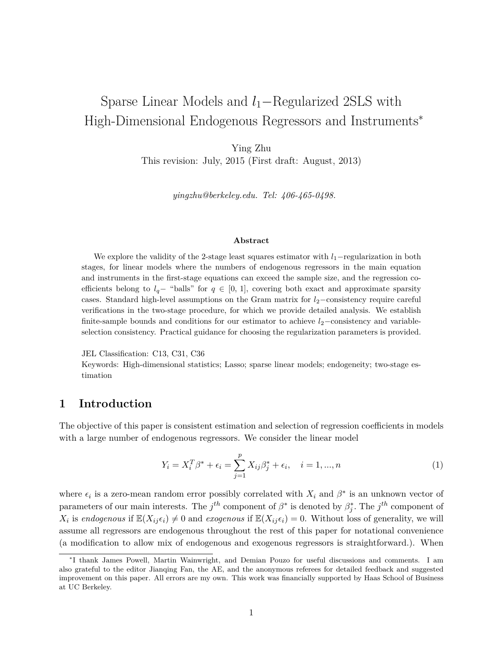## Sparse Linear Models and *l*1−Regularized 2SLS with High-Dimensional Endogenous Regressors and Instruments<sup>\*</sup>

Ying Zhu

This revision: July, 2015 (First draft: August, 2013)

*yingzhu@berkeley.edu. Tel: 406-465-0498.*

#### **Abstract**

We explore the validity of the 2-stage least squares estimator with *l*<sup>1</sup>−regularization in both stages, for linear models where the numbers of endogenous regressors in the main equation and instruments in the first-stage equations can exceed the sample size, and the regression coefficients belong to  $l_q$ <sup>−</sup> "balls" for  $q \in [0, 1]$ , covering both exact and approximate sparsity cases. Standard high-level assumptions on the Gram matrix for *l*<sup>2</sup>−consistency require careful verifications in the two-stage procedure, for which we provide detailed analysis. We establish finite-sample bounds and conditions for our estimator to achieve *l*<sup>2</sup>−consistency and variableselection consistency. Practical guidance for choosing the regularization parameters is provided.

JEL Classification: C13, C31, C36 Keywords: High-dimensional statistics; Lasso; sparse linear models; endogeneity; two-stage estimation

## **1 Introduction**

The objective of this paper is consistent estimation and selection of regression coefficients in models with a large number of endogenous regressors. We consider the linear model

$$
Y_i = X_i^T \beta^* + \epsilon_i = \sum_{j=1}^p X_{ij} \beta_j^* + \epsilon_i, \quad i = 1, ..., n
$$
 (1)

where  $\epsilon_i$  is a zero-mean random error possibly correlated with  $X_i$  and  $\beta^*$  is an unknown vector of parameters of our main interests. The  $j^{th}$  component of  $\beta^*$  is denoted by  $\beta_j^*$ . The  $j^{th}$  component of  $X_i$  is *endogenous* if  $\mathbb{E}(X_{ij}\epsilon_i) \neq 0$  and *exogenous* if  $\mathbb{E}(X_{ij}\epsilon_i) = 0$ . Without loss of generality, we will assume all regressors are endogenous throughout the rest of this paper for notational convenience (a modification to allow mix of endogenous and exogenous regressors is straightforward.). When

<sup>∗</sup> I thank James Powell, Martin Wainwright, and Demian Pouzo for useful discussions and comments. I am also grateful to the editor Jianqing Fan, the AE, and the anonymous referees for detailed feedback and suggested improvement on this paper. All errors are my own. This work was financially supported by Haas School of Business at UC Berkeley.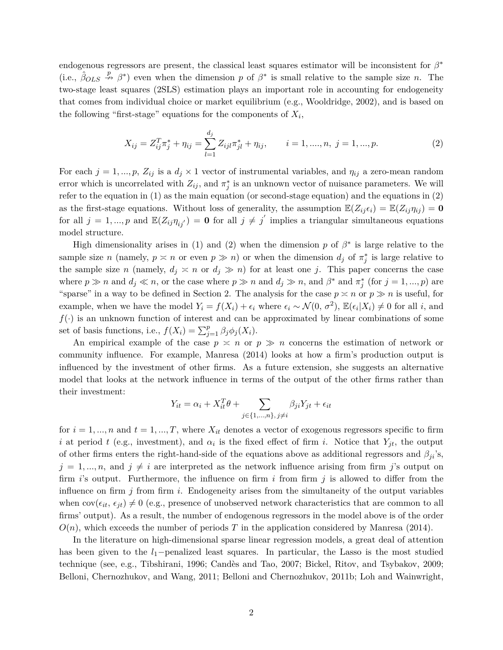endogenous regressors are present, the classical least squares estimator will be inconsistent for *β* ∗ (i.e.,  $\hat{\beta}_{OLS} \stackrel{p}{\rightarrow} \beta^*$ ) even when the dimension *p* of  $\beta^*$  is small relative to the sample size *n*. The two-stage least squares (2SLS) estimation plays an important role in accounting for endogeneity that comes from individual choice or market equilibrium (e.g., Wooldridge, 2002), and is based on the following "first-stage" equations for the components of  $X_i$ ,

$$
X_{ij} = Z_{ij}^T \pi_j^* + \eta_{ij} = \sum_{l=1}^{d_j} Z_{ijl} \pi_{jl}^* + \eta_{ij}, \qquad i = 1, ..., n, \ j = 1, ..., p.
$$
 (2)

For each  $j = 1, ..., p$ ,  $Z_{ij}$  is a  $d_j \times 1$  vector of instrumental variables, and  $\eta_{ij}$  a zero-mean random error which is uncorrelated with  $Z_{ij}$ , and  $\pi_j^*$  is an unknown vector of nuisance parameters. We will refer to the equation in (1) as the main equation (or second-stage equation) and the equations in (2) as the first-stage equations. Without loss of generality, the assumption  $\mathbb{E}(Z_i, \epsilon_i) = \mathbb{E}(Z_i, \eta_i) = \mathbf{0}$ for all  $j = 1, ..., p$  and  $\mathbb{E}(Z_{ij}\eta_{ij'}) = \mathbf{0}$  for all  $j \neq j'$  implies a triangular simultaneous equations model structure.

High dimensionality arises in (1) and (2) when the dimension  $p$  of  $\beta^*$  is large relative to the sample size *n* (namely,  $p \simeq n$  or even  $p \gg n$ ) or when the dimension  $d_j$  of  $\pi_j^*$  is large relative to the sample size *n* (namely,  $d_j \geq n$  or  $d_j \geq n$ ) for at least one *j*. This paper concerns the case where  $p \gg n$  and  $d_j \ll n$ , or the case where  $p \gg n$  and  $d_j \gg n$ , and  $\beta^*$  and  $\pi_j^*$  (for  $j = 1, ..., p$ ) are "sparse" in a way to be defined in Section 2. The analysis for the case  $p \ge n$  or  $p \ge n$  is useful, for example, when we have the model  $Y_i = f(X_i) + \epsilon_i$  where  $\epsilon_i \sim \mathcal{N}(0, \sigma^2)$ ,  $\mathbb{E}(\epsilon_i | X_i) \neq 0$  for all *i*, and  $f(\cdot)$  is an unknown function of interest and can be approximated by linear combinations of some set of basis functions, i.e.,  $f(X_i) = \sum_{j=1}^p \beta_j \phi_j(X_i)$ .

An empirical example of the case  $p \leq n$  or  $p \geq n$  concerns the estimation of network or community influence. For example, Manresa (2014) looks at how a firm's production output is influenced by the investment of other firms. As a future extension, she suggests an alternative model that looks at the network influence in terms of the output of the other firms rather than their investment:

$$
Y_{it} = \alpha_i + X_{it}^T \theta + \sum_{j \in \{1, \dots, n\}, j \neq i} \beta_{ji} Y_{jt} + \epsilon_{it}
$$

for  $i = 1, ..., n$  and  $t = 1, ..., T$ , where  $X_{it}$  denotes a vector of exogenous regressors specific to firm *i* at period *t* (e.g., investment), and  $\alpha_i$  is the fixed effect of firm *i*. Notice that  $Y_{jt}$ , the output of other firms enters the right-hand-side of the equations above as additional regressors and  $\beta_{ji}$ 's,  $j = 1, ..., n$ , and  $j \neq i$  are interpreted as the network influence arising from firm *j*'s output on firm *i*'s output. Furthermore, the influence on firm *i* from firm *j* is allowed to differ from the influence on firm *j* from firm *i*. Endogeneity arises from the simultaneity of the output variables when  $cov(\epsilon_{it}, \epsilon_{it}) \neq 0$  (e.g., presence of unobserved network characteristics that are common to all firms' output). As a result, the number of endogenous regressors in the model above is of the order  $O(n)$ , which exceeds the number of periods *T* in the application considered by Manresa (2014).

In the literature on high-dimensional sparse linear regression models, a great deal of attention has been given to the *l*1−penalized least squares. In particular, the Lasso is the most studied technique (see, e.g., Tibshirani, 1996; Candès and Tao, 2007; Bickel, Ritov, and Tsybakov, 2009; Belloni, Chernozhukov, and Wang, 2011; Belloni and Chernozhukov, 2011b; Loh and Wainwright,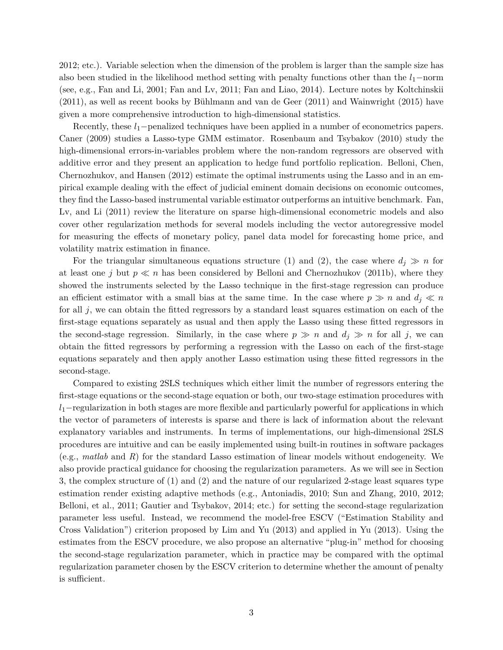2012; etc.). Variable selection when the dimension of the problem is larger than the sample size has also been studied in the likelihood method setting with penalty functions other than the *l*1−norm (see, e.g., Fan and Li, 2001; Fan and Lv, 2011; Fan and Liao, 2014). Lecture notes by Koltchinskii (2011), as well as recent books by Bühlmann and van de Geer (2011) and Wainwright (2015) have given a more comprehensive introduction to high-dimensional statistics.

Recently, these *l*1−penalized techniques have been applied in a number of econometrics papers. Caner (2009) studies a Lasso-type GMM estimator. Rosenbaum and Tsybakov (2010) study the high-dimensional errors-in-variables problem where the non-random regressors are observed with additive error and they present an application to hedge fund portfolio replication. Belloni, Chen, Chernozhukov, and Hansen (2012) estimate the optimal instruments using the Lasso and in an empirical example dealing with the effect of judicial eminent domain decisions on economic outcomes, they find the Lasso-based instrumental variable estimator outperforms an intuitive benchmark. Fan, Lv, and Li (2011) review the literature on sparse high-dimensional econometric models and also cover other regularization methods for several models including the vector autoregressive model for measuring the effects of monetary policy, panel data model for forecasting home price, and volatility matrix estimation in finance.

For the triangular simultaneous equations structure (1) and (2), the case where  $d_j \gg n$  for at least one *j* but  $p \ll n$  has been considered by Belloni and Chernozhukov (2011b), where they showed the instruments selected by the Lasso technique in the first-stage regression can produce an efficient estimator with a small bias at the same time. In the case where  $p \gg n$  and  $d_j \ll n$ for all *j*, we can obtain the fitted regressors by a standard least squares estimation on each of the first-stage equations separately as usual and then apply the Lasso using these fitted regressors in the second-stage regression. Similarly, in the case where  $p \gg n$  and  $d_i \gg n$  for all *j*, we can obtain the fitted regressors by performing a regression with the Lasso on each of the first-stage equations separately and then apply another Lasso estimation using these fitted regressors in the second-stage.

Compared to existing 2SLS techniques which either limit the number of regressors entering the first-stage equations or the second-stage equation or both, our two-stage estimation procedures with *l*<sub>1</sub>−regularization in both stages are more flexible and particularly powerful for applications in which the vector of parameters of interests is sparse and there is lack of information about the relevant explanatory variables and instruments. In terms of implementations, our high-dimensional 2SLS procedures are intuitive and can be easily implemented using built-in routines in software packages (e.g., *matlab* and *R*) for the standard Lasso estimation of linear models without endogeneity. We also provide practical guidance for choosing the regularization parameters. As we will see in Section 3, the complex structure of (1) and (2) and the nature of our regularized 2-stage least squares type estimation render existing adaptive methods (e.g., Antoniadis, 2010; Sun and Zhang, 2010, 2012; Belloni, et al., 2011; Gautier and Tsybakov, 2014; etc.) for setting the second-stage regularization parameter less useful. Instead, we recommend the model-free ESCV ("Estimation Stability and Cross Validation") criterion proposed by Lim and Yu (2013) and applied in Yu (2013). Using the estimates from the ESCV procedure, we also propose an alternative "plug-in" method for choosing the second-stage regularization parameter, which in practice may be compared with the optimal regularization parameter chosen by the ESCV criterion to determine whether the amount of penalty is sufficient.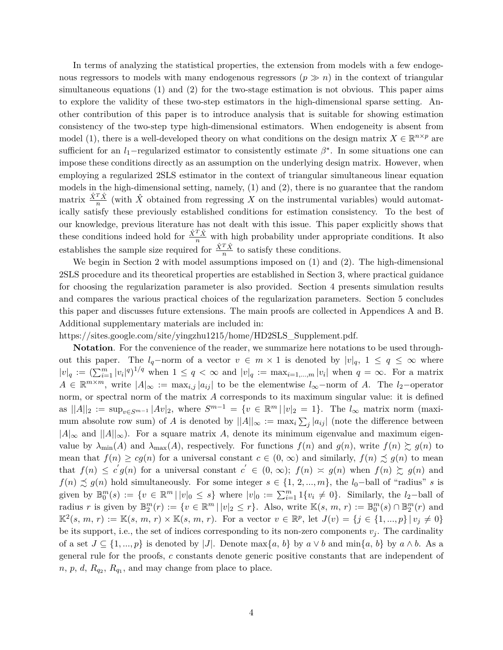In terms of analyzing the statistical properties, the extension from models with a few endogenous regressors to models with many endogenous regressors  $(p \gg n)$  in the context of triangular simultaneous equations (1) and (2) for the two-stage estimation is not obvious. This paper aims to explore the validity of these two-step estimators in the high-dimensional sparse setting. Another contribution of this paper is to introduce analysis that is suitable for showing estimation consistency of the two-step type high-dimensional estimators. When endogeneity is absent from model (1), there is a well-developed theory on what conditions on the design matrix  $X \in \mathbb{R}^{n \times p}$  are sufficient for an *l*<sub>1</sub>−regularized estimator to consistently estimate  $\beta^*$ . In some situations one can impose these conditions directly as an assumption on the underlying design matrix. However, when employing a regularized 2SLS estimator in the context of triangular simultaneous linear equation models in the high-dimensional setting, namely, (1) and (2), there is no guarantee that the random matrix  $\frac{\hat{X}^T \hat{X}}{n}$  (with  $\hat{X}$  obtained from regressing  $X$  on the instrumental variables) would automatically satisfy these previously established conditions for estimation consistency. To the best of our knowledge, previous literature has not dealt with this issue. This paper explicitly shows that these conditions indeed hold for  $\frac{\hat{X}^T \hat{X}}{n}$  with high probability under appropriate conditions. It also establishes the sample size required for  $\frac{\hat{X}^T \hat{X}}{n}$  to satisfy these conditions.

We begin in Section 2 with model assumptions imposed on (1) and (2). The high-dimensional 2SLS procedure and its theoretical properties are established in Section 3, where practical guidance for choosing the regularization parameter is also provided. Section 4 presents simulation results and compares the various practical choices of the regularization parameters. Section 5 concludes this paper and discusses future extensions. The main proofs are collected in Appendices A and B. Additional supplementary materials are included in:

https://sites.google.com/site/yingzhu1215/home/HD2SLS\_Supplement.pdf.

**Notation**. For the convenience of the reader, we summarize here notations to be used throughout this paper. The *l<sub>q</sub>*−norm of a vector  $v \in m \times 1$  is denoted by  $|v|_q$ ,  $1 \le q \le \infty$  where  $|v|_q := (\sum_{i=1}^m |v_i|^q)^{1/q}$  when  $1 \le q < \infty$  and  $|v|_q := \max_{i=1,\dots,m} |v_i|$  when  $q = \infty$ . For a matrix *A* ∈  $\mathbb{R}^{m \times m}$ , write  $|A|_{\infty}$  := max<sub>*i,j*</sub> |*a<sub>ij</sub>* | to be the elementwise  $l_{\infty}$ -norm of *A*. The *l*<sub>2</sub>-operator norm, or spectral norm of the matrix *A* corresponds to its maximum singular value: it is defined  $\|A\|_2 := \sup_{v \in S^{m-1}} |Av|_2$ , where  $S^{m-1} = \{v \in \mathbb{R}^m \mid |v|_2 = 1\}$ . The  $l_{\infty}$  matrix norm (maximum absolute row sum) of *A* is denoted by  $||A||_{\infty} := \max_{i} \sum_{j} |a_{ij}|$  (note the difference between  $|A|_{\infty}$  and  $||A||_{\infty}$ ). For a square matrix A, denote its minimum eigenvalue and maximum eigenvalue by  $\lambda_{\min}(A)$  and  $\lambda_{\max}(A)$ , respectively. For functions  $f(n)$  and  $g(n)$ , write  $f(n) \succeq g(n)$  to mean that  $f(n) \ge cg(n)$  for a universal constant  $c \in (0, \infty)$  and similarly,  $f(n) \precsim g(n)$  to mean that  $f(n) \leq c' g(n)$  for a universal constant  $c' \in (0, \infty)$ ;  $f(n) \approx g(n)$  when  $f(n) \succeq g(n)$  and *f*(*n*)  $\leq g(n)$  hold simultaneously. For some integer  $s \in \{1, 2, ..., m\}$ , the *l*<sub>0</sub>−ball of "radius" *s* is given by  $\mathbb{B}_0^m(s) := \{v \in \mathbb{R}^m \mid |v|_0 \leq s\}$  where  $|v|_0 := \sum_{i=1}^m 1\{v_i \neq 0\}$ . Similarly, the *l*<sub>2</sub>-ball of radius *r* is given by  $\mathbb{B}_{2}^{m}(r) := \{v \in \mathbb{R}^{m} \mid |v|_{2} \leq r\}$ . Also, write  $\mathbb{K}(s, m, r) := \mathbb{B}_{0}^{m}(s) \cap \mathbb{B}_{2}^{m}(r)$  and  $\mathbb{K}^2(s, m, r) := \mathbb{K}(s, m, r) \times \mathbb{K}(s, m, r)$ . For a vector  $v \in \mathbb{R}^p$ , let  $J(v) = \{j \in \{1, ..., p\} | v_j \neq 0\}$ be its support, i.e., the set of indices corresponding to its non-zero components  $v_j$ . The cardinality of a set  $J \subseteq \{1, ..., p\}$  is denoted by |*J*|. Denote max $\{a, b\}$  by  $a \vee b$  and min $\{a, b\}$  by  $a \wedge b$ . As a general rule for the proofs, *c* constants denote generic positive constants that are independent of  $n, p, d, R_{q_2}, R_{q_1}$ , and may change from place to place.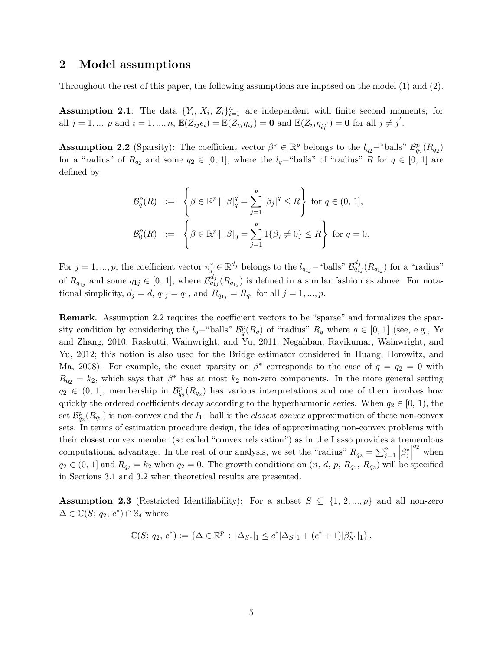## **2 Model assumptions**

Throughout the rest of this paper, the following assumptions are imposed on the model (1) and (2).

**Assumption 2.1**: The data  $\{Y_i, X_i, Z_i\}_{i=1}^n$  are independent with finite second moments; for all  $j = 1, ..., p$  and  $i = 1, ..., n$ ,  $\mathbb{E}(Z_{ij} \epsilon_i) = \mathbb{E}(Z_{ij} \eta_{ij}) = \mathbf{0}$  and  $\mathbb{E}(Z_{ij} \eta_{ij'}) = \mathbf{0}$  for all  $j \neq j'$ .

**Assumption 2.2** (Sparsity): The coefficient vector  $\beta^* \in \mathbb{R}^p$  belongs to the *l*<sub>q2</sub>−"balls"  $\mathcal{B}_{q_2}^p(R_{q_2})$ for a "radius" of  $R_{q_2}$  and some  $q_2 \in [0, 1]$ , where the  $l_q$ <sup>-"</sup>balls" of "radius"  $R$  for  $q \in [0, 1]$  are defined by

$$
\mathcal{B}_q^p(R) := \left\{ \beta \in \mathbb{R}^p \mid |\beta|_q^q = \sum_{j=1}^p |\beta_j|^q \le R \right\} \text{ for } q \in (0, 1],
$$
  

$$
\mathcal{B}_0^p(R) := \left\{ \beta \in \mathbb{R}^p \mid |\beta|_0 = \sum_{j=1}^p 1\{\beta_j \ne 0\} \le R \right\} \text{ for } q = 0.
$$

For  $j = 1, ..., p$ , the coefficient vector  $\pi_j^* \in \mathbb{R}^{d_j}$  belongs to the  $l_{q_{1j}}$ -"balls"  $\mathcal{B}_{q_{1j}}^{d_j}(R_{q_{1j}})$  for a "radius" of  $R_{q_{1j}}$  and some  $q_{1j} \in [0, 1]$ , where  $\mathcal{B}_{q_{1j}}^{d_j}(R_{q_{1j}})$  is defined in a similar fashion as above. For notational simplicity,  $d_j = d$ ,  $q_{1j} = q_1$ , and  $R_{q_{1j}} = R_{q_1}$  for all  $j = 1, ..., p$ .

**Remark**. Assumption 2.2 requires the coefficient vectors to be "sparse" and formalizes the sparsity condition by considering the *l*<sub>q</sub>−"balls"  $\mathcal{B}_q^p(R_q)$  of "radius"  $R_q$  where  $q \in [0, 1]$  (see, e.g., Ye and Zhang, 2010; Raskutti, Wainwright, and Yu, 2011; Negahban, Ravikumar, Wainwright, and Yu, 2012; this notion is also used for the Bridge estimator considered in Huang, Horowitz, and Ma, 2008). For example, the exact sparsity on  $\beta^*$  corresponds to the case of  $q = q_2 = 0$  with  $R_{q_2} = k_2$ , which says that  $\beta^*$  has at most  $k_2$  non-zero components. In the more general setting  $q_2 \in (0, 1]$ , membership in  $\mathcal{B}_{q_2}^p(R_{q_2})$  has various interpretations and one of them involves how quickly the ordered coefficients decay according to the hyperharmonic series. When  $q_2 \in [0, 1)$ , the  $\mathcal{B}_{q_2}^p(R_{q_2})$  is non-convex and the *l*<sub>1</sub>−ball is the *closest convex* approximation of these non-convex sets. In terms of estimation procedure design, the idea of approximating non-convex problems with their closest convex member (so called "convex relaxation") as in the Lasso provides a tremendous computational advantage. In the rest of our analysis, we set the "radius"  $R_{q_2} = \sum_{j=1}^{p}$  *β* ∗ *j*  $q_2$ <sup>*q*2</sup> when  $q_2 \in (0, 1]$  and  $R_{q_2} = k_2$  when  $q_2 = 0$ . The growth conditions on  $(n, d, p, R_{q_1}, R_{q_2})$  will be specified in Sections 3.1 and 3.2 when theoretical results are presented.

**Assumption 2.3** (Restricted Identifiability): For a subset  $S \subseteq \{1, 2, ..., p\}$  and all non-zero  $\Delta \in \mathbb{C}(S; q_2, c^*) \cap \mathbb{S}_{\delta}$  where

$$
\mathbb{C}(S; q_2, c^*) := \{ \Delta \in \mathbb{R}^p : |\Delta_{S^c}|_1 \le c^* |\Delta_S|_1 + (c^* + 1)|\beta_{S^c}^*|_1 \},
$$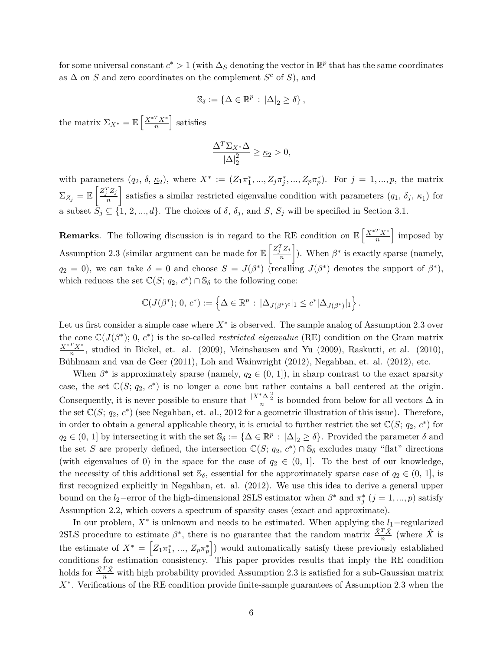for some universal constant  $c^* > 1$  (with  $\Delta_S$  denoting the vector in  $\mathbb{R}^p$  that has the same coordinates as  $\Delta$  on *S* and zero coordinates on the complement  $S^c$  of *S*), and

$$
\mathbb{S}_\delta:=\left\{\Delta\in\mathbb{R}^p\,:\,|\Delta|_2\geq\delta\right\},
$$

the matrix  $\Sigma_{X^*} = \mathbb{E} \left[ \frac{X^{*T} X^*}{n} \right]$ *n* | satisfies

$$
\frac{\Delta^T \Sigma_{X^*} \Delta}{|\Delta|_2^2} \ge \underline{\kappa}_2 > 0,
$$

with parameters  $(q_2, \delta, \underline{\kappa}_2)$ , where  $X^* := (Z_1 \pi_1^*, ..., Z_j \pi_j^*, ..., Z_p \pi_p^*)$ . For  $j = 1, ..., p$ , the matrix  $\Sigma_{Z_j} = \mathbb{E} \left[ \frac{Z_j^T Z_j}{n} \right]$ *n* satisfies a similar restricted eigenvalue condition with parameters  $(q_1, \delta_j, \underline{\kappa}_1)$  for a subset  $S_j \subseteq \{1, 2, ..., d\}$ . The choices of  $\delta$ ,  $\delta_j$ , and  $S$ ,  $S_j$  will be specified in Section 3.1.

**Remarks**. The following discussion is in regard to the RE condition on  $\mathbb{E}\left[\frac{X^*TX^*}{n}\right]$ *n* i imposed by Assumption 2.3 (similar argument can be made for  $\mathbb{E}\left[\frac{Z_j^T Z_j}{n}\right]$ *n* ). When  $\beta^*$  is exactly sparse (namely,  $q_2 = 0$ ), we can take  $\delta = 0$  and choose  $S = J(\beta^*)$  (recalling  $J(\beta^*)$  denotes the support of  $\beta^*$ ), which reduces the set  $\mathbb{C}(S; q_2, c^*) \cap \mathbb{S}_{\delta}$  to the following cone:

$$
\mathbb{C}(J(\beta^*); 0, c^*) := \left\{ \Delta \in \mathbb{R}^p : |\Delta_{J(\beta^*)^c}|_1 \leq c^* |\Delta_{J(\beta^*)}|_1 \right\}.
$$

Let us first consider a simple case where  $X^*$  is observed. The sample analog of Assumption 2.3 over the cone  $\mathbb{C}(J(\beta^*); 0, c^*)$  is the so-called *restricted eigenvalue* (RE) condition on the Gram matrix *X*∗*<sup>T</sup> X*<sup>∗</sup>  $\frac{X^*}{n}$ , studied in Bickel, et. al. (2009), Meinshausen and Yu (2009), Raskutti, et al. (2010), Bühlmann and van de Geer (2011), Loh and Wainwright (2012), Negahban, et. al. (2012), etc.

When  $\beta^*$  is approximately sparse (namely,  $q_2 \in (0, 1]$ ), in sharp contrast to the exact sparsity case, the set  $\mathbb{C}(S; q_2, c^*)$  is no longer a cone but rather contains a ball centered at the origin. Consequently, it is never possible to ensure that  $\frac{|X^*\Delta|_2^2}{n}$  is bounded from below for all vectors  $\Delta$  in the set  $\mathbb{C}(S; q_2, c^*)$  (see Negahban, et. al., 2012 for a geometric illustration of this issue). Therefore, in order to obtain a general applicable theory, it is crucial to further restrict the set  $\mathbb{C}(S; q_2, c^*)$  for  $q_2 \in (0, 1]$  by intersecting it with the set  $\mathbb{S}_{\delta} := \{ \Delta \in \mathbb{R}^p : |\Delta|_2 \ge \delta \}$ . Provided the parameter  $\delta$  and the set *S* are properly defined, the intersection  $\mathbb{C}(S; q_2, c^*) \cap \mathbb{S}_{\delta}$  excludes many "flat" directions (with eigenvalues of 0) in the space for the case of  $q_2 \in (0, 1]$ . To the best of our knowledge, the necessity of this additional set  $\mathcal{S}_{\delta}$ , essential for the approximately sparse case of  $q_2 \in (0, 1]$ , is first recognized explicitly in Negahban, et. al. (2012). We use this idea to derive a general upper bound on the *l*<sub>2</sub>−error of the high-dimensional 2SLS estimator when  $\beta^*$  and  $\pi^*_{j}$  (*j* = 1, ..., *p*) satisfy Assumption 2.2, which covers a spectrum of sparsity cases (exact and approximate).

In our problem, *X*∗ is unknown and needs to be estimated. When applying the *l*1−regularized 2SLS procedure to estimate  $\beta^*$ , there is no guarantee that the random matrix  $\frac{\hat{X}^T\hat{X}}{n}$  (where  $\hat{X}$  is the estimate of  $X^* = \left[ Z_1 \pi_1^*, \dots, Z_p \pi_p^* \right]$ i ) would automatically satisfy these previously established conditions for estimation consistency. This paper provides results that imply the RE condition holds for  $\frac{\hat{X}^T \hat{X}}{n}$  with high probability provided Assumption 2.3 is satisfied for a sub-Gaussian matrix *X*<sup>∗</sup>. Verifications of the RE condition provide finite-sample guarantees of Assumption 2.3 when the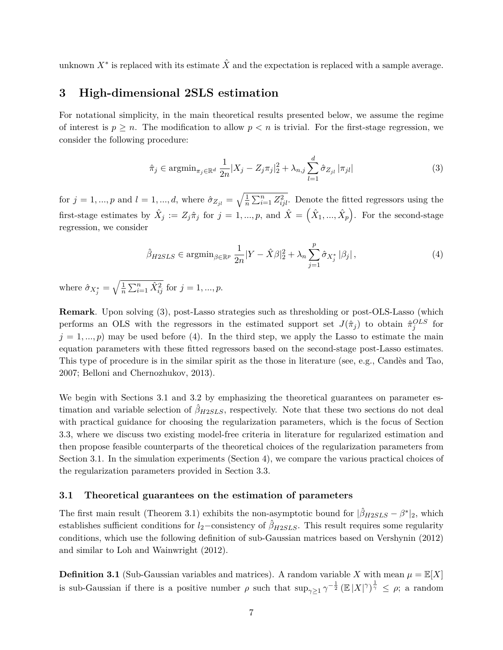unknown  $X^*$  is replaced with its estimate  $\hat{X}$  and the expectation is replaced with a sample average.

## **3 High-dimensional 2SLS estimation**

For notational simplicity, in the main theoretical results presented below, we assume the regime of interest is  $p \geq n$ . The modification to allow  $p < n$  is trivial. For the first-stage regression, we consider the following procedure:

$$
\hat{\pi}_j \in \operatorname{argmin}_{\pi_j \in \mathbb{R}^d} \frac{1}{2n} |X_j - Z_j \pi_j|_2^2 + \lambda_{n,j} \sum_{l=1}^d \hat{\sigma}_{Z_{jl}} |\pi_{jl}| \tag{3}
$$

for  $j = 1, ..., p$  and  $l = 1, ..., d$ , where  $\hat{\sigma}_{Z_{jl}} = \sqrt{\frac{1}{n}}$  $\frac{1}{n}\sum_{i=1}^{n} Z_{ijl}^2$ . Denote the fitted regressors using the first-stage estimates by  $\hat{X}_j := Z_j \hat{\pi}_j$  for  $j = 1, ..., p$ , and  $\hat{X} = (\hat{X}_1, ..., \hat{X}_p)$ . For the second-stage regression, we consider

$$
\hat{\beta}_{H2SLS} \in \operatorname{argmin}_{\beta \in \mathbb{R}^p} \frac{1}{2n} |Y - \hat{X}\beta|_2^2 + \lambda_n \sum_{j=1}^p \hat{\sigma}_{X_j^*} |\beta_j|,
$$
\n(4)

where  $\hat{\sigma}_{X_j^*} = \sqrt{\frac{1}{n}}$  $\frac{1}{n}\sum_{i=1}^{n} \hat{X}_{ij}^{2}$  for  $j = 1, ..., p$ .

**Remark**. Upon solving (3), post-Lasso strategies such as thresholding or post-OLS-Lasso (which performs an OLS with the regressors in the estimated support set  $J(\hat{\pi}_j)$  to obtain  $\hat{\pi}_j^{OLS}$  for  $j = 1, ..., p$  may be used before (4). In the third step, we apply the Lasso to estimate the main equation parameters with these fitted regressors based on the second-stage post-Lasso estimates. This type of procedure is in the similar spirit as the those in literature (see, e.g., Candès and Tao, 2007; Belloni and Chernozhukov, 2013).

We begin with Sections 3.1 and 3.2 by emphasizing the theoretical guarantees on parameter estimation and variable selection of  $\hat{\beta}_{H2SLS}$ , respectively. Note that these two sections do not deal with practical guidance for choosing the regularization parameters, which is the focus of Section 3.3, where we discuss two existing model-free criteria in literature for regularized estimation and then propose feasible counterparts of the theoretical choices of the regularization parameters from Section 3.1. In the simulation experiments (Section 4), we compare the various practical choices of the regularization parameters provided in Section 3.3.

#### **3.1 Theoretical guarantees on the estimation of parameters**

The first main result (Theorem 3.1) exhibits the non-asymptotic bound for  $|\hat{\beta}_{H2SLS} - \beta^*|_2$ , which establishes sufficient conditions for  $l_2$ −consistency of  $\hat{\beta}_{H2SLS}$ . This result requires some regularity conditions, which use the following definition of sub-Gaussian matrices based on Vershynin (2012) and similar to Loh and Wainwright (2012).

**Definition 3.1** (Sub-Gaussian variables and matrices). A random variable *X* with mean  $\mu = \mathbb{E}[X]$ is sub-Gaussian if there is a positive number  $\rho$  such that  $\sup_{\gamma\geq 1} \gamma^{-\frac{1}{2}} (\mathbb{E}|X|^\gamma)^{\frac{1}{\gamma}} \leq \rho$ ; a random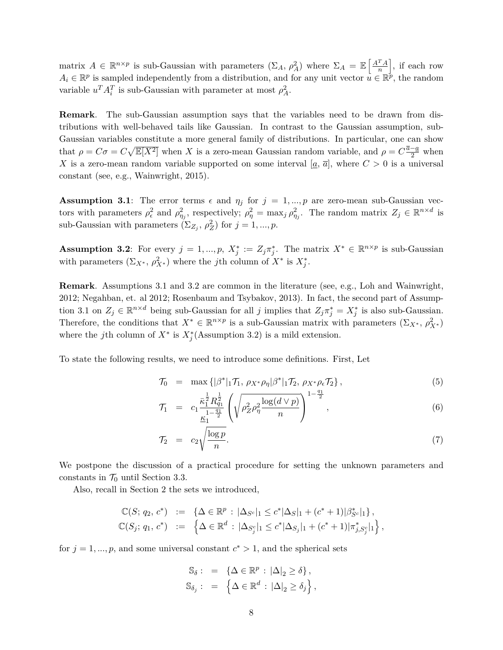matrix  $A \in \mathbb{R}^{n \times p}$  is sub-Gaussian with parameters  $(\Sigma_A, \rho_A^2)$  where  $\Sigma_A = \mathbb{E}\left[\frac{A^T A}{n}\right]$ *n* i , if each row  $A_i \in \mathbb{R}^p$  is sampled independently from a distribution, and for any unit vector  $u \in \mathbb{R}^p$ , the random variable  $u^T A_i^T$  is sub-Gaussian with parameter at most  $\rho_A^2$ .

**Remark**. The sub-Gaussian assumption says that the variables need to be drawn from distributions with well-behaved tails like Gaussian. In contrast to the Gaussian assumption, sub-Gaussian variables constitute a more general family of distributions. In particular, one can show that  $\rho = C\sigma = C\sqrt{\mathbb{E}[X^2]}$  when *X* is a zero-mean Gaussian random variable, and  $\rho = C\frac{\bar{a}-a}{2}$  when *X* is a zero-mean random variable supported on some interval  $[\underline{a}, \overline{a}]$ , where  $C > 0$  is a universal constant (see, e.g., Wainwright, 2015).

**Assumption 3.1**: The error terms  $\epsilon$  and  $\eta_j$  for  $j = 1, ..., p$  are zero-mean sub-Gaussian vectors with parameters  $\rho_{\epsilon}^2$  and  $\rho_{\eta_j}^2$ , respectively;  $\rho_{\eta}^2 = \max_j \rho_{\eta_j}^2$ . The random matrix  $Z_j \in \mathbb{R}^{n \times d}$  is sub-Gaussian with parameters  $(\Sigma_{Z_j}, \rho_Z^2)$  for  $j = 1, ..., p$ .

**Assumption 3.2**: For every  $j = 1, ..., p$ ,  $X_j^* := Z_j \pi_j^*$ . The matrix  $X^* \in \mathbb{R}^{n \times p}$  is sub-Gaussian with parameters  $(\Sigma_{X^*}, \rho_{X^*}^2)$  where the *j*th column of  $X^*$  is  $X_j^*$ .

**Remark**. Assumptions 3.1 and 3.2 are common in the literature (see, e.g., Loh and Wainwright, 2012; Negahban, et. al 2012; Rosenbaum and Tsybakov, 2013). In fact, the second part of Assumption 3.1 on  $Z_j \in \mathbb{R}^{n \times d}$  being sub-Gaussian for all *j* implies that  $Z_j \pi_j^* = X_j^*$  is also sub-Gaussian. Therefore, the conditions that  $X^* \in \mathbb{R}^{n \times p}$  is a sub-Gaussian matrix with parameters  $(\Sigma_{X^*}, \rho_{X^*}^2)$ where the *j*th column of  $X^*$  is  $X_j^*$  (Assumption 3.2) is a mild extension.

To state the following results, we need to introduce some definitions. First, Let

$$
\mathcal{T}_0 = \max \left\{ |\beta^*|_1 \mathcal{T}_1, \, \rho_{X^*} \rho_{\eta} |\beta^*|_1 \mathcal{T}_2, \, \rho_{X^*} \rho_{\epsilon} \mathcal{T}_2 \right\},\tag{5}
$$

$$
\mathcal{T}_1 = c_1 \frac{\bar{\kappa}_1^{\frac{1}{2}} R_{q_1}^{\frac{1}{2}}}{\underline{\kappa}_1^{\frac{1-q_1}{2}}} \left( \sqrt{\rho_Z^2 \rho_\eta^2 \frac{\log(d \vee p)}{n}} \right)^{1-\frac{q_1}{2}}, \qquad (6)
$$

$$
\mathcal{T}_2 = c_2 \sqrt{\frac{\log p}{n}}.\tag{7}
$$

We postpone the discussion of a practical procedure for setting the unknown parameters and constants in  $\mathcal{T}_0$  until Section 3.3.

Also, recall in Section 2 the sets we introduced,

$$
\mathbb{C}(S; q_2, c^*) := \left\{ \Delta \in \mathbb{R}^p : |\Delta_{S^c}|_1 \le c^* |\Delta_S|_1 + (c^* + 1)|\beta_{S^c}^*|_1 \right\},\
$$
  

$$
\mathbb{C}(S_j; q_1, c^*) := \left\{ \Delta \in \mathbb{R}^d : |\Delta_{S_j^c}|_1 \le c^* |\Delta_{S_j}|_1 + (c^* + 1)|\pi_{j, S_j^c}^*|_1 \right\},\
$$

for  $j = 1, ..., p$ , and some universal constant  $c^* > 1$ , and the spherical sets

$$
\mathbb{S}_{\delta}: = {\{\Delta \in \mathbb{R}^p : |\Delta|_2 \ge \delta\},\atop \mathbb{S}_{\delta_j}: = {\{\Delta \in \mathbb{R}^d : |\Delta|_2 \ge \delta_j\},\atop }
$$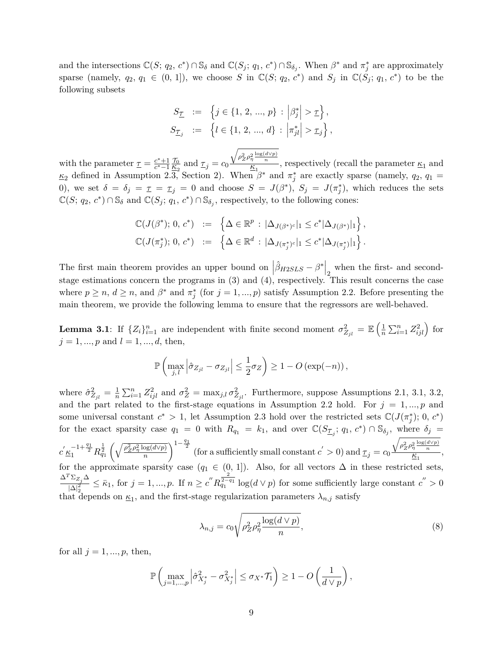and the intersections  $\mathbb{C}(S; q_2, c^*) \cap \mathbb{S}_{\delta}$  and  $\mathbb{C}(S_j; q_1, c^*) \cap \mathbb{S}_{\delta_j}$ . When  $\beta^*$  and  $\pi_j^*$  are approximately sparse (namely,  $q_2, q_1 \in (0, 1]$ ), we choose *S* in  $\mathbb{C}(S; q_2, c^*)$  and  $S_j$  in  $\mathbb{C}(S_j; q_1, c^*)$  to be the following subsets

$$
\begin{array}{rcl} S_{\underline{\mathcal{T}}} & := & \left\{j \in \{1, \, 2, \, ..., \, p\} \, : \, \left|\beta_j^*\right| > \underline{\tau}\right\}, \\ S_{\underline{\mathcal{T}}_j} & := & \left\{l \in \{1, \, 2, \, ..., \, d\} \, : \, \left|\pi_{jl}^*\right| > \underline{\tau}_j\right\}, \end{array}
$$

with the parameter  $\underline{\tau} = \frac{c^* + 1}{c^* - 1}$  $\frac{c^*+1}{c^*-1}\frac{T_0}{K_2}$  and  $\tau_j = c_0$  $\frac{\sqrt{\rho_Z^2 \rho_\eta^2 \frac{\log(d \vee p)}{n}}}{\kappa_1}$ , respectively (recall the parameter  $\kappa_1$  and  $\underline{\kappa}_2$  defined in Assumption 2.3, Section 2). When  $\beta^*$  and  $\pi_j^*$  are exactly sparse (namely,  $q_2$ ,  $q_1$  = 0), we set  $\delta = \delta_j = \underline{\tau} = \underline{\tau}_j = 0$  and choose  $S = J(\beta^*), S_j = J(\pi_j^*),$  which reduces the sets  $\mathbb{C}(S; q_2, c^*) \cap \mathbb{S}_{\delta}$  and  $\mathbb{C}(S_j; q_1, c^*) \cap \mathbb{S}_{\delta_j}$ , respectively, to the following cones:

$$
\mathbb{C}(J(\beta^*); 0, c^*) := \left\{ \Delta \in \mathbb{R}^p : |\Delta_{J(\beta^*)^c}|_1 \le c^* |\Delta_{J(\beta^*)}|_1 \right\}, \n\mathbb{C}(J(\pi_j^*); 0, c^*) := \left\{ \Delta \in \mathbb{R}^d : |\Delta_{J(\pi_j^*)^c}|_1 \le c^* |\Delta_{J(\pi_j^*)}|_1 \right\}.
$$

The first main theorem provides an upper bound on  $\left|\hat{\beta}_{H2SLS} - \beta^*\right|_2$  when the first- and secondstage estimations concern the programs in (3) and (4), respectively. This result concerns the case where  $p \ge n$ ,  $d \ge n$ , and  $\beta^*$  and  $\pi_j^*$  (for  $j = 1, ..., p$ ) satisfy Assumption 2.2. Before presenting the main theorem, we provide the following lemma to ensure that the regressors are well-behaved.

**Lemma 3.1**: If  $\{Z_i\}_{i=1}^n$  are independent with finite second moment  $\sigma^2_{Z_{jl}} = \mathbb{E}\left(\frac{1}{n}\right)$  $\frac{1}{n}\sum_{i=1}^{n}Z_{ijl}^{2}$  for  $j = 1, ..., p$  and  $l = 1, ..., d$ , then,

$$
\mathbb{P}\left(\max_{j,l} \left|\hat{\sigma}_{Z_{jl}} - \sigma_{Z_{jl}}\right| \leq \frac{1}{2}\sigma_Z\right) \geq 1 - O\left(\exp(-n)\right),\,
$$

where  $\hat{\sigma}_{Z_{jl}}^2 = \frac{1}{n}$  $\frac{1}{n}\sum_{i=1}^{n} Z_{ijl}^2$  and  $\sigma_Z^2 = \max_{j,l} \sigma_{Z_{jl}}^2$ . Furthermore, suppose Assumptions 2.1, 3.1, 3.2, and the part related to the first-stage equations in Assumption 2.2 hold. For  $j = 1, ..., p$  and some universal constant  $c^* > 1$ , let Assumption 2.3 hold over the restricted sets  $\mathbb{C}(J(\pi_j^*); 0, c^*)$ for the exact sparsity case  $q_1 = 0$  with  $R_{q_1} = k_1$ , and over  $\mathbb{C}(S_{\mathcal{I}_j}; q_1, c^*) \cap \mathbb{S}_{\delta_j}$ , where  $\delta_j =$  $c' \underline{\kappa}_1^{-1+\frac{q_1}{2}} R_{q_1}^{\frac{1}{2}}$  $\left(\sqrt{\frac{\rho_Z^2 \rho_\eta^2 \log(d \vee p)}{n}}\right)$  $\int_{0}^{1-\frac{q_1}{2}}$  (for a sufficiently small constant  $c' > 0$ ) and  $\tau_j = c_0$  $\frac{\sqrt{\rho_Z^2 \rho_\eta^2 \frac{\log(d \vee p)}{n}}}{\frac{\kappa_1}{n}},$ for the approximate sparsity case  $(q_1 \in (0, 1])$ . Also, for all vectors  $\Delta$  in these restricted sets,  $\Delta^T \Sigma_{Z_j} \Delta$  $\frac{d^2 \Sigma_{Z_j} \Delta}{d \Sigma_{Z_j}^2} \leq \bar{\kappa}_1$ , for  $j = 1, ..., p$ . If  $n \geq c'' R_{q_1}^{\frac{2}{2-q_1}} \log(d \vee p)$  for some sufficiently large constant  $c'' > 0$ that depends on  $\underline{\kappa}_1$ , and the first-stage regularization parameters  $\lambda_{n,j}$  satisfy

$$
\lambda_{n,j} = c_0 \sqrt{\rho_Z^2 \rho_\eta^2 \frac{\log(d \vee p)}{n}},\tag{8}
$$

for all  $j = 1, ..., p$ , then,

$$
\mathbb{P}\left(\max_{j=1,\dots,p}\left|\hat{\sigma}_{X_j^*}^2 - \sigma_{X_j^*}^2\right| \leq \sigma_{X^*}\mathcal{T}_1\right) \geq 1 - O\left(\frac{1}{d\vee p}\right),
$$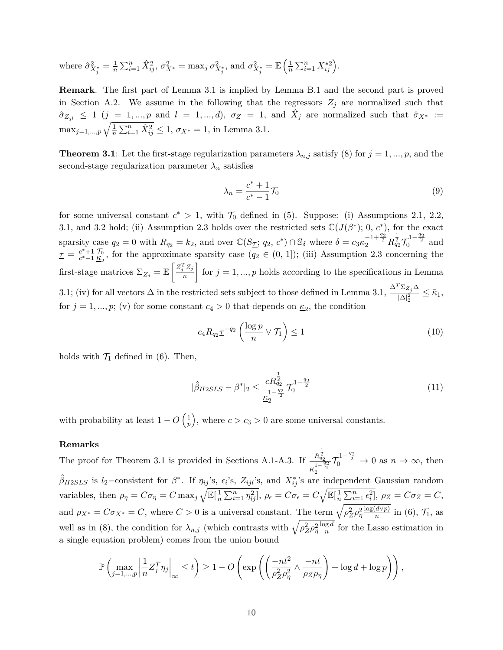where 
$$
\hat{\sigma}_{X_j^*}^2 = \frac{1}{n} \sum_{i=1}^n \hat{X}_{ij}^2
$$
,  $\sigma_{X^*}^2 = \max_j \sigma_{X_j^*}^2$ , and  $\sigma_{X_j^*}^2 = \mathbb{E} \left( \frac{1}{n} \sum_{i=1}^n X_{ij}^{*2} \right)$ .

**Remark**. The first part of Lemma 3.1 is implied by Lemma B.1 and the second part is proved in Section A.2. We assume in the following that the regressors  $Z_j$  are normalized such that  $\hat{\sigma}_{Z_{j}l} \leq 1$  (*j* = 1, ..., *p* and *l* = 1, ..., *d*),  $\sigma_Z = 1$ , and  $\hat{X}_j$  are normalized such that  $\hat{\sigma}_{X^*} :=$  $\max_{j=1,\dots,p} \sqrt{\frac{1}{n}}$  $\frac{1}{n} \sum_{i=1}^{n} \hat{X}_{ij}^2 \le 1$ ,  $\sigma_{X^*} = 1$ , in Lemma 3.1.

**Theorem 3.1**: Let the first-stage regularization parameters  $\lambda_{n,j}$  satisfy (8) for  $j = 1, ..., p$ , and the second-stage regularization parameter  $\lambda_n$  satisfies

$$
\lambda_n = \frac{c^* + 1}{c^* - 1} \mathcal{T}_0 \tag{9}
$$

for some universal constant  $c^* > 1$ , with  $\mathcal{T}_0$  defined in (5). Suppose: (i) Assumptions 2.1, 2.2, 3.1, and 3.2 hold; (ii) Assumption 2.3 holds over the restricted sets  $\mathbb{C}(J(\beta^*); 0, c^*)$ , for the exact sparsity case  $q_2 = 0$  with  $R_{q_2} = k_2$ , and over  $\mathbb{C}(S_{\mathcal{I}}; q_2, c^*) \cap \mathbb{S}_{\delta}$  where  $\delta = c_3 \underline{\kappa}_2^{-1 + \frac{q_2}{2}} R_{q_2}^{\frac{1}{2}} \mathcal{T}_0^{1 - \frac{q_2}{2}}$  and  $\tau = \frac{c^*+1}{c^*-1}$  $\frac{c^2+1}{c^2-1}\frac{T_0}{K_2}$ , for the approximate sparsity case  $(q_2 \in (0, 1])$ ; (iii) Assumption 2.3 concerning the first-stage matrices  $\Sigma_{Z_j} = \mathbb{E} \left[ \frac{Z_j^T Z_j}{n} \right]$ *n* for  $j = 1, ..., p$  holds according to the specifications in Lemma 3.1; (iv) for all vectors  $\Delta$  in the restricted sets subject to those defined in Lemma 3.1,  $\frac{\Delta^T \Sigma_{Z_j} \Delta}{|\Delta|_2^2} \le \bar{\kappa}_1$ , for  $j = 1, ..., p$ ; (v) for some constant  $c_4 > 0$  that depends on  $\underline{\kappa}_2$ , the condition

$$
c_4 R_{q_2} \underline{\tau}^{-q_2} \left( \frac{\log p}{n} \vee \mathcal{T}_1 \right) \le 1 \tag{10}
$$

holds with  $\mathcal{T}_1$  defined in (6). Then,

$$
|\hat{\beta}_{H2SLS} - \beta^*|_2 \le \frac{cR_{q_2}^{\frac{1}{2}}}{\frac{1}{2} \cdot \frac{q_2}{2}} \mathcal{T}_0^{1 - \frac{q_2}{2}} \tag{11}
$$

*,*

with probability at least  $1 - O\left(\frac{1}{p}\right)$ *p* ), where  $c > c_3 > 0$  are some universal constants.

#### **Remarks**

The proof for Theorem 3.1 is provided in Sections A.1-A.3. If  $\frac{R_{q_2}^{\frac{1}{2}}}{1-\frac{q_2}{2}}$  $\frac{R_{q_2}^{\frac{1}{2}}}{K_2^{\frac{1-q_2}{2}}} \mathcal{T}_0^{1-\frac{q_2}{2}} \to 0$  as  $n \to \infty$ , then  $\hat{\beta}_{H2SLS}$  is *l*<sub>2</sub>−consistent for  $\beta^*$ . If  $\eta_{ij}$ 's,  $\epsilon_i$ 's,  $Z_{ijl}$ 's, and  $X_{ij}^*$ 's are independent Gaussian random variables, then  $\rho_{\eta} = C \sigma_{\eta} = C \max_j \sqrt{\mathbb{E}[\frac{1}{n}]^2}$  $\frac{1}{n}\sum_{i=1}^n \eta_{ij}^2$ ],  $\rho_\epsilon = C\sigma_\epsilon = C\sqrt{\mathbb{E}[\frac{1}{n}]}$  $\frac{1}{n}\sum_{i=1}^{n} \epsilon_i^2$ ,  $\rho_Z = C\sigma_Z = C$ , and  $\rho_{X^*} = C \sigma_{X^*} = C$ , where  $C > 0$  is a universal constant. The term  $\sqrt{\rho_Z^2 \rho_\eta^2 \frac{\log(d \vee p)}{n}}$  in (6),  $\mathcal{T}_1$ , as well as in (8), the condition for  $\lambda_{n,j}$  (which contrasts with  $\sqrt{\rho_Z^2 \rho_\eta^2 \frac{\log d}{n}}$  $\frac{ga}{n}$  for the Lasso estimation in a single equation problem) comes from the union bound

$$
\mathbb{P}\left(\max_{j=1,\dots,p} \left|\frac{1}{n} Z_j^T \eta_j\right|_{\infty} \le t\right) \ge 1 - O\left(\exp\left(\left(\frac{-nt^2}{\rho_Z^2 \rho_\eta^2} \wedge \frac{-nt}{\rho_Z \rho_\eta}\right) + \log d + \log p\right)\right)
$$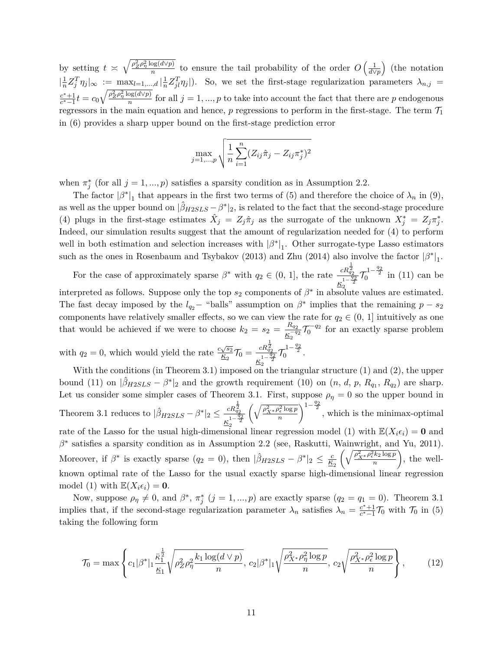by setting  $t \propto \sqrt{\frac{\rho_Z^2 \rho_\eta^2 \log(d \vee p)}{n}}$  to ensure the tail probability of the order  $O\left(\frac{1}{d \vee \eta}\right)$ *d*∨*p* (the notation  $\frac{1}{n}$  $\frac{1}{n}Z_j^T \eta_j|_{\infty} := \max_{l=1,\dots,d} |\frac{1}{n}|$  $\frac{1}{n}Z_{jl}^T\eta_j$ ). So, we set the first-stage regularization parameters  $\lambda_{n,j}$  = *c* <sup>∗</sup>+1  $\frac{c^*+1}{c^*-1}t = c_0\sqrt{\frac{\rho_Z^2\rho_\eta^2\log(d\vee p)}{n}}$  for all  $j=1,\dots,p$  to take into account the fact that there are *p* endogenous regressors in the main equation and hence,  $p$  regressions to perform in the first-stage. The term  $\mathcal{T}_1$ in (6) provides a sharp upper bound on the first-stage prediction error

$$
\max_{j=1,\dots,p} \sqrt{\frac{1}{n} \sum_{i=1}^{n} (Z_{ij} \hat{\pi}_j - Z_{ij} \pi_j^*)^2}
$$

when  $\pi_j^*$  (for all  $j = 1, ..., p$ ) satisfies a sparsity condition as in Assumption 2.2.

The factor  $|\beta^*|_1$  that appears in the first two terms of (5) and therefore the choice of  $\lambda_n$  in (9), as well as the upper bound on  $|\hat{\beta}_{H2SLS} - \beta^*|_2$ , is related to the fact that the second-stage procedure (4) plugs in the first-stage estimates  $\hat{X}_j = Z_j \hat{\pi}_j$  as the surrogate of the unknown  $X_j^* = Z_j \pi_j^*$ . Indeed, our simulation results suggest that the amount of regularization needed for (4) to perform well in both estimation and selection increases with  $\left|\beta^*\right|_1$ . Other surrogate-type Lasso estimators such as the ones in Rosenbaum and Tsybakov (2013) and Zhu (2014) also involve the factor  $\left|\beta^*\right|_1$ .

For the case of approximately sparse  $\beta^*$  with  $q_2 \in (0, 1]$ , the rate  $\frac{cR_{q_2}^{\frac{1}{2}}}{d\beta^{\frac{q_2}{2}}}$  $\frac{k_1 - \frac{q_2}{2}}{k_2}$  $\mathcal{T}_0^{1-\frac{q_2}{2}}$  in (11) can be interpreted as follows. Suppose only the top  $s_2$  components of  $\beta^*$  in absolute values are estimated. The fast decay imposed by the *l*<sub> $q_2$ </sub> $-$  "balls" assumption on  $\beta^*$  implies that the remaining  $p - s_2$ components have relatively smaller effects, so we can view the rate for  $q_2 \in (0, 1]$  intuitively as one that would be achieved if we were to choose  $k_2 = s_2 = \frac{R_{q_2}}{k_2 - q_1}$  $\frac{R_{q_2}}{K_2^{-q_2}} \mathcal{T}_0^{-q_2}$  for an exactly sparse problem with  $q_2 = 0$ , which would yield the rate  $\frac{c\sqrt{s_2}}{K_0}$  $\frac{\sqrt{s_2}}{\mathcal{K}_2}\mathcal{T}_0=\frac{cR_{q_2}^{\tfrac{1}{2}}}{\kappa^{1-\tfrac{q}{2}}}$  $\frac{cR_{q_2}^{\frac{1}{2}}}{\kappa_2^{1-\frac{q_2}{2}}} \mathcal{T}_0^{1-\frac{q_2}{2}}.$ 

With the conditions (in Theorem 3.1) imposed on the triangular structure (1) and (2), the upper bound (11) on  $|\hat{\beta}_{H2SLS} - \beta^*|_2$  and the growth requirement (10) on  $(n, d, p, R_{q_1}, R_{q_2})$  are sharp. Let us consider some simpler cases of Theorem 3.1. First, suppose  $\rho_{\eta} = 0$  so the upper bound in Theorem 3.1 reduces to  $|\hat{\beta}_{H2SLS} - \beta^*|_2 \leq \frac{cR_{q_2}^{\frac{1}{2}}}{r^{1-\frac{q}{2}}}$  $\frac{1-\frac{q_2}{2}}{k_2}$  $\int \sqrt{\rho_X^2 * \rho_\epsilon^2 \log p}$ *n*  $\int_{0}^{1-\frac{q_2}{2}}$ , which is the minimax-optimal rate of the Lasso for the usual high-dimensional linear regression model (1) with  $\mathbb{E}(X_i \epsilon_i) = \mathbf{0}$  and *β* ∗ satisfies a sparsity condition as in Assumption 2.2 (see, Raskutti, Wainwright, and Yu, 2011). Moreover, if  $\beta^*$  is exactly sparse  $(q_2 = 0)$ , then  $|\hat{\beta}_{H2SLS} - \beta^*|_2 \leq \frac{c}{K_2}$  $\int \sqrt{\frac{\rho_{X}^2 + \rho_{\epsilon}^2 k_2 \log p}{\rho_{\epsilon}^2}}$ *n* <sup>1</sup> , the wellknown optimal rate of the Lasso for the usual exactly sparse high-dimensional linear regression model (1) with  $\mathbb{E}(X_i \epsilon_i) = \mathbf{0}$ .

Now, suppose  $\rho_{\eta} \neq 0$ , and  $\beta^*$ ,  $\pi_j^*$   $(j = 1, ..., p)$  are exactly sparse  $(q_2 = q_1 = 0)$ . Theorem 3.1 implies that, if the second-stage regularization parameter  $\lambda_n$  satisfies  $\lambda_n = \frac{c^*+1}{c^*-1}$  $\frac{c^*+1}{c^*-1}\mathcal{T}_0$  with  $\mathcal{T}_0$  in (5) taking the following form

$$
\mathcal{T}_0 = \max\left\{c_1|\beta^*|_1 \frac{\bar{\kappa}_1^{\frac{1}{2}}}{\underline{\kappa}_1} \sqrt{\rho_Z^2 \rho_\eta^2 \frac{k_1 \log(d \vee p)}{n}}, \, c_2|\beta^*|_1 \sqrt{\frac{\rho_{X^*}^2 \rho_\eta^2 \log p}{n}}, \, c_2 \sqrt{\frac{\rho_{X^*}^2 \rho_\epsilon^2 \log p}{n}}\right\},\tag{12}
$$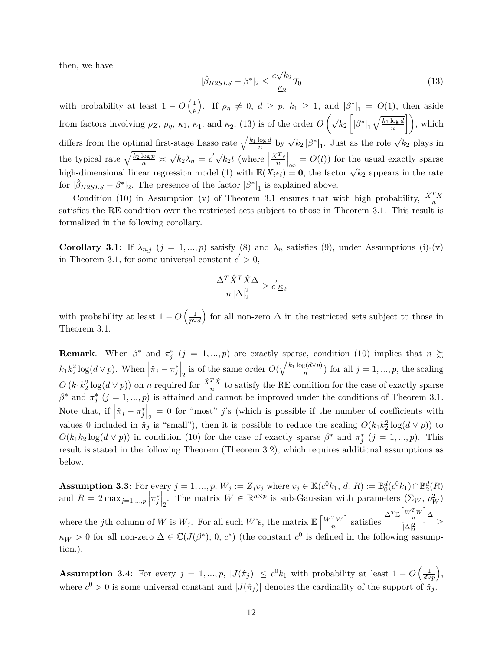then, we have

$$
|\hat{\beta}_{H2SLS} - \beta^*|_2 \le \frac{c\sqrt{k_2}}{\underline{\kappa}_2} \mathcal{T}_0
$$
\n(13)

with probability at least  $1 - O\left(\frac{1}{p}\right)$ *p* ). If  $\rho_{\eta} \neq 0$ ,  $d \geq p$ ,  $k_1 \geq 1$ , and  $|\beta^*|_1 = O(1)$ , then aside from factors involving  $\rho_Z$ ,  $\rho_\eta$ ,  $\bar{\kappa}_1$ ,  $\underline{\kappa}_1$ , and  $\underline{\kappa}_2$ , (13) is of the order  $O\left(\sqrt{k_2}\left[|\beta^*|_1 \sqrt{\frac{k_1 \log d_1}{n}}\right]\right)$  $\sqrt{\frac{\log d}{n}}$ , which differs from the optimal first-stage Lasso rate  $\sqrt{\frac{k_1 \log d}{n}}$  by  $\sqrt{k_2} |\beta^*|_1$ . Just as the role  $\sqrt{k_2}$  plays in the typical rate  $\sqrt{\frac{k_2 \log p}{n}} \approx$  $\sqrt{k_2} \lambda_n = c' \sqrt{k_2} t$  (where |  $X^T \epsilon$ *n*  $\Big|_{\infty} = O(t)$  for the usual exactly sparse high-dimensional linear regression model (1) with  $\mathbb{E}(X_i \epsilon_i) = \mathbf{0}$ , the factor  $\sqrt{k_2}$  appears in the rate for  $|\hat{\beta}_{H2SLS} - \beta^*|_2$ . The presence of the factor  $|\beta^*|_1$  is explained above.

Condition (10) in Assumption (v) of Theorem 3.1 ensures that with high probability,  $\frac{\hat{X}^T \hat{X}}{n}$ satisfies the RE condition over the restricted sets subject to those in Theorem 3.1. This result is formalized in the following corollary.

**Corollary 3.1**: If  $\lambda_{n,j}$  ( $j = 1,...,p$ ) satisfy (8) and  $\lambda_n$  satisfies (9), under Assumptions (i)-(v) in Theorem 3.1, for some universal constant  $c' > 0$ ,

$$
\frac{\Delta^T \hat{X}^T \hat{X} \Delta}{n |\Delta|_2^2} \ge c' \underline{\kappa}_2
$$

with probability at least  $1 - O\left(\frac{1}{p\sqrt{p}}\right)$ *p*∨*d* for all non-zero  $\Delta$  in the restricted sets subject to those in Theorem 3.1.

**Remark**. When  $\beta^*$  and  $\pi^*_j$  ( $j = 1, ..., p$ ) are exactly sparse, condition (10) implies that  $n \geq$  $k_1 k_2^2 \log(d \vee p)$ . When  $\left| \hat{\pi}_j - \pi_j^* \right|$  $\left| \int_{2}$  is of the same order  $O(\sqrt{\frac{k_1 \log(d \vee p)}{n}})$  for all *j* = 1, ..., *p*, the scaling  $O(k_1 k_2^2 \log(d \vee p))$  on *n* required for  $\frac{\hat{X}^T \hat{X}}{n}$  to satisfy the RE condition for the case of exactly sparse  $\beta^*$  and  $\pi^*_{j}$  ( $j = 1, ..., p$ ) is attained and cannot be improved under the conditions of Theorem 3.1. Note that, if  $|\hat{\pi}_j - \pi_j^*|$  $\left| \begin{array}{c} 2 \\ 2 \end{array} \right|$  = 0 for "most" *j*'s (which is possible if the number of coefficients with values 0 included in  $\hat{\pi}_j$  is "small"), then it is possible to reduce the scaling  $O(k_1 k_2^2 \log(d \vee p))$  to  $O(k_1 k_2 \log(d \vee p))$  in condition (10) for the case of exactly sparse  $\beta^*$  and  $\pi^*_{j}$  ( $j = 1, ..., p$ ). This result is stated in the following Theorem (Theorem 3.2), which requires additional assumptions as below.

**Assumption 3.3:** For every  $j = 1, ..., p$ ,  $W_j := Z_j v_j$  where  $v_j \in \mathbb{K}(c^0 k_1, d, R) := \mathbb{B}_0^d(c^0 k_1) \cap \mathbb{B}_2^d(R)$ and  $R = 2 \max_{j=1,...,p} |\pi_j^*|$ 2. The matrix  $W \in \mathbb{R}^{n \times p}$  is sub-Gaussian with parameters  $(\Sigma_W, \rho_W^2)$ where the *j*th column of *W* is  $W_j$ . For all such *W*'s, the matrix  $\mathbb{E}\left[\frac{W^TW}{n}\right]$ *n* | satisfies  $\Delta^T \mathbb{E} \left[ \frac{W^T W}{n} \right] \Delta$  $\frac{1}{|\Delta|_2^2} \ge$  $\underline{\kappa}_W > 0$  for all non-zero  $\Delta \in \mathbb{C}(J(\beta^*); 0, c^*)$  (the constant  $c^0$  is defined in the following assumption.).

**Assumption 3.4**: For every  $j = 1, ..., p$ ,  $|J(\hat{\pi}_j)| \leq c^0 k_1$  with probability at least  $1 - O\left(\frac{1}{d\sqrt{n}}\right)$ *d*∨*p* , where  $c^0 > 0$  is some universal constant and  $|J(\hat{\pi}_j)|$  denotes the cardinality of the support of  $\hat{\pi}_j$ .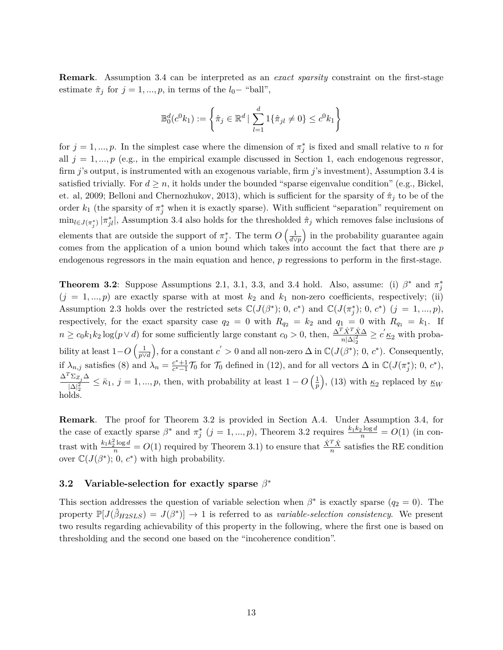**Remark**. Assumption 3.4 can be interpreted as an *exact sparsity* constraint on the first-stage estimate  $\hat{\pi}_j$  for  $j = 1, ..., p$ , in terms of the *l*<sub>0</sub>− "ball",

$$
\mathbb{B}_0^d(c^0 k_1) := \left\{\hat{\pi}_j \in \mathbb{R}^d \mid \sum_{l=1}^d 1\{\hat{\pi}_{jl} \neq 0\} \le c^0 k_1\right\}
$$

for  $j = 1, ..., p$ . In the simplest case where the dimension of  $\pi_j^*$  is fixed and small relative to *n* for all  $j = 1, ..., p$  (e.g., in the empirical example discussed in Section 1, each endogenous regressor, firm *j*'s output, is instrumented with an exogenous variable, firm *j*'s investment), Assumption 3.4 is satisfied trivially. For  $d \geq n$ , it holds under the bounded "sparse eigenvalue condition" (e.g., Bickel, et. al, 2009; Belloni and Chernozhukov, 2013), which is sufficient for the sparsity of  $\hat{\pi}_j$  to be of the order  $k_1$  (the sparsity of  $\pi_j^*$  when it is exactly sparse). With sufficient "separation" requirement on  $\min_{l \in J(\pi_j^*)} |\pi_{jl}^*|$ , Assumption 3.4 also holds for the thresholded  $\hat{\pi}_j$  which removes false inclusions of elements that are outside the support of  $\pi_j^*$ . The term  $O\left(\frac{1}{d\sqrt{2\pi}}\right)$ *d*∨*p* ) in the probability guarantee again comes from the application of a union bound which takes into account the fact that there are *p* endogenous regressors in the main equation and hence, *p* regressions to perform in the first-stage.

**Theorem 3.2**: Suppose Assumptions 2.1, 3.1, 3.3, and 3.4 hold. Also, assume: (i)  $\beta^*$  and  $\pi_j^*$  $(j = 1, ..., p)$  are exactly sparse with at most  $k_2$  and  $k_1$  non-zero coefficients, respectively; (ii) Assumption 2.3 holds over the restricted sets  $\mathbb{C}(J(\beta^*); 0, c^*)$  and  $\mathbb{C}(J(\pi_j^*); 0, c^*)$   $(j = 1, ..., p)$ , respectively, for the exact sparsity case  $q_2 = 0$  with  $R_{q_2} = k_2$  and  $q_1 = 0$  with  $R_{q_1} = k_1$ . If  $n \ge c_0 k_1 k_2 \log(p \vee d)$  for some sufficiently large constant  $c_0 > 0$ , then,  $\frac{\Delta^T \hat{X}^T \hat{X} \Delta}{n |\Delta|^2} \ge c' \underline{\kappa}_2$  with probability at least  $1-O\left(\frac{1}{p\vee} \right)$ *p*∨*d* ), for a constant  $c' > 0$  and all non-zero  $\Delta$  in  $\mathbb{C}(J(\beta^*)$ ; 0,  $c^*$ ). Consequently, if  $\lambda_{n,j}$  satisfies (8) and  $\lambda_n = \frac{c^*+1}{c^*-1}$  $\frac{c^*+1}{c^*-1}$ T<sub>0</sub> for T<sub>0</sub> defined in (12), and for all vectors ∆ in  $\mathbb{C}(J(\pi_j^*); 0, c^*)$ ,  $\Delta^T \Sigma_{Z_j} \Delta$  $\frac{\sum_{Z_j} \Delta}{|\Delta|^2_2} \leq \bar{\kappa}_1, j = 1, ..., p$ , then, with probability at least  $1 - O\left(\frac{1}{p}\right)$ *p* ), (13) with  $\underline{\kappa}_2$  replaced by  $\underline{\kappa}_W$ holds.

**Remark**. The proof for Theorem 3.2 is provided in Section A.4. Under Assumption 3.4, for the case of exactly sparse  $\beta^*$  and  $\pi_j^*$  ( $j = 1, ..., p$ ), Theorem 3.2 requires  $\frac{k_1 k_2 \log d}{n} = O(1)$  (in contrast with  $\frac{k_1 k_2^2 \log d}{n} = O(1)$  required by Theorem 3.1) to ensure that  $\frac{\hat{X}^T \hat{X}}{n}$  satisfies the RE condition over  $\mathbb{C}(J(\beta^*); 0, c^*)$  with high probability.

#### **3.2 Variable-selection for exactly sparse** *β* ∗

This section addresses the question of variable selection when  $\beta^*$  is exactly sparse ( $q_2 = 0$ ). The property  $\mathbb{P}[J(\hat{\beta}_{H2SLS}) = J(\beta^*)] \rightarrow 1$  is referred to as *variable-selection consistency*. We present two results regarding achievability of this property in the following, where the first one is based on thresholding and the second one based on the "incoherence condition".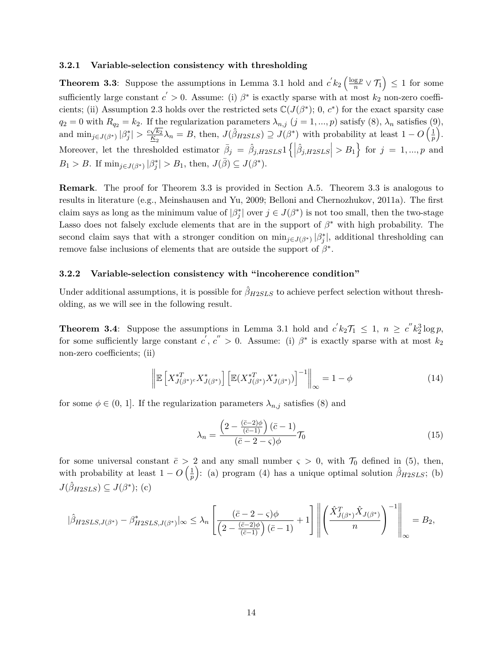#### **3.2.1 Variable-selection consistency with thresholding**

**Theorem 3.3**: Suppose the assumptions in Lemma 3.1 hold and  $c' k_2 \left(\frac{\log p}{n}\right)$  $\frac{S}{n}$   $\vee$   $I_1$  $\Big) \leq 1$  for some sufficiently large constant  $c' > 0$ . Assume: (i)  $\beta^*$  is exactly sparse with at most  $k_2$  non-zero coefficients; (ii) Assumption 2.3 holds over the restricted sets  $\mathbb{C}(J(\beta^*); 0, c^*)$  for the exact sparsity case  $q_2 = 0$  with  $R_{q_2} = k_2$ . If the regularization parameters  $\lambda_{n,j}$  ( $j = 1, ..., p$ ) satisfy (8),  $\lambda_n$  satisfies (9), and  $\min_{j\in J(\beta^*)} |\beta_j^*| > \frac{c\sqrt{k_2}}{K_2} \lambda_n = B$ , then,  $J(\hat{\beta}_{H2SLS}) \supseteq J(\beta^*)$  with probability at least  $1 - O\left(\frac{1}{p}\right)$ *p*  $\big)$  . Moreover, let the thresholded estimator  $\overline{\beta}_j = \hat{\beta}_{j,H2SLS} \left\{ \left| \hat{\beta}_{j,H2SLS} \right| > B_1 \right\}$  for  $j = 1,...,p$  and  $B_1 > B$ . If  $\min_{j \in J(\beta^*)} |\beta_j^*| > B_1$ , then,  $J(\bar{\beta}) \subseteq J(\beta^*)$ .

**Remark**. The proof for Theorem 3.3 is provided in Section A.5. Theorem 3.3 is analogous to results in literature (e.g., Meinshausen and Yu, 2009; Belloni and Chernozhukov, 2011a). The first claim says as long as the minimum value of  $|\beta_j^*|$  over  $j \in J(\beta^*)$  is not too small, then the two-stage Lasso does not falsely exclude elements that are in the support of  $\beta^*$  with high probability. The second claim says that with a stronger condition on  $\min_{j\in J(\beta^*)} |\beta_j^*|$ , additional thresholding can remove false inclusions of elements that are outside the support of *β* ∗ .

#### **3.2.2 Variable-selection consistency with "incoherence condition"**

Under additional assumptions, it is possible for  $\hat{\beta}_{H2SLS}$  to achieve perfect selection without thresholding, as we will see in the following result.

**Theorem 3.4**: Suppose the assumptions in Lemma 3.1 hold and  $c'k_2\mathcal{T}_1 \leq 1$ ,  $n \geq c''k_2^3\log p$ , for some sufficiently large constant  $c', c'' > 0$ . Assume: (i)  $\beta^*$  is exactly sparse with at most  $k_2$ non-zero coefficients; (ii)

$$
\left\| \mathbb{E}\left[X_{J(\beta^*)}^{*T} X_{J(\beta^*)}^{*}\right] \left[\mathbb{E}(X_{J(\beta^*)}^{*T} X_{J(\beta^*)}^{*})\right]^{-1} \right\|_{\infty} = 1 - \phi \tag{14}
$$

for some  $\phi \in (0, 1]$ . If the regularization parameters  $\lambda_{n,j}$  satisfies (8) and

$$
\lambda_n = \frac{\left(2 - \frac{(\bar{c} - 2)\phi}{(\bar{c} - 1)}\right)(\bar{c} - 1)}{(\bar{c} - 2 - \varsigma)\phi} \mathcal{T}_0
$$
\n(15)

for some universal constant  $\bar{c} > 2$  and any small number  $\varsigma > 0$ , with  $\mathcal{T}_0$  defined in (5), then, with probability at least  $1 - O\left(\frac{1}{p}\right)$ *p* ): (a) program (4) has a unique optimal solution  $\hat{\beta}_{H2SLS}$ ; (b)  $J(\hat{\beta}_{H2SLS}) \subseteq J(\beta^*);$  (c)

$$
|\hat{\beta}_{H2SLS,J(\beta^{*})}-\beta^{*}_{H2SLS,J(\beta^{*})}|_{\infty}\leq \lambda_{n}\left[\frac{(\bar{c}-2-\varsigma)\phi}{\left(2-\frac{(\bar{c}-2)\phi}{(\bar{c}-1)}\right)(\bar{c}-1)}+1\right]\left\|\left(\frac{\hat{X}_{J(\beta^{*})}^{T}\hat{X}_{J(\beta^{*})}}{n}\right)^{-1}\right\|_{\infty}=B_{2},
$$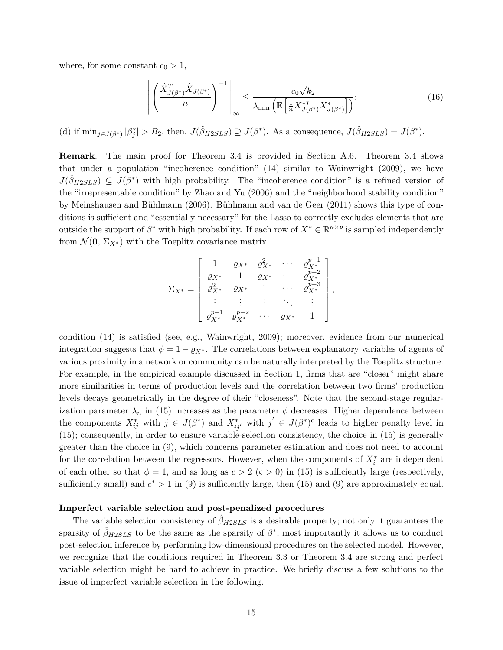where, for some constant  $c_0 > 1$ ,

$$
\left\| \left( \frac{\hat{X}_{J(\beta^*)}^T \hat{X}_{J(\beta^*)}}{n} \right)^{-1} \right\|_{\infty} \le \frac{c_0 \sqrt{k_2}}{\lambda_{\min} \left( \mathbb{E} \left[ \frac{1}{n} X_{J(\beta^*)}^{*T} X_{J(\beta^*)}^* \right] \right)}; \tag{16}
$$

(d) if  $\min_{j \in J(\beta^*)} |\beta_j^*| > B_2$ , then,  $J(\hat{\beta}_{H2SLS}) \supseteq J(\beta^*)$ . As a consequence,  $J(\hat{\beta}_{H2SLS}) = J(\beta^*)$ .

**Remark**. The main proof for Theorem 3.4 is provided in Section A.6. Theorem 3.4 shows that under a population "incoherence condition" (14) similar to Wainwright (2009), we have  $J(\hat{\beta}_{H2SLS}) \subseteq J(\beta^*)$  with high probability. The "incoherence condition" is a refined version of the "irrepresentable condition" by Zhao and Yu (2006) and the "neighborhood stability condition" by Meinshausen and Bühlmann (2006). Bühlmann and van de Geer (2011) shows this type of conditions is sufficient and "essentially necessary" for the Lasso to correctly excludes elements that are outside the support of  $\beta^*$  with high probability. If each row of  $X^* \in \mathbb{R}^{n \times p}$  is sampled independently from  $\mathcal{N}(\mathbf{0}, \Sigma_{X^*})$  with the Toeplitz covariance matrix

$$
\Sigma_{X^*} = \begin{bmatrix} 1 & \varrho_{X^*} & \varrho_{X^*}^2 & \cdots & \varrho_{X^*}^{p-1} \\ \varrho_{X^*} & 1 & \varrho_{X^*} & \cdots & \varrho_{X^*}^{p-2} \\ \varrho_{X^*}^2 & \varrho_{X^*} & 1 & \cdots & \varrho_{X^*}^{p-3} \\ \vdots & \vdots & \vdots & \ddots & \vdots \\ \varrho_{X^*}^{p-1} & \varrho_{X^*}^{p-2} & \cdots & \varrho_{X^*} & 1 \end{bmatrix},
$$

condition (14) is satisfied (see, e.g., Wainwright, 2009); moreover, evidence from our numerical integration suggests that  $\phi = 1 - \varrho_{X^*}$ . The correlations between explanatory variables of agents of various proximity in a network or community can be naturally interpreted by the Toeplitz structure. For example, in the empirical example discussed in Section 1, firms that are "closer" might share more similarities in terms of production levels and the correlation between two firms' production levels decays geometrically in the degree of their "closeness". Note that the second-stage regularization parameter  $\lambda_n$  in (15) increases as the parameter  $\phi$  decreases. Higher dependence between the components  $X_{ij}^*$  with  $j \in J(\beta^*)$  and  $X_{ij'}^*$  with  $j' \in J(\beta^*)^c$  leads to higher penalty level in (15); consequently, in order to ensure variable-selection consistency, the choice in (15) is generally greater than the choice in (9), which concerns parameter estimation and does not need to account for the correlation between the regressors. However, when the components of  $X_i^*$  are independent of each other so that  $\phi = 1$ , and as long as  $\bar{c} > 2$  ( $\varsigma > 0$ ) in (15) is sufficiently large (respectively, sufficiently small) and  $c^*$  > 1 in (9) is sufficiently large, then (15) and (9) are approximately equal.

#### **Imperfect variable selection and post-penalized procedures**

The variable selection consistency of *β*ˆ*H*2*SLS* is a desirable property; not only it guarantees the sparsity of  $\hat{\beta}_{H2SLS}$  to be the same as the sparsity of  $\beta^*$ , most importantly it allows us to conduct post-selection inference by performing low-dimensional procedures on the selected model. However, we recognize that the conditions required in Theorem 3.3 or Theorem 3.4 are strong and perfect variable selection might be hard to achieve in practice. We briefly discuss a few solutions to the issue of imperfect variable selection in the following.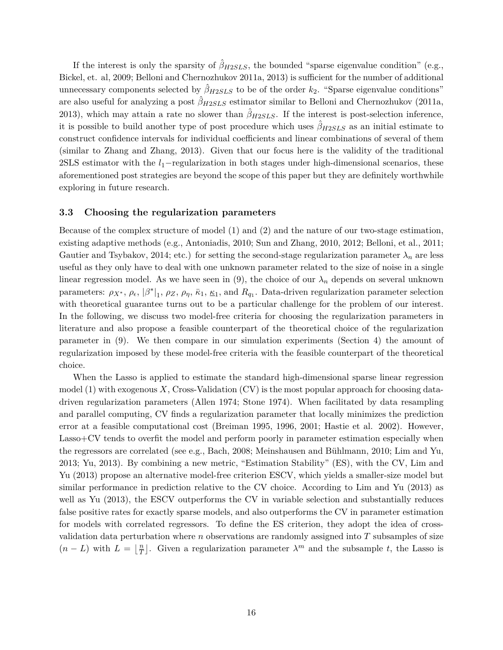If the interest is only the sparsity of  $\hat{\beta}_{H2SLS}$ , the bounded "sparse eigenvalue condition" (e.g., Bickel, et. al, 2009; Belloni and Chernozhukov 2011a, 2013) is sufficient for the number of additional unnecessary components selected by  $\hat{\beta}_{H2SLS}$  to be of the order  $k_2$ . "Sparse eigenvalue conditions" are also useful for analyzing a post *β*ˆ*H*2*SLS* estimator similar to Belloni and Chernozhukov (2011a, 2013), which may attain a rate no slower than  $\hat{\beta}_{H2SLS}$ . If the interest is post-selection inference. it is possible to build another type of post procedure which uses  $\hat{\beta}_{H2SLS}$  as an initial estimate to construct confidence intervals for individual coefficients and linear combinations of several of them (similar to Zhang and Zhang, 2013). Given that our focus here is the validity of the traditional 2SLS estimator with the *l*<sub>1</sub>−regularization in both stages under high-dimensional scenarios, these aforementioned post strategies are beyond the scope of this paper but they are definitely worthwhile exploring in future research.

#### **3.3 Choosing the regularization parameters**

Because of the complex structure of model (1) and (2) and the nature of our two-stage estimation, existing adaptive methods (e.g., Antoniadis, 2010; Sun and Zhang, 2010, 2012; Belloni, et al., 2011; Gautier and Tsybakov, 2014; etc.) for setting the second-stage regularization parameter  $\lambda_n$  are less useful as they only have to deal with one unknown parameter related to the size of noise in a single linear regression model. As we have seen in (9), the choice of our  $\lambda_n$  depends on several unknown parameters:  $\rho_{X^*}, \rho_{\epsilon}, |\beta^*|_1, \rho_Z, \rho_{\eta}, \bar{\kappa}_1, \underline{\kappa}_1$ , and  $R_{q_1}$ . Data-driven regularization parameter selection with theoretical guarantee turns out to be a particular challenge for the problem of our interest. In the following, we discuss two model-free criteria for choosing the regularization parameters in literature and also propose a feasible counterpart of the theoretical choice of the regularization parameter in (9). We then compare in our simulation experiments (Section 4) the amount of regularization imposed by these model-free criteria with the feasible counterpart of the theoretical choice.

When the Lasso is applied to estimate the standard high-dimensional sparse linear regression model  $(1)$  with exogenous X, Cross-Validation  $(CV)$  is the most popular approach for choosing datadriven regularization parameters (Allen 1974; Stone 1974). When facilitated by data resampling and parallel computing, CV finds a regularization parameter that locally minimizes the prediction error at a feasible computational cost (Breiman 1995, 1996, 2001; Hastie et al. 2002). However, Lasso+CV tends to overfit the model and perform poorly in parameter estimation especially when the regressors are correlated (see e.g., Bach, 2008; Meinshausen and Bühlmann, 2010; Lim and Yu, 2013; Yu, 2013). By combining a new metric, "Estimation Stability" (ES), with the CV, Lim and Yu (2013) propose an alternative model-free criterion ESCV, which yields a smaller-size model but similar performance in prediction relative to the CV choice. According to Lim and Yu (2013) as well as Yu (2013), the ESCV outperforms the CV in variable selection and substantially reduces false positive rates for exactly sparse models, and also outperforms the CV in parameter estimation for models with correlated regressors. To define the ES criterion, they adopt the idea of crossvalidation data perturbation where *n* observations are randomly assigned into *T* subsamples of size  $(n - L)$  with  $L = \left\lfloor \frac{n}{T} \right\rfloor$  $T(T)$ . Given a regularization parameter  $\lambda^m$  and the subsample *t*, the Lasso is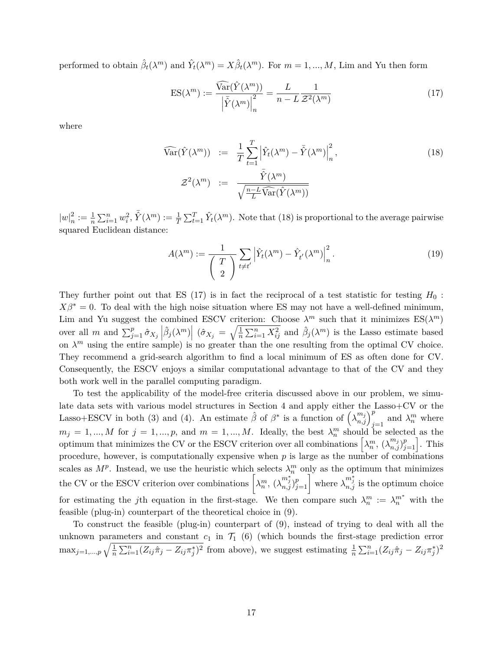performed to obtain  $\hat{\beta}_t(\lambda^m)$  and  $\hat{Y}_t(\lambda^m) = X\hat{\beta}_t(\lambda^m)$ . For  $m = 1, ..., M$ , Lim and Yu then form

$$
ES(\lambda^m) := \frac{\widehat{\text{Var}}(\widehat{Y}(\lambda^m))}{\left|\overline{\widehat{Y}}(\lambda^m)\right|_n^2} = \frac{L}{n - L} \frac{1}{\mathcal{Z}^2(\lambda^m)}
$$
(17)

where

$$
\widehat{\text{Var}}(\hat{Y}(\lambda^m)) := \frac{1}{T} \sum_{t=1}^T \left| \hat{Y}_t(\lambda^m) - \bar{\hat{Y}}(\lambda^m) \right|_n^2,
$$
\n
$$
\mathcal{Z}^2(\lambda^m) := \frac{\bar{\hat{Y}}(\lambda^m)}{\sqrt{\frac{n-L}{L} \widehat{\text{Var}}(\hat{Y}(\lambda^m))}}.
$$
\n(18)

 $|w|_n^2$  $\hat{Y}_n^2 := \frac{1}{n} \sum_{i=1}^n w_i^2$ ,  $\bar{\hat{Y}}(\lambda^m) := \frac{1}{T} \sum_{t=1}^T \hat{Y}_t(\lambda^m)$ . Note that (18) is proportional to the average pairwise squared Euclidean distance:

$$
A(\lambda^m) := \frac{1}{\binom{T}{2}} \sum_{t \neq t'} \left| \hat{Y}_t(\lambda^m) - \hat{Y}_{t'}(\lambda^m) \right|_n^2.
$$
 (19)

They further point out that ES (17) is in fact the reciprocal of a test statistic for testing  $H_0$ :  $X\beta^* = 0$ . To deal with the high noise situation where ES may not have a well-defined minimum, Lim and Yu suggest the combined ESCV criterion: Choose  $\lambda^m$  such that it minimizes  $ES(\lambda^m)$ over all *m* and  $\sum_{j=1}^{p} \hat{\sigma}_{X_j} \left| \hat{\beta}_j(\lambda^m) \right|$  ( $\hat{\sigma}_{X_j} = \sqrt{\frac{1}{n}}$  $\frac{1}{n}\sum_{i=1}^{n} X_{ij}^2$  and  $\hat{\beta}_j(\lambda^m)$  is the Lasso estimate based on  $\lambda^m$  using the entire sample) is no greater than the one resulting from the optimal CV choice. They recommend a grid-search algorithm to find a local minimum of ES as often done for CV. Consequently, the ESCV enjoys a similar computational advantage to that of the CV and they both work well in the parallel computing paradigm.

To test the applicability of the model-free criteria discussed above in our problem, we simulate data sets with various model structures in Section 4 and apply either the Lasso+CV or the Lasso+ESCV in both (3) and (4). An estimate  $\hat{\beta}$  of  $\beta^*$  is a function of  $(\lambda_{n,j}^{m_j})_{j=1}^p$  and  $\lambda_n^m$  where  $m_j = 1, ..., M$  for  $j = 1, ..., p$ , and  $m = 1, ..., M$ . Ideally, the best  $\lambda_n^m$  should be selected as the optimum that minimizes the CV or the ESCV criterion over all combinations  $\left[\lambda_n^m, \, (\lambda_{n,j}^{m_j})_{j=1}^p\right]$ . This procedure, however, is computationally expensive when *p* is large as the number of combinations scales as  $M^p$ . Instead, we use the heuristic which selects  $\lambda_n^m$  only as the optimum that minimizes the CV or the ESCV criterion over combinations  $\left[\lambda_n^m, \, (\lambda_{n,j}^{m_j^*})_{j=1}^p\right]$  where  $\lambda_{n,j}^{m_j^*}$  is the optimum choice for estimating the *j*th equation in the first-stage. We then compare such  $\lambda_n^m := \lambda_n^{m^*}$  with the feasible (plug-in) counterpart of the theoretical choice in (9).

To construct the feasible (plug-in) counterpart of (9), instead of trying to deal with all the unknown parameters and constant  $c_1$  in  $\mathcal{T}_1$  (6) (which bounds the first-stage prediction error  $\max_{j=1,\dots,p} \sqrt{\frac{1}{n} \sum_{i=1}^n (Z_{ij}\hat{\pi}_j - Z_{ij}\pi_j^*)^2}$  from above), we suggest estimating  $\frac{1}{n} \sum_{i=1}^n (Z_{ij}\hat{\pi}_j - Z_{ij}\pi_j^*)^2$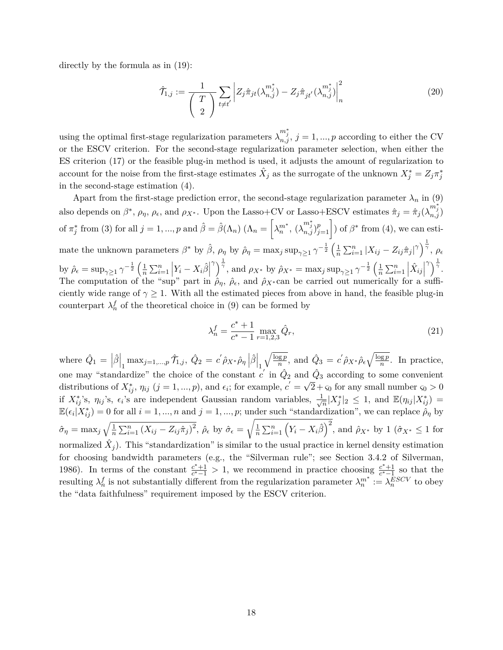directly by the formula as in (19):

$$
\hat{\mathcal{T}}_{1,j} := \frac{1}{\binom{T}{2}} \sum_{t \neq t'} \left| Z_j \hat{\pi}_{jt} (\lambda_{n,j}^{m_j^*}) - Z_j \hat{\pi}_{jt'} (\lambda_{n,j}^{m_j^*}) \right|_n^2 \tag{20}
$$

using the optimal first-stage regularization parameters  $\lambda_{n,j}^{m_j^*}$ ,  $j=1,...,p$  according to either the CV or the ESCV criterion. For the second-stage regularization parameter selection, when either the ES criterion (17) or the feasible plug-in method is used, it adjusts the amount of regularization to account for the noise from the first-stage estimates  $\hat{X}_j$  as the surrogate of the unknown  $X_j^* = Z_j \pi_j^*$ in the second-stage estimation (4).

Apart from the first-stage prediction error, the second-stage regularization parameter  $\lambda_n$  in (9) also depends on  $\beta^*$ ,  $\rho_\eta$ ,  $\rho_\epsilon$ , and  $\rho_{X^*}$ . Upon the Lasso+CV or Lasso+ESCV estimates  $\hat{\pi}_j = \hat{\pi}_j(\lambda_{n,j}^{m_j^*})$ of  $\pi_j^*$  from (3) for all  $j = 1, ..., p$  and  $\hat{\beta} = \hat{\beta}(\Lambda_n)$   $(\Lambda_n = \left[\lambda_n^{m^*}, \left(\lambda_{n,j}^{m^*}\right)_{j=1}^p\right]$  of  $\beta^*$  from (4), we can estimate the unknown parameters  $\beta^*$  by  $\hat{\beta}$ ,  $\rho_{\eta}$  by  $\hat{\rho}_{\eta} = \max_j \sup_{\gamma \ge 1} \gamma^{-\frac{1}{2}} \left( \frac{1}{n} \right)$  $\frac{1}{n}\sum_{i=1}^n|X_{ij}-Z_{ij}\hat{\pi}_j|^{\gamma}\Big)^{\frac{1}{\gamma}},$   $\rho_\epsilon$ by  $\hat{\rho}_{\epsilon} = \sup_{\gamma \geq 1} \gamma^{-\frac{1}{2}} \left( \frac{1}{n} \right)$  $\frac{1}{n}\sum_{i=1}^n$  $\left| Y_i - X_i \hat{\beta} \right|$  $\int_{0}^{\infty} \int_{0}^{\frac{\pi}{2}} f(x) \, dx$ , by  $\hat{\rho}_{X^*} = \max_j \sup_{\gamma \geq 1} \gamma^{-\frac{1}{2}} \left( \frac{1}{n} \right)$  $\frac{1}{n}\sum_{i=1}^n$  $\left| \hat{X}_{ij} \right|$  $\alpha$ <sup>1</sup>, The computation of the "sup" part in  $\hat{\rho}_{\eta}$ ,  $\hat{\rho}_{\epsilon}$ , and  $\hat{\rho}_{X^*}$ can be carried out numerically for a sufficiently wide range of  $\gamma \geq 1$ . With all the estimated pieces from above in hand, the feasible plug-in counterpart  $\lambda_n^f$  of the theoretical choice in (9) can be formed by

$$
\lambda_n^f = \frac{c^* + 1}{c^* - 1} \max_{r=1,2,3} \hat{Q}_r,\tag{21}
$$

where  $\hat{Q}_1 = \left| \hat{\beta} \right|_1 \max_{j=1,\dots,p} \hat{\mathcal{T}}_{1,j}, \hat{Q}_2 = c' \hat{\rho}_{X^*} \hat{\rho}_{\eta} \left| \hat{\beta} \right|_1$  $\sqrt{\log p}$  $\frac{\overline{g p}}{n}$ , and  $\hat{Q}_3 = c' \hat{\rho}_{X^*} \hat{\rho}_{\epsilon} \sqrt{\frac{\log p}{n}}$  $\frac{q}{n}$ . In practice, one may "standardize" the choice of the constant  $c'$  in  $\hat{Q}_2$  and  $\hat{Q}_3$  according to some convenient distributions of  $X_{ij}^*$ ,  $\eta_{ij}$  ( $j = 1, ..., p$ ), and  $\epsilon_i$ ; for example,  $c' = \sqrt{2} + \epsilon_0$  for any small number  $\varsigma_0 > 0$ if  $X^*_{ij}$ 's,  $\eta_{ij}$ 's,  $\epsilon_i$ 's are independent Gaussian random variables,  $\frac{1}{\sqrt{2}}$  $\frac{1}{n}|X_j^*|_2 \leq 1$ , and  $\mathbb{E}(\eta_{ij}|X_{ij}^*) =$  $\mathbb{E}(\epsilon_i | X_{ij}^*) = 0$  for all  $i = 1, ..., n$  and  $j = 1, ..., p$ ; under such "standardization", we can replace  $\rho_{\eta}$  by  $\hat{\sigma}_{\eta} = \max_j \sqrt{\frac{1}{n}}$  $\frac{1}{n}\sum_{i=1}^{n}(X_{ij}-Z_{ij}\hat{\pi}_j)^2$ ,  $\hat{\rho}_{\epsilon}$  by  $\hat{\sigma}_{\epsilon}$  =  $\sqrt{1}$  $\frac{1}{n}\sum_{i=1}^{n} (Y_i - X_i\hat{\beta})^2$ , and  $\hat{\rho}_{X^*}$  by 1 ( $\hat{\sigma}_{X^*} \le 1$  for normalized  $\hat{X}_j$ ). This "standardization" is similar to the usual practice in kernel density estimation for choosing bandwidth parameters (e.g., the "Silverman rule"; see Section 3.4.2 of Silverman, 1986). In terms of the constant  $\frac{c^*+1}{c^*-1}$  $\frac{c^*+1}{c^*-1} > 1$ , we recommend in practice choosing  $\frac{c^*+1}{c^*-1}$  $\frac{c^*+1}{c^*-1}$  so that the resulting  $\lambda_n^f$  is not substantially different from the regularization parameter  $\lambda_n^{m^*} := \lambda_n^{ESCV}$  to obey the "data faithfulness" requirement imposed by the ESCV criterion.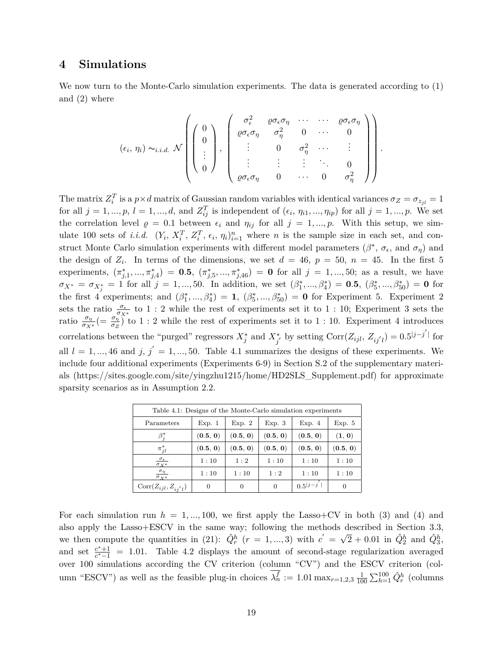## **4 Simulations**

We now turn to the Monte-Carlo simulation experiments. The data is generated according to  $(1)$ and (2) where

$$
(\epsilon_i, \eta_i) \sim_{i.i.d.} \mathcal{N}\left(\left(\begin{array}{c}0\\0\\ \vdots\\0\end{array}\right), \left(\begin{array}{cccc} \sigma_{\epsilon}^2 & \varrho\sigma_{\epsilon}\sigma_{\eta} & \cdots & \cdots & \varrho\sigma_{\epsilon}\sigma_{\eta}\\ \varrho\sigma_{\epsilon}\sigma_{\eta} & \sigma_{\eta}^2 & 0 & \cdots & 0\\ \vdots & \vdots & 0 & \sigma_{\eta}^2 & \cdots & \vdots\\ \varrho\sigma_{\epsilon}\sigma_{\eta} & 0 & \cdots & 0 & \sigma_{\eta}^2\end{array}\right)\right).
$$

The matrix  $Z_i^T$  is a  $p \times d$  matrix of Gaussian random variables with identical variances  $\sigma_Z = \sigma_{z_{jl}} = 1$ for all  $j = 1, ..., p, l = 1, ..., d$ , and  $Z_{ij}^T$  is independent of  $(\epsilon_i, \eta_{i1}, ..., \eta_{ip})$  for all  $j = 1, ..., p$ . We set the correlation level  $\varrho = 0.1$  between  $\epsilon_i$  and  $\eta_{ij}$  for all  $j = 1, ..., p$ . With this setup, we simulate 100 sets of *i.i.d.*  $(Y_i, X_i^T, Z_i^T, \epsilon_i, \eta_i)_{i=1}^n$  where *n* is the sample size in each set, and construct Monte Carlo simulation experiments with different model parameters  $(\beta^*, \sigma_{\epsilon}, \text{ and } \sigma_{\eta})$  and the design of  $Z_i$ . In terms of the dimensions, we set  $d = 46$ ,  $p = 50$ ,  $n = 45$ . In the first 5 experiments,  $(\pi_{j,1}^*,...,\pi_{j,4}^*) = 0.5, (\pi_{j,5}^*,...,\pi_{j,46}^*) = 0$  for all  $j = 1,...,50$ ; as a result, we have  $\sigma_{X^*} = \sigma_{X^*_{j}} = 1$  for all  $j = 1, ..., 50$ . In addition, we set  $(\beta^*_1, ..., \beta^*_4) = \mathbf{0.5}, (\beta^*_5, ..., \beta^*_{50}) = \mathbf{0}$  for the first 4 experiments; and  $(\beta_1^*,...,\beta_4^*) = 1, (\beta_5^*,...,\beta_{50}^*) = 0$  for Experiment 5. Experiment 2 sets the ratio  $\frac{\sigma_{\epsilon}}{\sigma_{X^*}}$  to 1 : 2 while the rest of experiments set it to 1 : 10; Experiment 3 sets the ratio  $\frac{\sigma_{\eta}}{\sigma_{X^*}}$  (=  $\frac{\sigma_{\eta}}{\sigma_Z}$ ) to 1 : 2 while the rest of experiments set it to 1 : 10. Experiment 4 introduces correlations between the "purged" regressors  $X_j^*$  and  $X_{j'}^*$  by setting Corr $(Z_{ijl}, Z_{ij'l}) = 0.5^{|j-j'|}$  for all  $l = 1, ..., 46$  and  $j, j' = 1, ..., 50$ . Table 4.1 summarizes the designs of these experiments. We include four additional experiments (Experiments 6-9) in Section S.2 of the supplementary materials (https://sites.google.com/site/yingzhu1215/home/HD2SLS\_Supplement.pdf) for approximate sparsity scenarios as in Assumption 2.2.

| Table 4.1: Designs of the Monte-Carlo simulation experiments |                |          |                |                |          |  |  |  |  |
|--------------------------------------------------------------|----------------|----------|----------------|----------------|----------|--|--|--|--|
| Parameters                                                   | Exp. 1         | Exp. 2   | Exp. 3         | Exp. 4         | Exp. 5   |  |  |  |  |
| $\beta_i^*$                                                  | (0.5, 0)       | (0.5, 0) | (0.5, 0)       | (0.5, 0)       | (1, 0)   |  |  |  |  |
| $\pi_{jl}^*$                                                 | (0.5, 0)       | (0.5, 0) | (0.5, 0)       | (0.5, 0)       | (0.5, 0) |  |  |  |  |
| $\sigma_{\epsilon}$<br>$\sigma_{X^*}$                        | 1:10           | 1:2      | 1:10           | 1:10           | 1:10     |  |  |  |  |
| $\sigma_{\eta}$<br>$\sigma_{Y^*}$                            | 1:10           | 1:10     | 1:2            | 1:10           | 1:10     |  |  |  |  |
| Corr $(Z_{ijl}, Z_{ii'l})$                                   | $\overline{0}$ | 0        | $\overline{0}$ | $0.5^{ j-j' }$ | 0        |  |  |  |  |

For each simulation run  $h = 1, ..., 100$ , we first apply the Lasso+CV in both (3) and (4) and also apply the Lasso+ESCV in the same way; following the methods described in Section 3.3, we then compute the quantities in (21):  $\hat{Q}_r^h(r=1,\dots,3)$  with  $c'=\sqrt{2}+0.01$  in  $\hat{Q}_2^h$  and  $\hat{Q}_3^h$ , and set  $\frac{c^*+1}{c^*-1}$  $\frac{c^+ + 1}{c^* - 1}$  = 1.01. Table 4.2 displays the amount of second-stage regularization averaged over 100 simulations according the CV criterion (column "CV") and the ESCV criterion (column "ESCV") as well as the feasible plug-in choices  $\lambda_n^f := 1.01 \max_{r=1,2,3} \frac{1}{10}$  $\frac{1}{100} \sum_{h=1}^{100} \hat{Q}_r^h$  (columns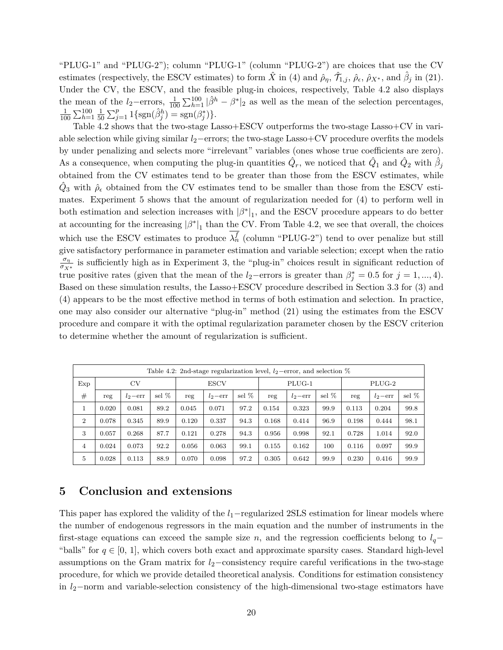"PLUG-1" and "PLUG-2"); column "PLUG-1" (column "PLUG-2") are choices that use the CV estimates (respectively, the ESCV estimates) to form  $\hat{X}$  in (4) and  $\hat{\rho}_{\eta}$ ,  $\hat{\mathcal{T}}_{1,j}$ ,  $\hat{\rho}_{\epsilon}$ ,  $\hat{\rho}_{X^*}$ , and  $\hat{\beta}_j$  in (21). Under the CV, the ESCV, and the feasible plug-in choices, respectively, Table 4.2 also displays the mean of the *l*<sub>2</sub>−errors,  $\frac{1}{100} \sum_{h=1}^{100} |\hat{\beta}^h - \beta^*|_2$  as well as the mean of the selection percentages, 1  $\frac{1}{100} \sum_{h=1}^{100} \frac{1}{50}$  $\frac{1}{50} \sum_{j=1}^{p} 1 \{ \text{sgn}(\hat{\beta}_{j}^{h}) = \text{sgn}(\beta_{j}^{*}) \}.$ 

Table 4.2 shows that the two-stage Lasso+ESCV outperforms the two-stage Lasso+CV in variable selection while giving similar *l*2−errors; the two-stage Lasso+CV procedure overfits the models by under penalizing and selects more "irrelevant" variables (ones whose true coefficients are zero). As a consequence, when computing the plug-in quantities  $\hat{Q}_r$ , we noticed that  $\hat{Q}_1$  and  $\hat{Q}_2$  with  $\hat{\beta}_j$ obtained from the CV estimates tend to be greater than those from the ESCV estimates, while  $\hat{Q}_3$  with  $\hat{\rho}_\epsilon$  obtained from the CV estimates tend to be smaller than those from the ESCV estimates. Experiment 5 shows that the amount of regularization needed for (4) to perform well in both estimation and selection increases with  $\left|\beta^*\right|_1$ , and the ESCV procedure appears to do better at accounting for the increasing  $|\beta^*|_1$  than the CV. From Table 4.2, we see that overall, the choices which use the ESCV estimates to produce  $\lambda_n^f$  (column "PLUG-2") tend to over penalize but still give satisfactory performance in parameter estimation and variable selection; except when the ratio *ση*  $\frac{\sigma_{\eta}}{\sigma_{X^*}}$  is sufficiently high as in Experiment 3, the "plug-in" choices result in significant reduction of true positive rates (given that the mean of the *l*<sub>2</sub>−errors is greater than  $\beta_j^* = 0.5$  for  $j = 1, ..., 4$ ). Based on these simulation results, the Lasso+ESCV procedure described in Section 3.3 for (3) and (4) appears to be the most effective method in terms of both estimation and selection. In practice, one may also consider our alternative "plug-in" method (21) using the estimates from the ESCV procedure and compare it with the optimal regularization parameter chosen by the ESCV criterion to determine whether the amount of regularization is sufficient.

|                | Table 4.2: 2nd-stage regularization level, $l_2$ -error, and selection $\%$ |               |         |             |            |        |       |            |         |       |            |       |
|----------------|-----------------------------------------------------------------------------|---------------|---------|-------------|------------|--------|-------|------------|---------|-------|------------|-------|
| Exp            | CV                                                                          |               |         | <b>ESCV</b> |            | PLUG-1 |       |            | PLUG-2  |       |            |       |
| #              | reg                                                                         | $l_2$ – $err$ | sel $%$ | reg         | $l_2$ -err | sel %  | reg   | $l_2$ -err | sel $%$ | reg   | $l_2$ -err | sel % |
| T              | 0.020                                                                       | 0.081         | 89.2    | 0.045       | 0.071      | 97.2   | 0.154 | 0.323      | 99.9    | 0.113 | 0.204      | 99.8  |
| $\overline{2}$ | 0.078                                                                       | 0.345         | 89.9    | 0.120       | 0.337      | 94.3   | 0.168 | 0.414      | 96.9    | 0.198 | 0.444      | 98.1  |
| 3              | 0.057                                                                       | 0.268         | 87.7    | 0.121       | 0.278      | 94.3   | 0.956 | 0.998      | 92.1    | 0.728 | 1.014      | 92.0  |
| $\overline{4}$ | 0.024                                                                       | 0.073         | 92.2    | 0.056       | 0.063      | 99.1   | 0.155 | 0.162      | 100     | 0.116 | 0.097      | 99.9  |
| 5              | 0.028                                                                       | 0.113         | 88.9    | 0.070       | 0.098      | 97.2   | 0.305 | 0.642      | 99.9    | 0.230 | 0.416      | 99.9  |

## **5 Conclusion and extensions**

This paper has explored the validity of the *l*<sub>1</sub>−regularized 2SLS estimation for linear models where the number of endogenous regressors in the main equation and the number of instruments in the first-stage equations can exceed the sample size *n*, and the regression coefficients belong to  $l_q$ − "balls" for  $q \in [0, 1]$ , which covers both exact and approximate sparsity cases. Standard high-level assumptions on the Gram matrix for *l*2−consistency require careful verifications in the two-stage procedure, for which we provide detailed theoretical analysis. Conditions for estimation consistency in *l*2−norm and variable-selection consistency of the high-dimensional two-stage estimators have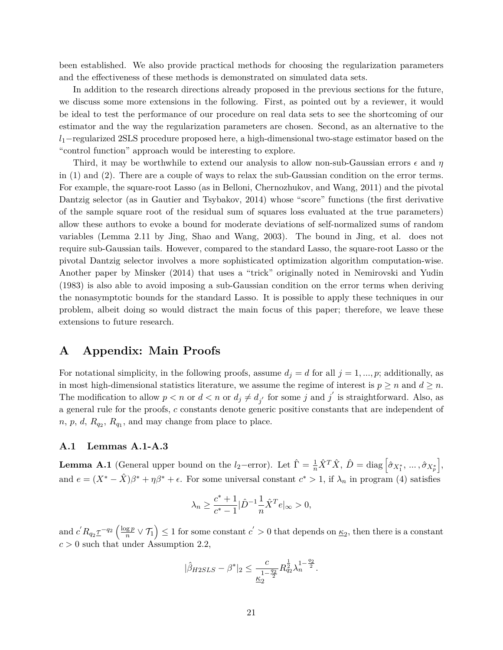been established. We also provide practical methods for choosing the regularization parameters and the effectiveness of these methods is demonstrated on simulated data sets.

In addition to the research directions already proposed in the previous sections for the future, we discuss some more extensions in the following. First, as pointed out by a reviewer, it would be ideal to test the performance of our procedure on real data sets to see the shortcoming of our estimator and the way the regularization parameters are chosen. Second, as an alternative to the *l*1−regularized 2SLS procedure proposed here, a high-dimensional two-stage estimator based on the "control function" approach would be interesting to explore.

Third, it may be worthwhile to extend our analysis to allow non-sub-Gaussian errors *ǫ* and *η* in (1) and (2). There are a couple of ways to relax the sub-Gaussian condition on the error terms. For example, the square-root Lasso (as in Belloni, Chernozhukov, and Wang, 2011) and the pivotal Dantzig selector (as in Gautier and Tsybakov, 2014) whose "score" functions (the first derivative of the sample square root of the residual sum of squares loss evaluated at the true parameters) allow these authors to evoke a bound for moderate deviations of self-normalized sums of random variables (Lemma 2.11 by Jing, Shao and Wang, 2003). The bound in Jing, et al. does not require sub-Gaussian tails. However, compared to the standard Lasso, the square-root Lasso or the pivotal Dantzig selector involves a more sophisticated optimization algorithm computation-wise. Another paper by Minsker (2014) that uses a "trick" originally noted in Nemirovski and Yudin (1983) is also able to avoid imposing a sub-Gaussian condition on the error terms when deriving the nonasymptotic bounds for the standard Lasso. It is possible to apply these techniques in our problem, albeit doing so would distract the main focus of this paper; therefore, we leave these extensions to future research.

## **A Appendix: Main Proofs**

For notational simplicity, in the following proofs, assume  $d_j = d$  for all  $j = 1, ..., p$ ; additionally, as in most high-dimensional statistics literature, we assume the regime of interest is  $p \ge n$  and  $d \ge n$ . The modification to allow  $p < n$  or  $d < n$  or  $d_j \neq d_{j'}$  for some *j* and *j*<sup> $'$ </sup> is straightforward. Also, as a general rule for the proofs, *c* constants denote generic positive constants that are independent of  $n, p, d, R_{q_2}, R_{q_1}$ , and may change from place to place.

#### **A.1 Lemmas A.1-A.3**

**Lemma A.1** (General upper bound on the *l*<sub>2</sub>−error). Let  $\hat{\Gamma} = \frac{1}{n}\hat{X}^T\hat{X}$ ,  $\hat{D} = \text{diag}\left[\hat{\sigma}_{X_1^*}, \dots, \hat{\sigma}_{X_p^*}\right]$ i , and  $e = (X^* - \hat{X})\beta^* + \eta\beta^* + \epsilon$ . For some universal constant  $c^* > 1$ , if  $\lambda_n$  in program (4) satisfies

$$
\lambda_n \ge \frac{c^* + 1}{c^* - 1} |\hat{D}^{-1} \frac{1}{n} \hat{X}^T e|_{\infty} > 0,
$$

and  $c' R_{q_2} \tau^{-q_2} \left( \frac{\log p}{n} \right)$  $\frac{5r}{n}$   $\vee$   $I_1$  $\left( \sum_{i=1}^{n} \sigma_i \right) \leq 1$  for some constant  $c' > 0$  that depends on  $\underline{\kappa}_2$ , then there is a constant  $c > 0$  such that under Assumption 2.2,

$$
|\hat{\beta}_{H2SLS} - \beta^*|_2 \le \frac{c}{\underline{L}_2^{1-\frac{q_2}{2}}} R_{q_2}^{\frac{1}{2}} \lambda_n^{1-\frac{q_2}{2}}.
$$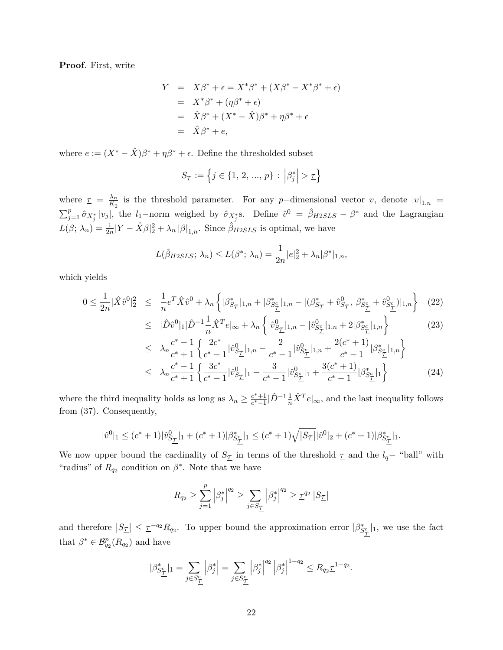**Proof**. First, write

$$
Y = X\beta^* + \epsilon = X^*\beta^* + (X\beta^* - X^*\beta^* + \epsilon)
$$
  
=  $X^*\beta^* + (\eta\beta^* + \epsilon)$   
=  $\hat{X}\beta^* + (X^* - \hat{X})\beta^* + \eta\beta^* + \epsilon$   
=  $\hat{X}\beta^* + \epsilon$ ,

where  $e := (X^* - \hat{X})\beta^* + \eta\beta^* + \epsilon$ . Define the thresholded subset

$$
S_{\underline{\mathcal{T}}}:=\Big\{j\in\{1,\,2,\,...,\,p\}\,:\,\Big|\beta_j^*\Big|>\underline{\tau}\Big\}
$$

where  $\tau = \frac{\lambda_n}{E_2}$  is the threshold parameter. For any *p*-dimensional vector *v*, denote  $|v|_{1,n}$  =  $\sum_{j=1}^{p} \hat{\sigma}_{X_j^*} |v_j|$ , the *l*<sub>1</sub>-norm weighed by  $\hat{\sigma}_{X_j^*}$ s. Define  $\hat{v}^0 = \hat{\beta}_{H2SLS} - \beta^*$  and the Lagrangian  $L(\beta; \lambda_n) = \frac{1}{2n} |Y - \hat{X}\beta|_2^2 + \lambda_n |\beta|_{1,n}$ . Since  $\hat{\beta}_{H2SLS}$  is optimal, we have

$$
L(\hat{\beta}_{H2SLS}; \lambda_n) \le L(\beta^*; \lambda_n) = \frac{1}{2n} |e|_2^2 + \lambda_n |\beta^*|_{1,n},
$$

which yields

$$
0 \le \frac{1}{2n} |\hat{X}\hat{v}^{0}|_{2}^{2} \le \frac{1}{n} e^{T} \hat{X}\hat{v}^{0} + \lambda_{n} \left\{ |\beta_{S_{\underline{T}}}^{*}|_{1,n} + |\beta_{S_{\underline{T}}}^{*}|_{1,n} - |(\beta_{S_{\underline{T}}}^{*} + \hat{v}_{S_{\underline{T}}}^{0}, \beta_{S_{\underline{T}}}^{*} + \hat{v}_{S_{\underline{T}}}^{0})|_{1,n} \right\} \tag{22}
$$

$$
\leq \quad |\hat{D}\hat{v}^{0}|_{1}|\hat{D}^{-1}\frac{1}{n}\hat{X}^{T}e|_{\infty} + \lambda_{n} \left\{ |\hat{v}_{S_{\underline{\mathcal{T}}}}^{0}|_{1,n} - |\hat{v}_{S_{\underline{\mathcal{T}}}}^{0}|_{1,n} + 2|\beta_{S_{\underline{\mathcal{T}}}}^{*}|_{1,n} \right\} \tag{23}
$$

$$
\leq \lambda_n \frac{c^* - 1}{c^* + 1} \left\{ \frac{2c^*}{c^* - 1} |\hat{v}_{S_{\mathcal{I}}}^0|_{1,n} - \frac{2}{c^* - 1} |\hat{v}_{S_{\mathcal{I}}}^0|_{1,n} + \frac{2(c^* + 1)}{c^* - 1} |\beta_{S_{\mathcal{I}}}^*|_{1,n} \right\} \leq \lambda_n \frac{c^* - 1}{c^* + 1} \left\{ \frac{3c^*}{c^* - 1} |\hat{v}_{S_{\mathcal{I}}}^0|_{1} - \frac{3}{c^* - 1} |\hat{v}_{S_{\mathcal{I}}}^0|_{1} + \frac{3(c^* + 1)}{c^* - 1} |\beta_{S_{\mathcal{I}}}^*|_{1} \right\}
$$
\n(24)

where the third inequality holds as long as  $\lambda_n \geq \frac{c^*+1}{c^*-1}$  $\frac{c^*+1}{c^*-1}|\hat{D}^{-1}\frac{1}{n}\hat{X}^Te|_{\infty}$ , and the last inequality follows from (37). Consequently,

$$
|\hat v^0|_1 \leq (c^*+1) |\hat v^0_{S_{\underline{\mathcal T}}}|_1 + (c^*+1) |\beta^*_{S_{\underline{\mathcal T}}^c}|_1 \leq (c^*+1) \sqrt{|S_{\underline{\mathcal T}}}| |\hat v^0|_2 + (c^*+1) |\beta^*_{S_{\underline{\mathcal T}}^c}|_1.
$$

We now upper bound the cardinality of  $S_{\mathcal{I}}$  in terms of the threshold  $\tau$  and the *l*<sub>*q*</sub>− "ball" with "radius" of  $R_{q_2}$  condition on  $\beta^*$ . Note that we have

$$
R_{q_2} \ge \sum_{j=1}^p \left| \beta_j^* \right|^{q_2} \ge \sum_{j \in S_{\underline{\mathcal{T}}}} \left| \beta_j^* \right|^{q_2} \ge \underline{\tau}^{q_2} \left| S_{\underline{\mathcal{T}}} \right|
$$

and therefore  $|S_{\underline{\mathcal{T}}}| \leq \underline{\tau}^{-q_2} R_{q_2}$ . To upper bound the approximation error  $|\beta_{S_{\underline{\mathcal{T}}}}^{*}|_1$ , we use the fact that  $\beta^* \in \mathcal{B}_{q_2}^p(R_{q_2})$  and have

$$
|\beta_{S_{\underline{\mathcal{T}}}^c}^*|_1 = \sum_{j \in S_{\underline{\mathcal{T}}}^c} |\beta_j^*| = \sum_{j \in S_{\underline{\mathcal{T}}}^c} |\beta_j^*|^{q_2} |\beta_j^*|^{1-q_2} \le R_{q_2 \underline{\mathcal{T}}}^{1-q_2}.
$$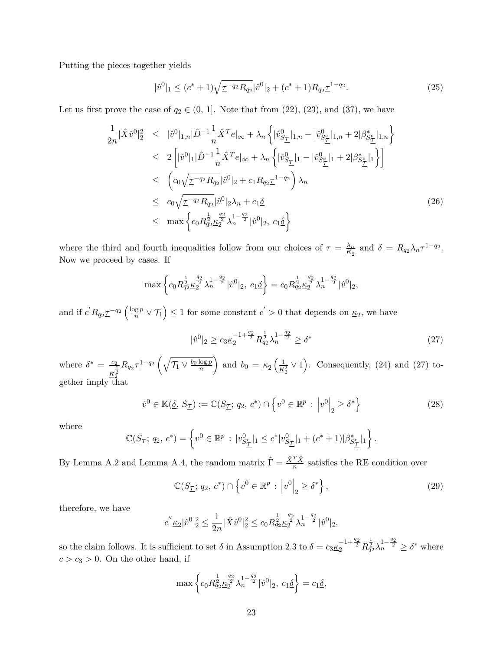Putting the pieces together yields

$$
|\hat{v}^0|_1 \le (c^* + 1)\sqrt{\underline{\tau}^{-q_2}R_{q_2}}|\hat{v}^0|_2 + (c^* + 1)R_{q_2}\underline{\tau}^{1-q_2}.
$$
\n(25)

Let us first prove the case of  $q_2 \in (0, 1]$ . Note that from  $(22)$ ,  $(23)$ , and  $(37)$ , we have

$$
\frac{1}{2n} |\hat{X}\hat{v}^{0}|_{2}^{2} \leq |\hat{v}^{0}|_{1,n} |\hat{D}^{-1} \frac{1}{n} \hat{X}^{T} e|_{\infty} + \lambda_{n} \left\{ |\hat{v}^{0}_{S_{\underline{\mathcal{T}}}}|_{1,n} - |\hat{v}^{0}_{S_{\underline{\mathcal{T}}}}|_{1,n} + 2|\beta^{*}_{S_{\underline{\mathcal{T}}}}|_{1,n} \right\} \n\leq 2 \left[ |\hat{v}^{0}|_{1} |\hat{D}^{-1} \frac{1}{n} \hat{X}^{T} e|_{\infty} + \lambda_{n} \left\{ |\hat{v}^{0}_{S_{\underline{\mathcal{T}}}}|_{1} - |\hat{v}^{0}_{S_{\underline{\mathcal{T}}}}|_{1} + 2|\beta^{*}_{S_{\underline{\mathcal{T}}}}|_{1} \right\} \right] \n\leq \left( c_{0} \sqrt{\underline{\tau}^{-q_{2}} R_{q_{2}}} |\hat{v}^{0}|_{2} + c_{1} R_{q_{2}} \underline{\tau}^{1-q_{2}} \right) \lambda_{n} \n\leq c_{0} \sqrt{\underline{\tau}^{-q_{2}} R_{q_{2}}} |\hat{v}^{0}|_{2} \lambda_{n} + c_{1} \underline{\delta} \n\leq \max \left\{ c_{0} R_{q_{2}}^{\frac{1}{2}} \underline{\kappa}_{2}^{\frac{q_{2}}{2}} \lambda_{n}^{1-\frac{q_{2}}{2}} |\hat{v}^{0}|_{2}, c_{1} \underline{\delta} \right\}
$$
\n(26)

where the third and fourth inequalities follow from our choices of  $\underline{\tau} = \frac{\lambda_n}{\underline{\kappa}_2}$  and  $\underline{\delta} = R_{q_2} \lambda_n \tau^{1-q_2}$ . Now we proceed by cases. If

$$
\max\left\{c_0 R_{q_2 \underline{k}_2}^{\frac{1}{2}} \lambda_n^{\frac{q_2}{2}} \lambda_n^{1-\frac{q_2}{2}} |\hat{v}^0|_2, \ c_1 \underline{\delta} \right\} = c_0 R_{q_2 \underline{k}_2}^{\frac{1}{2}} \lambda_n^{\frac{q_2}{2}} |\hat{v}^0|_2,
$$

and if  $c' R_{q_2} \tau^{-q_2} \left( \frac{\log p}{n} \right)$  $\frac{S}{n}$   $\vee$   $I_1$  $\left( \frac{1}{2} \right) \leq 1$  for some constant  $c' > 0$  that depends on  $\underline{\kappa}_2$ , we have

$$
|\hat{v}^0|_2 \ge c_3 \underline{\kappa}_2^{-1 + \frac{q_2}{2}} R_{q_2}^{\frac{1}{2}} \lambda_n^{1 - \frac{q_2}{2}} \ge \delta^*
$$
\n
$$
(27)
$$

where  $\delta^* = \frac{c_2}{1}$  $\overline{\kappa_2^{\frac{1}{2}}}$  $R_{q_2} \underline{\tau}^{1-q_2} \left( \sqrt{\right)$  $\mathcal{T}_1 \vee \frac{b_0\log p}{n}$ *n* and  $b_0 = \underline{\kappa}_2 \left( \frac{1}{\underline{\kappa}_2^2} \vee 1 \right)$ . Consequently, (24) and (27) together imply that

$$
\hat{v}^0 \in \mathbb{K}(\underline{\delta}, S_{\underline{\mathcal{T}}}) := \mathbb{C}(S_{\underline{\mathcal{T}}}; q_2, c^*) \cap \left\{ v^0 \in \mathbb{R}^p : \left| v^0 \right|_2 \ge \delta^* \right\} \tag{28}
$$

where

$$
\mathbb{C}(S_{\underline{\mathcal{T}}}; q_2, c^*) = \left\{ v^0 \in \mathbb{R}^p : |v_{S_{\underline{\mathcal{T}}}^c}^0|_1 \leq c^* |v_{S_{\underline{\mathcal{T}}}^0}^0|_1 + (c^* + 1)|\beta_{S_{\underline{\mathcal{T}}}^c}^*|_1 \right\}.
$$

By Lemma A.2 and Lemma A.4, the random matrix  $\hat{\Gamma} = \frac{\hat{X}^T \hat{X}}{n}$  satisfies the RE condition over

$$
\mathbb{C}(S_{\mathcal{I}}; q_2, c^*) \cap \left\{v^0 \in \mathbb{R}^p : \left|v^0\right|_2 \ge \delta^*\right\},\tag{29}
$$

therefore, we have

$$
c''\underline{\kappa}_2|\hat{v}^0|_2^2 \le \frac{1}{2n}|\hat{X}\hat{v}^0|_2^2 \le c_0 R_{q_2}^{\frac{1}{2}}\underline{\kappa}_2^{\frac{q_2}{2}}\lambda_n^{1-\frac{q_2}{2}}|\hat{v}^0|_2,
$$

so the claim follows. It is sufficient to set  $\delta$  in Assumption 2.3 to  $\delta = c_3 \underline{\kappa}_2^{-1+\frac{q_2}{2}} R_{q_2}^{\frac{1}{2}} \lambda_n^{1-\frac{q_2}{2}} \ge \delta^*$  where  $c > c_3 > 0$ . On the other hand, if

$$
\max \left\{ c_0 R_{q_2 \underline{\kappa}_2}^{\frac{1}{2}} \lambda_n^{\frac{q_2}{2}} \lambda_n^{1 - \frac{q_2}{2}} |\hat{v}^0|_2, \ c_1 \underline{\delta} \right\} = c_1 \underline{\delta},
$$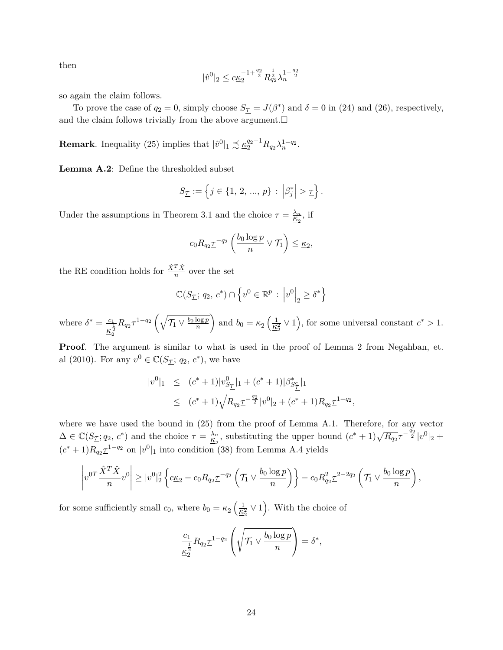then

$$
|\hat{v}^0|_2 \leq c\underline{\kappa}_2^{-1+\frac{q_2}{2}} R_{q_2}^{\frac{1}{2}} \lambda_n^{1-\frac{q_2}{2}}
$$

so again the claim follows.

To prove the case of  $q_2 = 0$ , simply choose  $S_{\mathcal{I}} = J(\beta^*)$  and  $\underline{\delta} = 0$  in (24) and (26), respectively, and the claim follows trivially from the above argument.  $\square$ 

**Remark**. Inequality (25) implies that  $|\hat{v}^0|_1 \precsim \underline{\kappa}_2^{q_2-1} R_{q_2} \lambda_n^{1-q_2}$ .

**Lemma A.2**: Define the thresholded subset

$$
S_{\underline{\mathcal{T}}} := \left\{ j \in \{1, 2, ..., p\} \, : \, \left| \beta_j^* \right| > \underline{\tau} \right\}.
$$

Under the assumptions in Theorem 3.1 and the choice  $\underline{\tau} = \frac{\lambda_n}{\underline{\kappa}_2}$ , if

$$
c_0 R_{q_2} \underline{\tau}^{-q_2} \left( \frac{b_0 \log p}{n} \vee \mathcal{T}_1 \right) \leq \underline{\kappa}_2,
$$

the RE condition holds for  $\frac{\hat{X}^T \hat{X}}{n}$  over the set

$$
\mathbb{C}(S_{\underline{\mathcal{T}}};\, q_2,\, c^*)\cap \left\{v^0\in\mathbb{R}^p\,:\, \left|v^0\right|_2\geq \delta^*\right\}
$$

where  $\delta^* = \frac{c_1}{1}$  $\frac{1}{\kappa_{2}^{2}}$  $R_{q_2}\underline{\tau}^{1-q_2}$   $\left(\sqrt{\frac{q_2+q_1}{q_1-q_2}}\right)$  $\mathcal{T}_1 \vee \frac{b_0\log p}{n}$ *n* and  $b_0 = \underline{\kappa}_2 \left( \frac{1}{\underline{\kappa}_2^2} \vee 1 \right)$ , for some universal constant  $c^* > 1$ .

**Proof**. The argument is similar to what is used in the proof of Lemma 2 from Negahban, et. al (2010). For any  $v^0 \in \mathbb{C} (S_{\mathcal{I}}; q_2, c^*)$ , we have

$$
|v^{0}|_{1} \leq (c^{*} + 1)|v_{S_{\underline{\mathcal{T}}}}^{0}|_{1} + (c^{*} + 1)|\beta_{S_{\underline{\mathcal{T}}}}^{*}|_{1}
$$
  
 
$$
\leq (c^{*} + 1)\sqrt{R_{q_{2}}\underline{\tau}}^{-\frac{q_{2}}{2}}|v^{0}|_{2} + (c^{*} + 1)R_{q_{2}}\underline{\tau}^{1-q_{2}},
$$

where we have used the bound in (25) from the proof of Lemma A.1. Therefore, for any vector  $\Delta \in \mathbb{C}(\overline{S_{\mathcal{I}}}; q_2, c^*)$  and the choice  $\underline{\tau} = \frac{\lambda_n}{\underline{K}_2}$ , substituting the upper bound  $(c^* + 1)\sqrt{R_{q_2}}\underline{\tau}^{-\frac{q_2}{2}}|v^0|_2 +$  $(c^* + 1)R_{q_2}\mathcal{I}^{1-q_2}$  on  $|v^0|_1$  into condition (38) from Lemma A.4 yields

$$
\left| v^{0T} \frac{\hat{X}^T \hat{X}}{n} v^0 \right| \geq |v^0|_2^2 \left\{ c_{\underline{K}_2} - c_0 R_{q_2 \underline{\tau}}^{-q_2} \left( \mathcal{T}_1 \vee \frac{b_0 \log p}{n} \right) \right\} - c_0 R_{q_2 \underline{\tau}}^2 \underline{\tau}^{2-2q_2} \left( \mathcal{T}_1 \vee \frac{b_0 \log p}{n} \right),
$$

for some sufficiently small  $c_0$ , where  $b_0 = \underline{\kappa}_2 \left( \frac{1}{\underline{\kappa}_2^2} \vee 1 \right)$ . With the choice of

$$
\frac{c_1}{\underline{\kappa}_2^{\frac{1}{2}}}R_{q_2}\underline{\tau}^{1-q_2}\left(\sqrt{\mathcal{T}_1\vee\frac{b_0\log p}{n}}\right)=\delta^*,
$$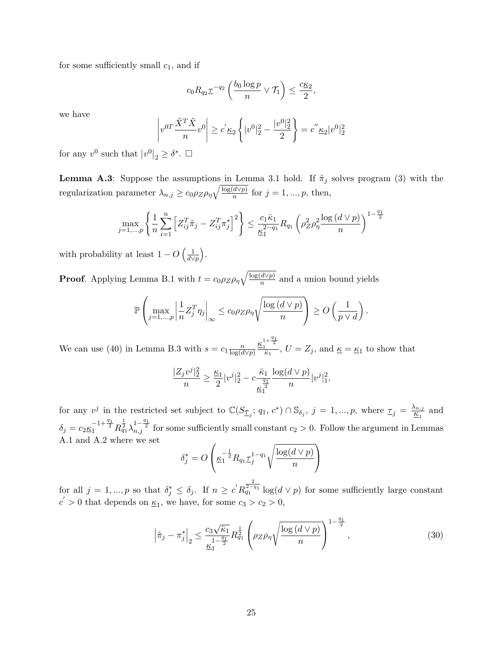for some sufficiently small *c*1, and if

$$
c_0 R_{q_2} \underline{\tau}^{-q_2} \left( \frac{b_0 \log p}{n} \vee \mathcal{T}_1 \right) \leq \frac{c_{K_2}}{2},
$$

we have

$$
\left| v^{0T} \frac{\hat{X}^T \hat{X}}{n} v^0 \right| \ge c' \underline{\kappa}_2 \left\{ |v^0|_2^2 - \frac{|v^0|_2^2}{2} \right\} = c'' \underline{\kappa}_2 |v^0|_2^2
$$

for any  $v^0$  such that  $|v^0|_2 \geq \delta^*$ .  $\square$ 

**Lemma A.3**: Suppose the assumptions in Lemma 3.1 hold. If  $\hat{\pi}_j$  solves program (3) with the regularization parameter  $\lambda_{n,j} \ge c_0 \rho_Z \rho_\eta \sqrt{\frac{\log(d \vee p)}{n}}$  for  $j = 1, ..., p$ , then,

$$
\max_{j=1,\dots,p} \left\{ \frac{1}{n} \sum_{i=1}^n \left[ Z_{ij}^T \hat{\pi}_j - Z_{ij}^T \pi_j^* \right]^2 \right\} \le \frac{c_1 \bar{\kappa}_1}{\underline{\kappa}_1^{2-q_1}} R_{q_1} \left( \rho_Z^2 \rho_\eta^2 \frac{\log \left( d \vee p \right)}{n} \right)^{1-\frac{q_1}{2}}
$$

with probability at least  $1 - O\left(\frac{1}{d\sqrt{d}}\right)$ *d*∨*p* .

**Proof**. Applying Lemma B.1 with  $t = c_0 \rho_Z \rho_\eta \sqrt{\frac{\log(d \vee p)}{n}}$  and a union bound yields

$$
\mathbb{P}\left(\max_{j=1,\dots,p}\left|\frac{1}{n}Z_j^T\eta_j\right|_{\infty}\leq c_0\rho_Z\rho_\eta\sqrt{\frac{\log\left(d\vee p\right)}{n}}\right)\geq O\left(\frac{1}{p\vee d}\right).
$$

We can use (40) in Lemma B.3 with  $s = c_1 \frac{n}{\log(d)}$ log(*d*∨*p*)  $\frac{\underline{\kappa}_1^{1+\frac{q_1}{2}}}{\overline{\kappa}_1}$ ,  $U = Z_j$ , and  $\underline{\kappa} = \underline{\kappa}_1$  to show that

$$
\frac{|Z_j v^j|_2^2}{n} \ge \frac{\underline{\kappa_1}}{2} |v^j|_2^2 - c \frac{\overline{\kappa_1}}{\underline{\kappa_1}^2} \frac{\log(d \vee p)}{n} |v^j|_1^2,
$$

for any  $v^j$  in the restricted set subject to  $\mathbb{C}(S_{\mathcal{I}_j}; q_1, c^*) \cap \mathbb{S}_{\delta_j}, j = 1, ..., p$ , where  $\underline{\tau}_j = \frac{\lambda_{n,j}}{\underline{\kappa}_1}$  and  $\delta_j = c_2 \underline{\kappa}_1^{-1+\frac{q_1}{2}} R_{q_1}^{\frac{1}{2}} \lambda_{n,j}^{1-\frac{q_1}{2}}$  for some sufficiently small constant  $c_2 > 0$ . Follow the argument in Lemmas A.1 and A.2 where we set

$$
\delta_j^* = O\left(\underline{\kappa_1^{-\frac{1}{2}}R_{q_1\mathcal{I}_j^{-1-q_1}}\sqrt{\frac{\log(d\vee p)}{n}}}\right)
$$

for all  $j = 1, ..., p$  so that  $\delta_j^* \leq \delta_j$ . If  $n \geq c'R$  $\frac{2}{q_1}$   $\log(d \vee p)$  for some sufficiently large constant  $c' > 0$  that depends on  $\underline{\kappa}_1$ , we have, for some  $c_3 > c_2 > 0$ ,

$$
\left|\hat{\pi}_j - \pi_j^*\right|_2 \le \frac{c_3\sqrt{\bar{\kappa}_1}}{\frac{1}{\bar{\kappa}_1}^{\frac{q_1}{2}}} R_{q_1}^{\frac{1}{2}} \left(\rho_Z \rho_\eta \sqrt{\frac{\log\left(d \vee p\right)}{n}}\right)^{1-\frac{q_1}{2}},\tag{30}
$$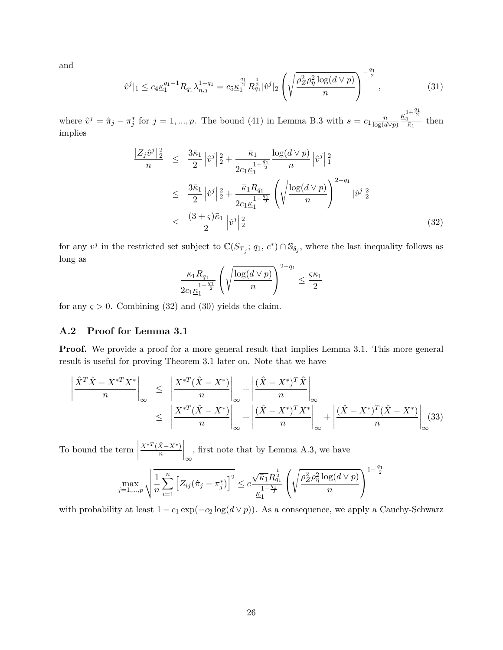and

$$
|\hat{v}^{j}|_{1} \leq c_{4}\underline{\kappa}_{1}^{q_{1}-1}R_{q_{1}}\lambda_{n,j}^{1-q_{1}} = c_{5}\underline{\kappa}_{1}^{\frac{q_{1}}{2}}R_{q_{1}}^{\frac{1}{2}}|\hat{v}^{j}|_{2}\left(\sqrt{\frac{\rho_{Z}^{2}\rho_{\eta}^{2}\log(d\vee p)}{n}}\right)^{-\frac{q_{1}}{2}},\tag{31}
$$

where  $\hat{v}^j = \hat{\pi}_j - \pi_j^*$  for  $j = 1, ..., p$ . The bound (41) in Lemma B.3 with  $s = c_1 \frac{n}{\log(d)}$ log(*d*∨*p*)  $\frac{\kappa_1^{1+\frac{q_1}{2}}}{\bar{\kappa}_1}$  then implies

$$
\frac{|Z_j\hat{v}^j|_2^2}{n} \leq \frac{3\bar{\kappa}_1}{2} |\hat{v}^j|_2^2 + \frac{\bar{\kappa}_1}{2c_1\underline{\kappa}_1^{1+\frac{q_1}{2}}} \frac{\log(d\vee p)}{n} |\hat{v}^j|_1^2
$$
  

$$
\leq \frac{3\bar{\kappa}_1}{2} |\hat{v}^j|_2^2 + \frac{\bar{\kappa}_1 R_{q_1}}{2c_1\underline{\kappa}_1^{1-\frac{q_1}{2}}} \left( \sqrt{\frac{\log(d\vee p)}{n}} \right)^{2-q_1} |\hat{v}^j|_2^2
$$
  

$$
\leq \frac{(3+\varsigma)\bar{\kappa}_1}{2} |\hat{v}^j|_2^2
$$
 (32)

for any  $v^j$  in the restricted set subject to  $\mathbb{C}(S_{\mathcal{I}_j}; q_1, c^*) \cap \mathbb{S}_{\delta_j}$ , where the last inequality follows as long as

$$
\frac{\bar{\kappa}_1 R_{q_1}}{2c_1\underline{\kappa}_1^{\ 1-\frac{q_1}{2}}}\left(\sqrt{\frac{\log(d\vee p)}{n}}\right)^{2-q_1}\leq \frac{\varsigma\bar{\kappa}_1}{2}
$$

for any  $\varsigma > 0$ . Combining (32) and (30) yields the claim.

#### **A.2 Proof for Lemma 3.1**

**Proof.** We provide a proof for a more general result that implies Lemma 3.1. This more general result is useful for proving Theorem 3.1 later on. Note that we have

$$
\left| \frac{\hat{X}^T \hat{X} - X^{*T} X^*}{n} \right|_{\infty} \leq \left| \frac{X^{*T} (\hat{X} - X^*)}{n} \right|_{\infty} + \left| \frac{(\hat{X} - X^*)^T \hat{X}}{n} \right|_{\infty}
$$

$$
\leq \left| \frac{X^{*T} (\hat{X} - X^*)}{n} \right|_{\infty} + \left| \frac{(\hat{X} - X^*)^T X^*}{n} \right|_{\infty} + \left| \frac{(\hat{X} - X^*)^T (\hat{X} - X^*)}{n} \right|_{\infty} (33)
$$

To bound the term  $\frac{X^{*T}(\hat{X}-X^*)}{n}$  $\Big|_{∞}$ , first note that by Lemma A.3, we have

$$
\max_{j=1,\dots,p} \sqrt{\frac{1}{n} \sum_{i=1}^n \left[ Z_{ij}(\hat{\pi}_j - \pi_j^*) \right]^2} \leq c \frac{\sqrt{\bar{\kappa}_1} R_{q_1}^{\frac{1}{2}}}{\frac{1 - \frac{q_1}{2}}{\bar{\kappa}_1}} \left( \sqrt{\frac{\rho_Z^2 \rho_\eta^2 \log(d \vee p)}{n}} \right)^{1 - \frac{q_1}{2}}
$$

with probability at least  $1 - c_1 \exp(-c_2 \log(d \vee p))$ . As a consequence, we apply a Cauchy-Schwarz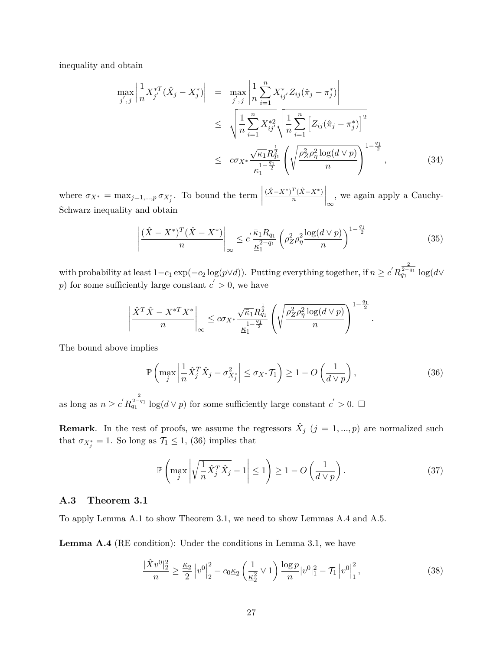inequality and obtain

$$
\max_{j',j} \left| \frac{1}{n} X_{j'}^{*T} (\hat{X}_j - X_j^*) \right| = \max_{j',j} \left| \frac{1}{n} \sum_{i=1}^n X_{ij'}^{*} Z_{ij} (\hat{\pi}_j - \pi_j^*) \right|
$$
\n
$$
\leq \sqrt{\frac{1}{n} \sum_{i=1}^n X_{ij'}^{*2}} \sqrt{\frac{1}{n} \sum_{i=1}^n \left[ Z_{ij} (\hat{\pi}_j - \pi_j^*) \right]^2}
$$
\n
$$
\leq c \sigma_{X^*} \frac{\sqrt{\bar{\kappa}_1} R_{q_1}^{\frac{1}{2}}}{\frac{1}{\bar{\kappa}_1} \left( \sqrt{\frac{\rho_Z^2 \rho_\eta^2 \log(d \vee p)}{n}} \right)^{1 - \frac{q_1}{2}}},
$$
\n(34)

where  $\sigma_{X^*} = \max_{j=1,\dots,p} \sigma_{X_j^*}$ . To bound the term  $\frac{(\hat{X}-X^*)^T(\hat{X}-X^*)}{n}$  $\Big|_{∞}$ , we again apply a Cauchy-Schwarz inequality and obtain

$$
\left| \frac{(\hat{X} - X^*)^T (\hat{X} - X^*)}{n} \right|_{\infty} \le c' \frac{\bar{\kappa}_1 R_{q_1}}{\underline{\kappa}_1^{2 - q_1}} \left( \rho_Z^2 \rho_\eta^2 \frac{\log(d \vee p)}{n} \right)^{1 - \frac{q_1}{2}} \tag{35}
$$

with probability at least  $1-c_1 \exp(-c_2 \log(p \vee d))$ . Putting everything together, if  $n \ge c'R$  $\frac{2}{q_1^{2-q_1}}$  log(*d*∨ *p*) for some sufficiently large constant  $c' > 0$ , we have

$$
\left| \frac{\hat{X}^T \hat{X} - X^{*T} X^*}{n} \right|_{\infty} \le c \sigma_{X^*} \frac{\sqrt{\bar{\kappa}_1} R_{q_1}^{\frac{1}{2}}}{\frac{\kappa_1}{\bar{\kappa}_1}^{q_1}} \left( \sqrt{\frac{\rho_Z^2 \rho_\eta^2 \log (d \vee p)}{n}} \right)^{1-\frac{q_1}{2}}
$$

The bound above implies

$$
\mathbb{P}\left(\max_{j} \left|\frac{1}{n}\hat{X}_{j}^{T}\hat{X}_{j} - \sigma_{X_{j}^{*}}^{2}\right| \leq \sigma_{X^{*}}\mathcal{T}_{1}\right) \geq 1 - O\left(\frac{1}{d\vee p}\right),\tag{36}
$$

*.*

as long as  $n \ge c'R$  $\frac{2}{2-q_1}$  log(*d* ∨ *p*) for some sufficiently large constant  $c' > 0$ . □

**Remark**. In the rest of proofs, we assume the regressors  $\hat{X}_j$  ( $j = 1, ..., p$ ) are normalized such that  $\sigma_{X^*_j} = 1$ . So long as  $\mathcal{T}_1 \leq 1$ , (36) implies that

$$
\mathbb{P}\left(\max_{j} \left| \sqrt{\frac{1}{n}\hat{X}_{j}^{T}\hat{X}_{j}} - 1 \right| \leq 1 \right) \geq 1 - O\left(\frac{1}{d \vee p}\right). \tag{37}
$$

#### **A.3 Theorem 3.1**

To apply Lemma A.1 to show Theorem 3.1, we need to show Lemmas A.4 and A.5.

**Lemma A.4** (RE condition): Under the conditions in Lemma 3.1, we have

$$
\frac{|\hat{X}v^{0}|_{2}^{2}}{n} \ge \frac{\kappa_{2}}{2} \left| v^{0} \right|_{2}^{2} - c_{0}\kappa_{2} \left( \frac{1}{\kappa_{2}^{2}} \vee 1 \right) \frac{\log p}{n} |v^{0}|_{1}^{2} - \mathcal{T}_{1} \left| v^{0} \right|_{1}^{2},\tag{38}
$$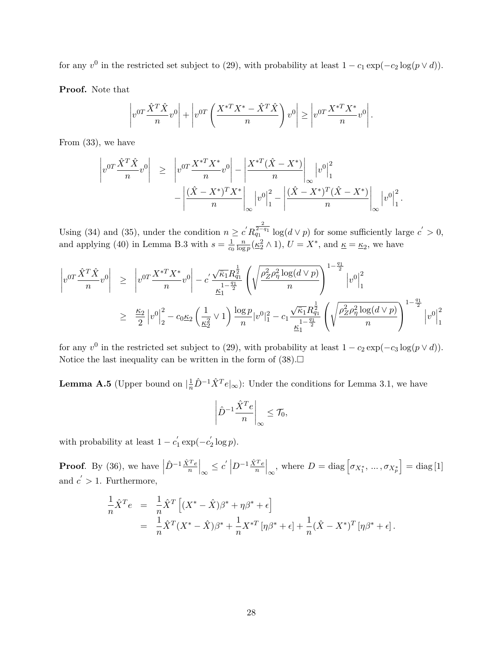for any  $v^0$  in the restricted set subject to (29), with probability at least  $1 - c_1 \exp(-c_2 \log(p \vee d))$ .

**Proof.** Note that

$$
\left| v^{0T} \frac{\hat{X}^T \hat{X}}{n} v^0 \right| + \left| v^{0T} \left( \frac{X^{*T} X^* - \hat{X}^T \hat{X}}{n} \right) v^0 \right| \ge \left| v^{0T} \frac{X^{*T} X^*}{n} v^0 \right|.
$$

From (33), we have

$$
\left| v^{0T} \frac{\hat{X}^T \hat{X}}{n} v^0 \right| \geq \left| v^{0T} \frac{X^{*T} X^*}{n} v^0 \right| - \left| \frac{X^{*T} (\hat{X} - X^*)}{n} \right|_{\infty} \left| v^0 \right|_1^2 - \left| \frac{(\hat{X} - X^*)^T X^*}{n} \right|_{\infty} \left| v^0 \right|_1^2 - \left| \frac{(\hat{X} - X^*)^T (\hat{X} - X^*)}{n} \right|_{\infty} \left| v^0 \right|_1^2.
$$

Using (34) and (35), under the condition  $n \ge c'R$  $\frac{2}{2-q_1}$   $\log(d \vee p)$  for some sufficiently large  $c' > 0$ , and applying (40) in Lemma B.3 with  $s = \frac{1}{c}$ *c*0 *n*  $\frac{n}{\log p}(\underline{\kappa}_2^2 \wedge 1), U = X^*$ , and  $\underline{\kappa} = \underline{\kappa}_2$ , we have

$$
\begin{array}{rcl} \left|v^{0T}\frac{\hat{X}^T\hat{X}}{n}v^0\right| & \geq & \left|v^{0T}\frac{X^{\ast T}X^{\ast}}{n}v^0\right| - c^{'}\frac{\sqrt{\bar{\kappa}_1}R_{q_1}^{\frac{1}{2}}}{\frac{\bar{\kappa}_1^{1-\frac{q_1}{2}}}{2}}\left(\sqrt{\frac{\rho_Z^2\rho_\eta^2\log(d\vee p)}{n}}\right)^{1-\frac{q_1}{2}}\left|v^0\right|_1^2 \\ & \geq & \frac{\bar{\kappa}_2}{2}\left|v^0\right|_2^2 - c_0\underline{\kappa}_2\left(\frac{1}{\underline{\kappa}_2^2}\vee 1\right)\frac{\log p}{n}\left|v^0\right|_1^2 - c_1\frac{\sqrt{\bar{\kappa}_1}R_{q_1}^{\frac{1}{2}}}{\underline{\kappa}_1^{1-\frac{q_1}{2}}}\left(\sqrt{\frac{\rho_Z^2\rho_\eta^2\log(d\vee p)}{n}}\right)^{1-\frac{q_1}{2}}\left|v^0\right|_1^2 \end{array}
$$

for any  $v^0$  in the restricted set subject to (29), with probability at least  $1 - c_2 \exp(-c_3 \log(p \vee d))$ . Notice the last inequality can be written in the form of  $(38)$ .

**Lemma A.5** (Upper bound on  $|\frac{1}{n}\hat{D}^{-1}\hat{X}^Te|_{\infty}$ ): Under the conditions for Lemma 3.1, we have

$$
\left|\hat{D}^{-1}\frac{\hat{X}^Te}{n}\right|_{\infty}\leq \mathcal{T}_0,
$$

with probability at least  $1 - c'_1$  $y'_1 \exp(-c'_2)$  $\frac{1}{2} \log p$ ).

**Proof.** By (36), we have  $\left| \hat{D}^{-1} \frac{\hat{X}^T e}{n} \right|$  $\Big|_{\infty} \leq c' \Big| D^{-1} \frac{\hat{X}^T e}{n}$  $|_∞$ , where  $D = \text{diag}\left[\sigma_{X_1^*}, \dots, \sigma_{X_p^*}\right]$  $= diag[1]$ and  $c' > 1$ . Furthermore,

$$
\frac{1}{n}\hat{X}^T e = \frac{1}{n}\hat{X}^T \left[ (X^* - \hat{X})\beta^* + \eta \beta^* + \epsilon \right] \n= \frac{1}{n}\hat{X}^T (X^* - \hat{X})\beta^* + \frac{1}{n}X^{*T} \left[ \eta \beta^* + \epsilon \right] + \frac{1}{n}(\hat{X} - X^*)^T \left[ \eta \beta^* + \epsilon \right].
$$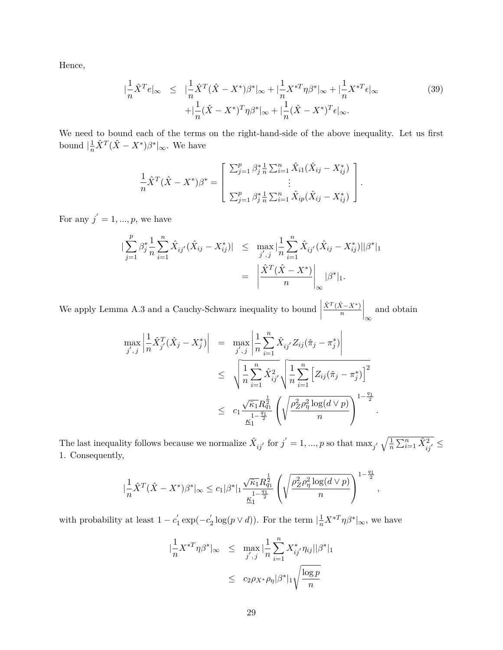Hence,

$$
\left| \frac{1}{n} \hat{X}^T e \right|_{\infty} \leq \left| \frac{1}{n} \hat{X}^T (\hat{X} - X^*) \beta^* \right|_{\infty} + \left| \frac{1}{n} X^{*T} \eta \beta^* \right|_{\infty} + \left| \frac{1}{n} X^{*T} \epsilon \right|_{\infty} + \left| \frac{1}{n} (\hat{X} - X^*)^T \eta \beta^* \right|_{\infty} + \left| \frac{1}{n} (\hat{X} - X^*)^T \epsilon \right|_{\infty} . \tag{39}
$$

We need to bound each of the terms on the right-hand-side of the above inequality. Let us first bound  $\left|\frac{1}{n}\hat{X}^T(\hat{X} - X^*)\beta^*\right|_{\infty}$ . We have

$$
\frac{1}{n}\hat{X}^T(\hat{X} - X^*)\beta^* = \begin{bmatrix} \sum_{j=1}^p \beta_j^* \frac{1}{n} \sum_{i=1}^n \hat{X}_{i1}(\hat{X}_{ij} - X_{ij}^*) \\ \vdots \\ \sum_{j=1}^p \beta_j^* \frac{1}{n} \sum_{i=1}^n \hat{X}_{ip}(\hat{X}_{ij} - X_{ij}^*) \end{bmatrix}.
$$

For any  $j' = 1, ..., p$ , we have

$$
\begin{aligned}\n|\sum_{j=1}^{p} \beta_j^* \frac{1}{n} \sum_{i=1}^{n} \hat{X}_{ij'} (\hat{X}_{ij} - X_{ij}^*)| &\leq \max_{j',j} |\frac{1}{n} \sum_{i=1}^{n} \hat{X}_{ij'} (\hat{X}_{ij} - X_{ij}^*)| |\beta^*|_1 \\
&= \left| \frac{\hat{X}^T (\hat{X} - X^*)}{n} \right|_{\infty} |\beta^*|_1.\n\end{aligned}
$$

We apply Lemma A.3 and a Cauchy-Schwarz inequality to bound  $\frac{\hat{X}^T(\hat{X}-X^*)}{n}$  $\Big|_\infty$ and obtain

$$
\max_{j',j} \left| \frac{1}{n} \hat{X}_{j'}^T (\hat{X}_j - X_j^*) \right| = \max_{j',j} \left| \frac{1}{n} \sum_{i=1}^n \hat{X}_{ij'} Z_{ij} (\hat{\pi}_j - \pi_j^*) \right|
$$
  

$$
\leq \sqrt{\frac{1}{n} \sum_{i=1}^n \hat{X}_{ij'}^2} \sqrt{\frac{1}{n} \sum_{i=1}^n \left[ Z_{ij} (\hat{\pi}_j - \pi_j^*) \right]^2}
$$
  

$$
\leq c_1 \frac{\sqrt{\bar{\kappa}_1} R_{q_1}^{\frac{1}{2}}}{\frac{1-q_1}{\bar{\kappa}_1} \left( \sqrt{\frac{\rho_Z^2 \rho_\eta^2 \log(d \vee p)}{n}} \right)^{1-\frac{q_1}{2}}}
$$

The last inequality follows because we normalize  $\hat{X}_{ij'}$  for  $j' = 1, ..., p$  so that  $\max_{j'} \sqrt{\frac{1}{n}}$  $\frac{1}{n} \sum_{i=1}^{n} \hat{X}_{ij'}^{2} \leq$ 1. Consequently,

*.*

*,*

$$
|\frac{1}{n}\hat{X}^T(\hat{X}-X^*)\beta^*|_\infty\leq c_1|\beta^*|_1\frac{\sqrt{\bar{\kappa}_1}R_{q_1}^{\frac{1}{2}}}{\frac{L_1-\frac{q_1}{2}}{\bar{\kappa}_1}}\left(\sqrt{\frac{\rho_Z^2\rho_\eta^2\log(d\vee p)}{n}}\right)^{1-\frac{q_1}{2}}
$$

with probability at least  $1 - c'_1$  $y'_1 \exp(-c'_2)$  $\frac{1}{2} \log(p \vee d)$ . For the term  $\left| \frac{1}{n} X^{*T} \eta \beta^* \right|_{\infty}$ , we have

$$
\begin{array}{rcl} |\frac{1}{n} X^{*T} \eta \beta^*|_{\infty} & \leq & \max_{j',j} |\frac{1}{n} \sum_{i=1}^n X^*_{ij'} \eta_{ij} ||\beta^*|_{1} \\ & \leq & c_2 \rho_{X^*} \rho_{\eta} |\beta^*|_{1} \sqrt{\frac{\log p}{n}} \end{array}
$$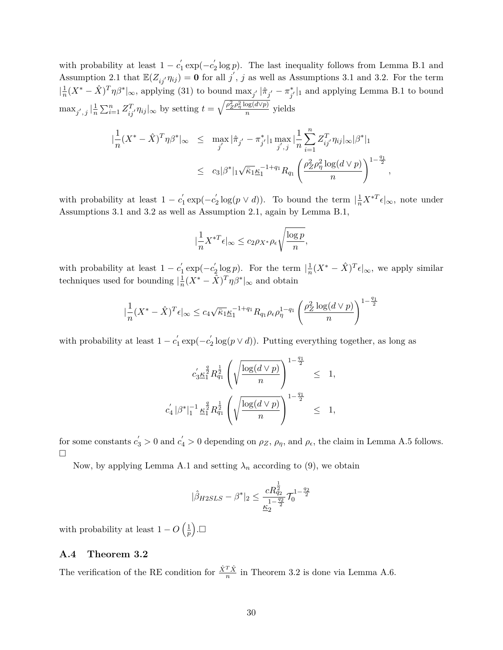with probability at least  $1 - c'_1$  $\binom{1}{1} \exp(-c_2')$  $\int_2 \log p$ ). The last inequality follows from Lemma B.1 and Assumption 2.1 that  $\mathbb{E}(Z_{ij'}\eta_{ij}) = \mathbf{0}$  for all *j'*, *j* as well as Assumptions 3.1 and 3.2. For the term  $\frac{1}{n}$  $\frac{1}{n}(X^* - \hat{X})^T \eta \beta^*|_{\infty}$ , applying (31) to bound  $\max_{j'} |\hat{\pi}_{j'} - \pi_{j'}^*|_1$  and applying Lemma B.1 to bound  $\max_{j',j} |\frac{1}{n}$  $\frac{1}{n}\sum_{i=1}^{n} Z_{ij}^T \eta_{ij} |_{\infty}$  by setting  $t = \sqrt{\frac{\rho_Z^2 \rho_{\eta}^2 \log(d \vee p)}{n}}$  yields

$$
\begin{array}{lcl} |\frac{1}{n}(X^* - \hat{X})^T\eta \beta^*|_\infty & \leq & \max_{j'} |\hat{\pi}_{j'} - \pi_{j'}^*|_1 \max_{j',j} |\frac{1}{n} \sum_{i=1}^n Z_{ij'}^T \eta_{ij}|_\infty |\beta^*|_1 \\ \\ & \leq & c_3 |\beta^*|_1 \sqrt{\bar{\kappa}_1} \underline{\kappa}_1^{-1+q_1} R_{q_1} \left( \frac{\rho_Z^2 \rho_\eta^2 \log (d\vee p)}{n} \right)^{1-\frac{q_1}{2}}, \end{array}
$$

with probability at least  $1 - c'_1$  $y'_1 \exp(-c'_2)$  $\int_{2}^{'} \log(p \vee d)$ . To bound the term  $\left| \frac{1}{n} X^{*T} \epsilon \right|_{\infty}$ , note under Assumptions 3.1 and 3.2 as well as Assumption 2.1, again by Lemma B.1,

$$
|\frac{1}{n}X^{*T}\epsilon|_\infty\leq c_2\rho_{X^*}\rho_\epsilon\sqrt{\frac{\log p}{n}},
$$

with probability at least  $1 - c'_1$ 1 exp(−*c* ′  $\frac{1}{2} \log p$ . For the term  $\left| \frac{1}{n} \right|$  $\frac{1}{n}(X^* - \hat{X})^T \epsilon |_{\infty}$ , we apply similar techniques used for bounding  $\left|\frac{1}{n}\right|$  $\frac{1}{n}(X^* - \hat{X})^T \eta \beta^*$  |<sub>∞</sub> and obtain

$$
|\frac{1}{n}(X^*-\hat{X})^T\epsilon|_\infty\leq c_4\sqrt{\bar{\kappa}_1}\underline{\kappa}_1^{-1+q_1}R_{q_1}\rho_\epsilon\rho_\eta^{1-q_1}\left(\frac{\rho_Z^2\log(d\vee p)}{n}\right)^{1-\frac{q_1}{2}}
$$

with probability at least  $1 - c'_1$  $y'_1 \exp(-c'_2)$  $\int_2 \log(p \vee d)$ . Putting everything together, as long as

$$
\begin{array}{rcl} &c'_3 \underline{\kappa}_1^{\frac{q}{2}} R_{q_1}^{\frac{1}{2}} \left(\sqrt{\frac{\log(d \vee p)}{n}}\right)^{1-\frac{q_1}{2}} &\leq& 1,\\ &c'_4 \, |\beta^*|_1^{-1} \, \underline{\kappa}_1^{\frac{q}{2}} R_{q_1}^{\frac{1}{2}} \left(\sqrt{\frac{\log(d \vee p)}{n}}\right)^{1-\frac{q_1}{2}} &\leq& 1,\end{array}
$$

for some constants  $c'_3 > 0$  and  $c'_4 > 0$  depending on  $\rho_Z$ ,  $\rho_\eta$ , and  $\rho_\epsilon$ , the claim in Lemma A.5 follows.  $\Box$ 

Now, by applying Lemma A.1 and setting  $\lambda_n$  according to (9), we obtain

$$
|\hat{\beta}_{H2SLS}-\beta^*|_2\leq \frac{cR_{q_2}^{\frac{1}{2}}}{\frac{1}{2}^{\frac{q_2}{2}}7_0^{1-\frac{q_2}{2}}}
$$

with probability at least  $1 - O\left(\frac{1}{p}\right)$ *p*  $\Box$ 

#### **A.4 Theorem 3.2**

The verification of the RE condition for  $\frac{\hat{X}^T \hat{X}}{n}$  in Theorem 3.2 is done via Lemma A.6.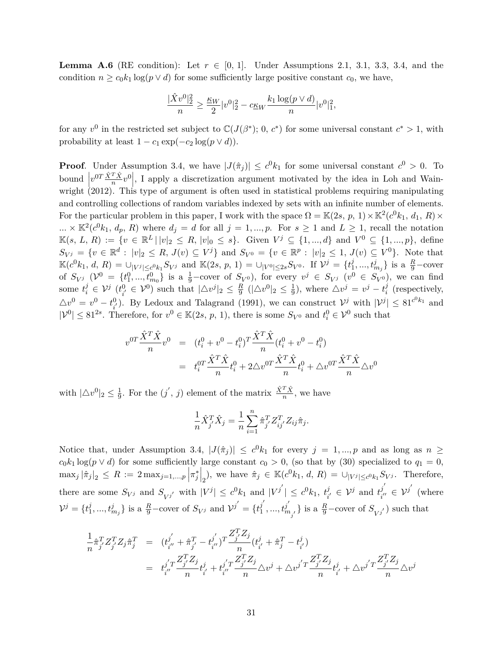**Lemma A.6** (RE condition): Let  $r \in [0, 1]$ . Under Assumptions 2.1, 3.1, 3.3, 3.4, and the condition  $n \ge c_0 k_1 \log(p \vee d)$  for some sufficiently large positive constant  $c_0$ , we have,

$$
\frac{|\hat{X}v^{0}|_{2}^{2}}{n} \ge \frac{\underline{\kappa}_{W}}{2}|v^{0}|_{2}^{2} - c\underline{\kappa}_{W}\frac{k_{1}\log(p\vee d)}{n}|v^{0}|_{1}^{2},
$$

for any  $v^0$  in the restricted set subject to  $\mathbb{C}(J(\beta^*); 0, c^*)$  for some universal constant  $c^* > 1$ , with probability at least  $1 - c_1 \exp(-c_2 \log(p \vee d)).$ 

**Proof.** Under Assumption 3.4, we have  $|J(\hat{\pi}_j)| \leq c^0 k_1$  for some universal constant  $c^0 > 0$ . To bound  $\left| v^{0T} \frac{\hat{X}^T \hat{X}}{n} v^0 \right|$ , I apply a discretization argument motivated by the idea in Loh and Wainwright (2012). This type of argument is often used in statistical problems requiring manipulating and controlling collections of random variables indexed by sets with an infinite number of elements. For the particular problem in this paper, I work with the space  $\Omega = \mathbb{K}(2s, p, 1) \times \mathbb{K}^2(c^0 k_1, d_1, R) \times$  $\ldots \times \mathbb{K}^2(c^0 k_1, d_p, R)$  where  $d_j = d$  for all  $j = 1, \ldots, p$ . For  $s \ge 1$  and  $L \ge 1$ , recall the notation  $\mathbb{K}(s, L, R) := \{ v \in \mathbb{R}^L \mid |v|_2 \le R, |v|_0 \le s \}.$  Given  $V^j \subseteq \{1, ..., d\}$  and  $V^0 \subseteq \{1, ..., p\},\$  $S_{V^{j}} = \{v \in \mathbb{R}^{d} : |v|_{2} \leq R, J(v) \subseteq V^{j}\}\$ and  $S_{V^{0}} = \{v \in \mathbb{R}^{p} : |v|_{2} \leq 1, J(v) \subseteq V^{0}\}\$ . Note that  $\mathbb{K}(c^0 k_1, d, R) = \bigcup_{|V^j| \le c^0 k_1} S_{V^j}$  and  $\mathbb{K}(2s, p, 1) = \bigcup_{|V^0| \le 2s} S_{V^0}$ . If  $\mathcal{V}^j = \{t_1^j\}$  $\{i_1^j, ..., t^j_{m_j}\}$  is a  $\frac{R}{9}$ -cover of  $S_{V^j}$  ( $V^0 = \{t^0_1, ..., t^0_{m_0}\}$  is a  $\frac{1}{9}$ -cover of  $S_{V^0}$ ), for every  $v^j \in S_{V^j}$  ( $v^0 \in S_{V^0}$ ), we can find some  $t_i^j \in \mathcal{V}^j$  ( $t_{i'}^0$  $v_i^0 \in \mathcal{V}^0$ ) such that  $|\triangle v^j|_2 \leq \frac{R}{9}$  $\frac{R}{9}$  ( $|\triangle v^0|_2 \leq \frac{1}{9}$  $\frac{1}{9}$ , where  $\triangle v^j = v^j - t^j_i$  $\iota$ <sup>2</sup> (respectively,  $\Delta v^0 = v^0 - t_{i'}^0$ . By Ledoux and Talagrand (1991), we can construct  $\mathcal{V}^j$  with  $|\mathcal{V}^j| \leq 81^{c^0 k_1}$  and  $|\mathcal{V}^0| \leq 81^{2s}$ . Therefore, for  $v^0 \in \mathbb{K}(2s, p, 1)$ , there is some  $S_{V^0}$  and  $t_i^0 \in \mathcal{V}^0$  such that

$$
v^{0T} \frac{\hat{X}^T \hat{X}}{n} v^0 = (t_i^0 + v^0 - t_i^0)^T \frac{\hat{X}^T \hat{X}}{n} (t_i^0 + v^0 - t_i^0)
$$
  
= 
$$
t_i^{0T} \frac{\hat{X}^T \hat{X}}{n} t_i^0 + 2 \triangle v^{0T} \frac{\hat{X}^T \hat{X}}{n} t_i^0 + \triangle v^{0T} \frac{\hat{X}^T \hat{X}}{n} \triangle v^0
$$

with  $|\triangle v^0|_2 \leq \frac{1}{9}$  $\frac{1}{9}$ . For the  $(j', j)$  element of the matrix  $\frac{\hat{X}^T \hat{X}}{n}$ , we have

$$
\frac{1}{n}\hat{X}_j^T\hat{X}_j = \frac{1}{n}\sum_{i=1}^n \hat{\pi}_{j'}^T Z_{ij'}^T Z_{ij}\hat{\pi}_j.
$$

Notice that, under Assumption 3.4,  $|J(\hat{\pi}_j)| \leq c^0 k_1$  for every  $j = 1, ..., p$  and as long as  $n \geq$  $c_0k_1 \log(p \vee d)$  for some sufficiently large constant  $c_0 > 0$ , (so that by (30) specialized to  $q_1 = 0$ ,  $\max_j |\hat{\pi}_j|_2 \leq R := 2 \max_{j=1,...,p} |\pi_j^*|$  $\binom{1}{2}$ , we have  $\hat{\pi}_j \in \mathbb{K}(c^0 k_1, d, R) = \bigcup_{|V^j| \le c^0 k_1} S_{V^j}$ . Therefore, there are some  $S_{V^j}$  and  $S_{V^{j'}}$  with  $|V^j| \le c^0 k_1$  and  $|V^{j'}| \le c^0 k_1$ ,  $t_i^j$  $\mathbf{y}_i^j \in \mathcal{V}^j$  and  $t_{i'}^{j'}$  $j'_{i''}\in\mathcal{V}^{j'}$  (where  $\mathcal{V}^j = \{t^j_1$  $\{f_1^j, ..., f_{m_j}^j\}$  is a  $\frac{R}{9}$ -cover of  $S_{V^j}$  and  $V^{j'} = \{f_1^{j'}\}$  $j^{'}_1,...,t^{j'}_m$  $\{m_j \choose m_{j'}\}$  is a  $\frac{R}{9}$ -cover of  $S_{Vj'}$ ) such that

$$
\frac{1}{n}\hat{\pi}_{j}^{T}Z_{j}^{T}Z_{j}\hat{\pi}_{j}^{T} = (t_{i''}^{j'} + \hat{\pi}_{j'}^{T} - t_{i''}^{j'})^{T}\frac{Z_{j'}^{T}Z_{j}}{n}(t_{i'}^{j} + \hat{\pi}_{j}^{T} - t_{i'}^{j})
$$
\n
$$
= t_{i''}^{j'T}\frac{Z_{j'}^{T}Z_{j}}{n}t_{i'}^{j} + t_{i''}^{j'T}\frac{Z_{j'}^{T}Z_{j}}{n}\Delta v^{j} + \Delta v^{j'T}\frac{Z_{j'}^{T}Z_{j}}{n}t_{i'}^{j} + \Delta v^{j'T}\frac{Z_{j'}^{T}Z_{j}}{n}\Delta v^{j}
$$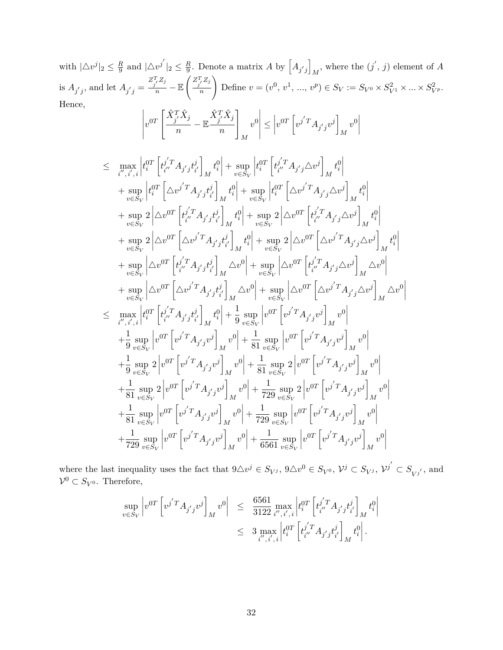with  $|\triangle v^j|_2 \leq \frac{R}{9}$  $\frac{R}{9}$  and  $|\triangle v^{j'}$  $|_2 \leq \frac{R}{9}$  $\frac{R}{9}$ . Denote a matrix *A* by  $\left[A_{j'j}\right]$ , where the  $(j', j)$  element of *A M* is  $A_{j'j}$ , and let  $A_{j'j}$  =  $\frac{Z_j^T Z_j}{n}$  − E  $\left( \begin{array}{c} Z_j^T Z_j \end{array} \right)$ *n* ! Define  $v = (v^0, v^1, ..., v^p) \in S_V := S_{V^0} \times S_{V^1}^2 \times ... \times S_{V^p}^2$ . Hence,  $\overline{\phantom{a}}$ 

$$
\left| v^{0T} \left[ \frac{\hat{X}_j^T \hat{X}_j}{n} - \mathbb{E} \frac{\hat{X}_j^T \hat{X}_j}{n} \right]_M v^0 \right| \leq \left| v^{0T} \left[ v^{j'T} A_{j'j} v^j \right]_M v^0 \right|
$$

$$
\leq \max_{i'',i',i} \left| t_i^{0T} \left[ t_{i''}^{j'T} A_{j'j} t_{i'}^{j'} \right]_{M} t_i^0 \right| + \sup_{v \in S_V} \left| t_i^{0T} \left[ t_{i''}^{j'T} A_{j'j} \triangle v^j \right]_{M} t_i^0 \right|
$$
\n
$$
+ \sup_{v \in S_V} \left| t_i^{0T} \left[ \triangle v^{j'T} A_{j'j} t_{i'}^{j} \right]_{M} t_i^0 \right| + \sup_{v \in S_V} \left| t_i^{0T} \left[ \triangle v^{j'T} A_{j'j} \triangle v^j \right]_{M} t_i^0 \right|
$$
\n
$$
+ \sup_{v \in S_V} 2 \left| \triangle v^{0T} \left[ t_{i''}^{j'T} A_{j'j} t_{i'}^{j} \right]_{M} t_i^0 \right| + \sup_{v \in S_V} 2 \left| \triangle v^{0T} \left[ t_{i''}^{j'T} A_{j'j} \triangle v^j \right]_{M} t_i^0 \right|
$$
\n
$$
+ \sup_{v \in S_V} 2 \left| \triangle v^{0T} \left[ \triangle v^{j'T} A_{j'j} t_{i'}^{j} \right]_{M} t_i^0 \right| + \sup_{v \in S_V} 2 \left| \triangle v^{0T} \left[ \triangle v^{j'T} A_{j'j} \triangle v^j \right]_{M} t_i^0 \right|
$$
\n
$$
+ \sup_{v \in S_V} \left| \triangle v^{0T} \left[ t_{i''}^{j'T} A_{j'j} t_{i'}^{j} \right]_{M} \triangle v^{0} \right| + \sup_{v \in S_V} \left| \triangle v^{0T} \left[ t_{i''}^{j'T} A_{j'j} \triangle v^j \right]_{M} \triangle v^{0} \right|
$$
\n
$$
+ \sup_{v \in S_V} \left| \triangle v^{0T} \left[ t_{i''}^{j'T} A_{j'j} t_{i'}^{j} \right]_{M} \triangle v^{0} \right| + \sup_{v \in S_V} \left| \triangle v^{0T} \left[ t_{i''}^{j'T} A_{j'j} \triangle v^j \right]_{M} \triangle v^{0} \right|
$$
\n
$$
+ \sup_{v \in S_V}
$$

where the last inequality uses the fact that  $9\triangle v^j \in S_{V^j}$ ,  $9\triangle v^0 \in S_{V^0}$ ,  $\mathcal{V}^j \subset S_{V^j}$ ,  $\mathcal{V}^{j'} \subset S_{V^{j'}}$ , and  $\mathcal{V}^0 \subset S_{V^0}$ . Therefore,

$$
\begin{array}{rcl} \sup_{v \in S_V} \left| v^{0 T} \left[ v^{j^{\prime} T} A_{j^{\prime} j} v^j \right]_{M} v^{0} \right| & \leq & \displaystyle \frac{6561}{3122} \max_{i^{\prime \prime},i^{\prime},i} \left| t^{0 T}_{i} \left[ t^{j^{\prime} T}_{i^{\prime \prime}} A_{j^{\prime} j} t^{j}_{i^{\prime}} \right]_{M} t^{0}_{i} \right| \\ & \leq & 3 \max_{i^{\prime \prime},i^{\prime},i} \left| t^{0 T}_{i} \left[ t^{j^{\prime} T}_{i^{\prime \prime}} A_{j^{\prime} j} t^{j}_{i^{\prime}} \right]_{M} t^{0}_{i} \right|. \end{array}
$$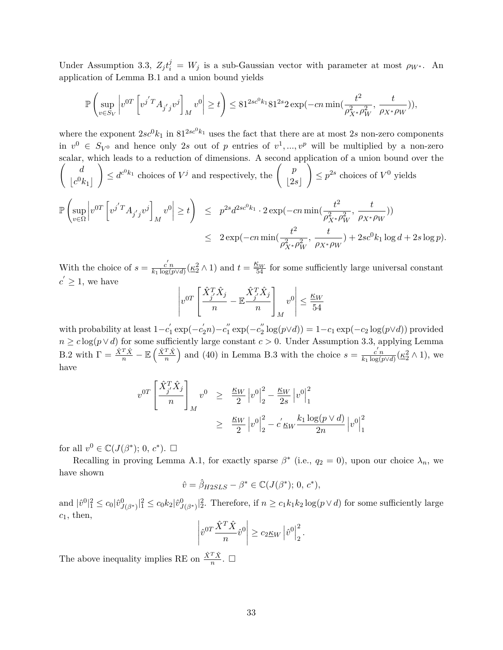Under Assumption 3.3,  $Z_j t_i^j = W_j$  is a sub-Gaussian vector with parameter at most  $\rho_{W^*}$ . An application of Lemma B.1 and a union bound yields

$$
\mathbb{P}\left(\sup_{v\in S_V}\left|v^{0T}\left[v^{j^\prime T}A_{j^\prime j}v^j\right]_{M}v^0\right|\geq t\right)\leq 81^{2sc^0k_1}81^{2s}2\exp(-cn\min(\frac{t^2}{\rho_{X^*}^2\rho_W^2},\frac{t}{\rho_{X^*}\rho_W})),
$$

where the exponent  $2sc^0k_1$  in  $81^{2sc^0k_1}$  uses the fact that there are at most 2*s* non-zero components in  $v^0 \in S_{V^0}$  and hence only 2*s* out of *p* entries of  $v^1, ..., v^p$  will be multiplied by a non-zero scalar, which leads to a reduction of dimensions. A second application of a union bound over the *d*  $\lfloor c^0 k_1 \rfloor$ !  $\leq d^{c^0 k_1}$  choices of  $V^j$  and respectively, the  $\begin{pmatrix} p \\ p \end{pmatrix}$  $\lfloor 2s \rfloor$  $\setminus$  $\leq p^{2s}$  choices of  $V^0$  yields

$$
\mathbb{P}\left(\sup_{v\in\Omega}\left|v^{0T}\left[v^{j'T}A_{j'j}v^j\right]_{M}v^0\right|\geq t\right) \leq p^{2s}d^{2sc^0k_1}\cdot 2\exp(-cn\min(\frac{t^2}{\rho_{X^*}^2\rho_W^2},\frac{t}{\rho_{X^*}\rho_W}))\right) \leq 2\exp(-cn\min(\frac{t^2}{\rho_{X^*}^2\rho_W^2},\frac{t}{\rho_{X^*}\rho_W})+2sc^0k_1\log d+2s\log p).
$$

With the choice of  $s = \frac{c'n}{k_1 \log(r)}$  $\frac{c'n}{k_1 \log(p \vee d)}$  ( $\underline{\kappa}_2^2 \wedge 1$ ) and  $t = \frac{\kappa_W}{54}$  for some sufficiently large universal constant  $c' \geq 1$ , we have

$$
\left| v^{0T} \left[ \frac{\hat{X}_j^T \hat{X}_j}{n} - \mathbb{E} \frac{\hat{X}_j^T \hat{X}_j}{n} \right]_M v^0 \right| \le \frac{\kappa_W}{54}
$$

with probability at least 1−*c* ′  $\frac{1}{1} \exp(-c_2' n) - c_1''$  $\binom{n}{1} \exp(-c_2'')$  $\sum_{2}^{\prime\prime} \log(p \vee d)$ ) = 1−*c*<sub>1</sub> exp(-*c*<sub>2</sub> log( $p \vee d$ )) provided *n* ≥ *c* log(*p*∨*d*) for some sufficiently large constant *c >* 0. Under Assumption 3.3, applying Lemma B.2 with  $\Gamma = \frac{\hat{X}^T \hat{X}}{n} - \mathbb{E}\left(\frac{\hat{X}^T \hat{X}}{n}\right)$ *n* ) and (40) in Lemma B.3 with the choice  $s = \frac{c'n}{k_1 \log(r)}$  $\frac{c}{k_1 \log(p \vee d)} \left(\frac{\kappa_2^2}{2} \wedge 1\right)$ , we have

$$
v^{0T} \left[ \frac{\hat{X}_j^T \hat{X}_j}{n} \right]_M v^0 \ge \frac{\underline{\kappa}_W}{2} \left| v^0 \right|_2^2 - \frac{\underline{\kappa}_W}{2s} \left| v^0 \right|_1^2
$$
  

$$
\ge \frac{\underline{\kappa}_W}{2} \left| v^0 \right|_2^2 - c' \underline{\kappa}_W \frac{k_1 \log(p \vee d)}{2n} \left| v^0 \right|_1^2
$$

for all  $v^0 \in \mathbb{C}(J(\beta^*); 0, c^*)$ .  $\square$ 

Recalling in proving Lemma A.1, for exactly sparse  $\beta^*$  (i.e.,  $q_2 = 0$ ), upon our choice  $\lambda_n$ , we have shown

$$
\hat{v} = \hat{\beta}_{H2SLS} - \beta^* \in \mathbb{C}(J(\beta^*); 0, c^*),
$$

and  $|\hat{v}^0|_1^2 \leq c_0 |\hat{v}_{J(\beta^*)}^0|_1^2 \leq c_0 k_2 |\hat{v}_{J(\beta^*)}^0|_2^2$ . Therefore, if  $n \geq c_1 k_1 k_2 \log(p \vee d)$  for some sufficiently large  $c_1$ , then,

$$
\left|\hat{v}^{0T}\frac{\hat{X}^T\hat{X}}{n}\hat{v}^0\right| \geq c_2 \underline{\kappa}_W \left|\hat{v}^0\right|_2^2.
$$

The above inequality implies RE on  $\frac{\hat{X}^T \hat{X}}{n}$ .  $\Box$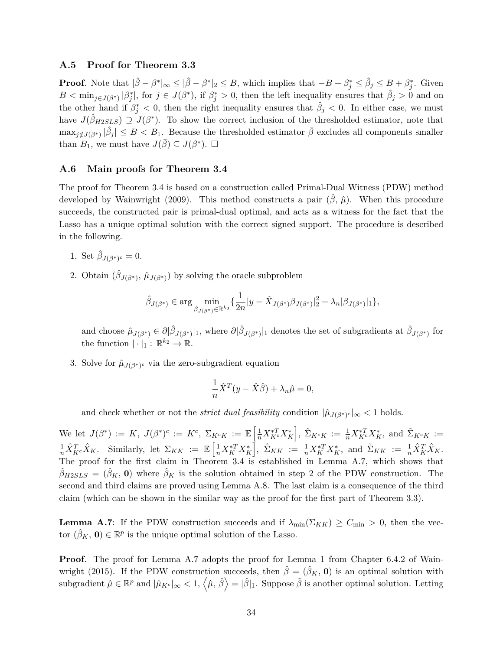#### **A.5 Proof for Theorem 3.3**

**Proof**. Note that  $|\hat{\beta} - \beta^*|_{\infty} \leq |\hat{\beta} - \beta^*|_2 \leq B$ , which implies that  $-B + \beta_j^* \leq \hat{\beta}_j \leq B + \beta_j^*$ . Given  $B < \min_{j \in J(\beta^*)} |\beta_j^*|$ , for  $j \in J(\beta^*)$ , if  $\beta_j^* > 0$ , then the left inequality ensures that  $\hat{\beta}_j > 0$  and on the other hand if  $\beta_j^* < 0$ , then the right inequality ensures that  $\hat{\beta}_j < 0$ . In either case, we must have  $J(\hat{\beta}_{H2SLS}) \supseteq J(\beta^*)$ . To show the correct inclusion of the thresholded estimator, note that  $\max_{j \notin J(\beta^*)} |\hat{\beta}_j| \leq B < B_1$ . Because the thresholded estimator  $\bar{\beta}$  excludes all components smaller than  $B_1$ , we must have  $J(\bar{\beta}) \subseteq J(\beta^*)$ .  $\Box$ 

#### **A.6 Main proofs for Theorem 3.4**

The proof for Theorem 3.4 is based on a construction called Primal-Dual Witness (PDW) method developed by Wainwright (2009). This method constructs a pair  $(\hat{\beta}, \hat{\mu})$ . When this procedure succeeds, the constructed pair is primal-dual optimal, and acts as a witness for the fact that the Lasso has a unique optimal solution with the correct signed support. The procedure is described in the following.

- 1. Set  $\hat{\beta}_{J(\beta^*)^c} = 0$ .
- 2. Obtain  $(\hat{\beta}_{J(\beta^*)}, \hat{\mu}_{J(\beta^*)})$  by solving the oracle subproblem

$$
\hat{\beta}_{J(\beta^*)} \in \arg\min_{\beta_{J(\beta^*)} \in \mathbb{R}^{k_2}} \{ \frac{1}{2n} |y - \hat{X}_{J(\beta^*)} \beta_{J(\beta^*)} |^2_2 + \lambda_n |\beta_{J(\beta^*)}|_1 \},
$$

and choose  $\hat{\mu}_{J(\beta^*)} \in \partial |\hat{\beta}_{J(\beta^*)}|_1$ , where  $\partial |\hat{\beta}_{J(\beta^*)}|_1$  denotes the set of subgradients at  $\hat{\beta}_{J(\beta^*)}$  for the function  $|\cdot|_1 : \mathbb{R}^{k_2} \to \mathbb{R}$ .

3. Solve for  $\hat{\mu}_{J(\beta^*)^c}$  via the zero-subgradient equation

$$
\frac{1}{n}\hat{X}^T(y - \hat{X}\hat{\beta}) + \lambda_n \hat{\mu} = 0,
$$

and check whether or not the *strict dual feasibility* condition  $|\hat{\mu}_{J(\beta^*)^c}|_{\infty} < 1$  holds.

 $W$ e let  $J(\beta^*) := K$ ,  $J(\beta^*)^c := K^c$ ,  $\Sigma_{K^cK} := \mathbb{E} \left[ \frac{1}{n} X_{K^c}^{*T} X_K^* \right]$  $\Big], \ \hat{\Sigma}_{K^cK} := \frac{1}{n} X_{K^c}^{*T} X_K^*$ , and  $\tilde{\Sigma}_{K^cK} :=$  $\frac{1}{n}\hat{X}_{K}^T \hat{X}_K$ . Similarly, let  $\Sigma_{KK} := \mathbb{E} \left[ \frac{1}{n} X_K^{*T} X_K^* \right]$  $\left[\begin{array}{ccc} \cdot & \hat{\Sigma}_{KK} : = & \frac{1}{n} X_K^{*T} X_K^* , \text{ and } \tilde{\Sigma}_{KK} : = & \frac{1}{n} \hat{X}_K^T \hat{X}_K . \end{array}\right]$ The proof for the first claim in Theorem 3.4 is established in Lemma A.7, which shows that  $\hat{\beta}_{H2SLS} = (\hat{\beta}_K, \mathbf{0})$  where  $\hat{\beta}_K$  is the solution obtained in step 2 of the PDW construction. The second and third claims are proved using Lemma A.8. The last claim is a consequence of the third claim (which can be shown in the similar way as the proof for the first part of Theorem 3.3).

**Lemma A.7**: If the PDW construction succeeds and if  $\lambda_{\min}(\Sigma_{KK}) \geq C_{\min} > 0$ , then the vector  $(\hat{\beta}_K, \mathbf{0}) \in \mathbb{R}^p$  is the unique optimal solution of the Lasso.

**Proof.** The proof for Lemma A.7 adopts the proof for Lemma 1 from Chapter 6.4.2 of Wainwright (2015). If the PDW construction succeeds, then  $\hat{\beta} = (\hat{\beta}_K, 0)$  is an optimal solution with  $\text{subgradient } \hat{\mu} \in \mathbb{R}^p \text{ and } |\hat{\mu}_{K^c}|_{\infty} < 1, \langle \hat{\mu}, \hat{\beta} \rangle = |\hat{\beta}|_1. \text{ Suppose } \tilde{\beta} \text{ is another optimal solution. Letting } \hat{\mu} \in \mathbb{R}^p \text{ and } |\hat{\mu}_{K^c}|_{\infty} < 1.$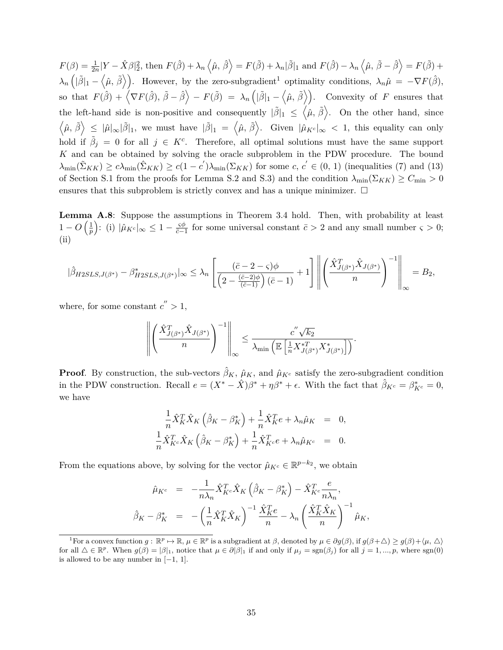$F(\beta) = \frac{1}{2n}|Y - \hat{X}\beta|_2^2$ , then  $F(\hat{\beta}) + \lambda_n \langle \hat{\mu}, \hat{\beta} \rangle = F(\tilde{\beta}) + \lambda_n |\tilde{\beta}|_1$  and  $F(\hat{\beta}) - \lambda_n \langle \hat{\mu}, \tilde{\beta} - \hat{\beta} \rangle = F(\tilde{\beta}) +$  $\lambda_n\left(|\tilde{\beta}|_1 - \langle \hat{\mu}, \tilde{\beta} \rangle\right)$ . However, by the zero-subgradient<sup>1</sup> optimality conditions,  $\lambda_n \hat{\mu} = -\nabla F(\hat{\beta})$ ,  $\text{F}(\hat{\beta}) + \langle \nabla F(\hat{\beta}), \tilde{\beta} - \hat{\beta} \rangle - F(\tilde{\beta}) = \lambda_n \left( |\tilde{\beta}|_1 - \langle \hat{\mu}, \tilde{\beta} \rangle \right)$ . Convexity of *F* ensures that the left-hand side is non-positive and consequently  $|\tilde{\beta}|_1 \leq \langle \hat{\mu}, \tilde{\beta} \rangle$ . On the other hand, since  $\langle \hat{\mu}, \tilde{\beta} \rangle \leq |\hat{\mu}|_{\infty} |\tilde{\beta}|_{1}$ , we must have  $|\tilde{\beta}|_{1} = \langle \hat{\mu}, \tilde{\beta} \rangle$ . Given  $|\hat{\mu}_{K^{c}}|_{\infty} < 1$ , this equality can only hold if  $\tilde{\beta}_j = 0$  for all  $j \in K^c$ . Therefore, all optimal solutions must have the same support *K* and can be obtained by solving the oracle subproblem in the PDW procedure. The bound  $\lambda_{\min}(\tilde{\Sigma}_{KK}) \ge c\lambda_{\min}(\hat{\Sigma}_{KK}) \ge c(1-c')\lambda_{\min}(\Sigma_{KK})$  for some  $c, c' \in (0, 1)$  (inequalities (7) and (13) of Section S.1 from the proofs for Lemma S.2 and S.3) and the condition  $\lambda_{\min}(\Sigma_{KK}) \geq C_{\min} > 0$ ensures that this subproblem is strictly convex and has a unique minimizer.  $\Box$ 

**Lemma A.8**: Suppose the assumptions in Theorem 3.4 hold. Then, with probability at least  $1 - O\left(\frac{1}{p}\right)$ *p*  $\int$ : (i) | $\hat{\mu}_{K^c}|_{∞} \leq 1 - \frac{\varsigma \phi}{\overline{c} - 1}$  $\frac{\varsigma \varphi}{\overline{c}-1}$  for some universal constant  $\overline{c} > 2$  and any small number  $\varsigma > 0$ ; (ii)

$$
|\hat{\beta}_{H2SLS,J(\beta^*)}-\beta^*_{H2SLS,J(\beta^*)}|_{\infty}\leq \lambda_n\left[\frac{(\bar{c}-2-\varsigma)\phi}{\left(2-\frac{(\bar{c}-2)\phi}{(\bar{c}-1)}\right)(\bar{c}-1)}+1\right]\left\|\left(\frac{\hat{X}_{J(\beta^*)}^T\hat{X}_{J(\beta^*)}}{n}\right)^{-1}\right\|_{\infty}=B_2,
$$

where, for some constant  $c'' > 1$ ,

$$
\left\| \left( \frac{\hat{X}_{J(\beta^*)}^T \hat{X}_{J(\beta^*)}}{n} \right)^{-1} \right\|_{\infty} \le \frac{c'' \sqrt{k_2}}{\lambda_{\min} \left( \mathbb{E} \left[ \frac{1}{n} X_{J(\beta^*)}^{*T} X_{J(\beta^*)}^* \right] \right)}.
$$

**Proof**. By construction, the sub-vectors  $\hat{\beta}_K$ ,  $\hat{\mu}_K$ , and  $\hat{\mu}_{K^c}$  satisfy the zero-subgradient condition in the PDW construction. Recall  $e = (X^* - \hat{X})\beta^* + \eta\beta^* + \epsilon$ . With the fact that  $\hat{\beta}_{K^c} = \beta^*_{K^c} = 0$ , we have

$$
\frac{1}{n}\hat{X}_K^T\hat{X}_K(\hat{\beta}_K - \beta_K^*) + \frac{1}{n}\hat{X}_K^Te + \lambda_n\hat{\mu}_K = 0,
$$
  

$$
\frac{1}{n}\hat{X}_{K^c}^T\hat{X}_K(\hat{\beta}_K - \beta_K^*) + \frac{1}{n}\hat{X}_{K^c}^Te + \lambda_n\hat{\mu}_{K^c} = 0.
$$

From the equations above, by solving for the vector  $\hat{\mu}_{K^c} \in \mathbb{R}^{p-k_2}$ , we obtain

$$
\hat{\mu}_{K^c} = -\frac{1}{n\lambda_n} \hat{X}_{K^c}^T \hat{X}_K \left( \hat{\beta}_K - \beta_K^* \right) - \hat{X}_{K^c}^T \frac{e}{n\lambda_n},
$$
\n
$$
\hat{\beta}_K - \beta_K^* = -\left( \frac{1}{n} \hat{X}_K^T \hat{X}_K \right)^{-1} \frac{\hat{X}_K^T e}{n} - \lambda_n \left( \frac{\hat{X}_K^T \hat{X}_K}{n} \right)^{-1} \hat{\mu}_K,
$$

<sup>&</sup>lt;sup>1</sup>For a convex function  $g: \mathbb{R}^p \to \mathbb{R}, \mu \in \mathbb{R}^p$  is a subgradient at  $\beta$ , denoted by  $\mu \in \partial g(\beta)$ , if  $g(\beta + \triangle) \geq g(\beta) + \langle \mu, \Delta \rangle$ for all  $\Delta \in \mathbb{R}^p$ . When  $g(\beta) = |\beta|_1$ , notice that  $\mu \in \partial |\beta|_1$  if and only if  $\mu_j = \text{sgn}(\beta_j)$  for all  $j = 1, ..., p$ , where sgn(0) is allowed to be any number in  $[-1, 1]$ .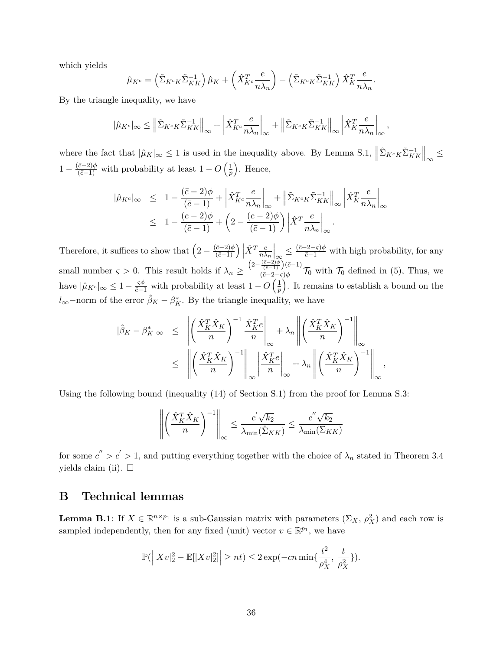which yields

$$
\hat{\mu}_{K^c} = \left(\tilde{\Sigma}_{K^c K} \tilde{\Sigma}_{K K}^{-1}\right) \hat{\mu}_K + \left(\hat{X}_{K^c}^T \frac{e}{n \lambda_n}\right) - \left(\tilde{\Sigma}_{K^c K} \tilde{\Sigma}_{K K}^{-1}\right) \hat{X}_{K}^T \frac{e}{n \lambda_n}.
$$

By the triangle inequality, we have

$$
|\hat{\mu}_{K^c}|_{\infty} \le \left\| \tilde{\Sigma}_{K^c K} \tilde{\Sigma}_{K K}^{-1} \right\|_{\infty} + \left| \hat{X}_{K^c}^T \frac{e}{n \lambda_n} \right|_{\infty} + \left\| \tilde{\Sigma}_{K^c K} \tilde{\Sigma}_{K K}^{-1} \right\|_{\infty} \left| \hat{X}_{K}^T \frac{e}{n \lambda_n} \right|_{\infty},
$$

where the fact that  $|\hat{\mu}_K|_{\infty} \leq 1$  is used in the inequality above. By Lemma S.1,  $\|\tilde{\Sigma}_{K^cK}\tilde{\Sigma}_{KK}^{-1}\|$  $\|$ <sub>∞</sub>  $\leq$ 1 −  $\frac{(\bar{c}-2)\phi}{(\bar{c}-1)}$  with probability at least 1 − *O*  $\left(\frac{1}{p}\right)$ *p* . Hence,

$$
\begin{array}{rcl}\n|\hat{\mu}_{K^c}|_{\infty} & \leq & 1 - \frac{(\bar{c} - 2)\phi}{(\bar{c} - 1)} + \left| \hat{X}_{K^c}^T \frac{e}{n\lambda_n} \right|_{\infty} + \left\| \tilde{\Sigma}_{K^c K} \tilde{\Sigma}_{K K}^{-1} \right\|_{\infty} \left| \hat{X}_{K}^T \frac{e}{n\lambda_n} \right|_{\infty} \\
& \leq & 1 - \frac{(\bar{c} - 2)\phi}{(\bar{c} - 1)} + \left( 2 - \frac{(\bar{c} - 2)\phi}{(\bar{c} - 1)} \right) \left| \hat{X}^T \frac{e}{n\lambda_n} \right|_{\infty}.\n\end{array}
$$

Therefore, it suffices to show that  $\left(2 - \frac{(\bar{c}-2)\phi}{(\bar{c}-1)}\right) \left| \hat{X}^T \frac{e}{n\lambda_n} \right|$  $\Big|_{\infty} \leq \frac{(\bar{c} - 2 - \varsigma)\phi}{\bar{c} - 1}$  with high probability, for any small number  $\varsigma > 0$ . This result holds if  $\lambda_n \geq$  $\left(2-\frac{(\bar{c}-2)\phi}{(\bar{c}-1)}\right)(\bar{c}-1)$  $\frac{(\bar{c}-1)$ ,  $(\bar{c}-2)}{(\bar{c}-2-\bar{c})\phi}$  with  $\mathcal{T}_0$  defined in (5), Thus, we have  $|\hat{\mu}_{K^c}|_{\infty} \leq 1 - \frac{\varsigma \phi}{\overline{c} - 1}$  with probability at least  $1 - O\left(\frac{1}{p}\right)$ *p* . It remains to establish a bound on the *l*<sub>∞</sub>−norm of the error  $\hat{\beta}_K - \beta_K^*$ . By the triangle inequality, we have

$$
\begin{array}{rcl} |\hat{\beta}_K - \beta_K^*|_\infty & \leq & \left\| \left( \frac{\hat{X}_K^T \hat{X}_K}{n} \right)^{-1} \frac{\hat{X}_K^T e}{n} \right\|_\infty + \lambda_n \left\| \left( \frac{\hat{X}_K^T \hat{X}_K}{n} \right)^{-1} \right\|_\infty \\ & \leq & \left\| \left( \frac{\hat{X}_K^T \hat{X}_K}{n} \right)^{-1} \right\|_\infty \left\| \frac{\hat{X}_K^T e}{n} \right\|_\infty + \lambda_n \left\| \left( \frac{\hat{X}_K^T \hat{X}_K}{n} \right)^{-1} \right\|_\infty, \end{array}
$$

Using the following bound (inequality (14) of Section S.1) from the proof for Lemma S.3:

$$
\left\| \left( \frac{\hat{X}_K^T \hat{X}_K}{n} \right)^{-1} \right\|_{\infty} \le \frac{c' \sqrt{k_2}}{\lambda_{\min}(\hat{\Sigma}_{KK})} \le \frac{c'' \sqrt{k_2}}{\lambda_{\min}(\Sigma_{KK})}
$$

for some  $c'' > c' > 1$ , and putting everything together with the choice of  $\lambda_n$  stated in Theorem 3.4 yields claim (ii).  $\square$ 

## **B Technical lemmas**

**Lemma B.1**: If  $X \in \mathbb{R}^{n \times p_1}$  is a sub-Gaussian matrix with parameters  $(\Sigma_X, \rho_X^2)$  and each row is sampled independently, then for any fixed (unit) vector  $v \in \mathbb{R}^{p_1}$ , we have

$$
\mathbb{P}(|Xv|_2^2 - \mathbb{E}[|Xv|_2^2]| \ge nt) \le 2\exp(-cn\min\{\frac{t^2}{\rho_X^4}, \frac{t}{\rho_X^2}\}).
$$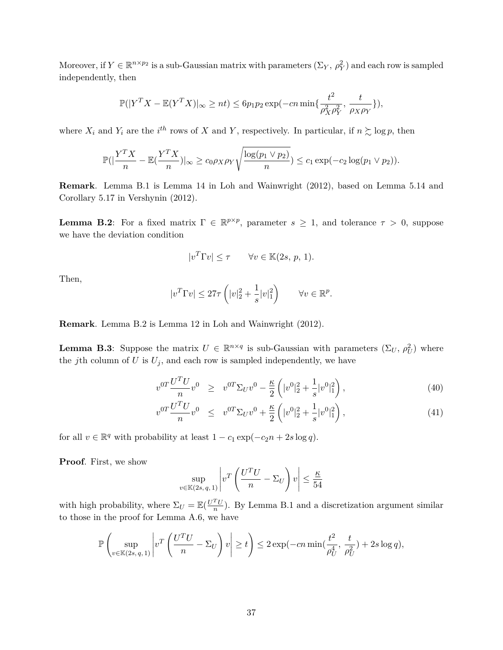Moreover, if  $Y \in \mathbb{R}^{n \times p_2}$  is a sub-Gaussian matrix with parameters  $(\Sigma_Y, \rho_Y^2)$  and each row is sampled independently, then

$$
\mathbb{P}(|Y^TX - \mathbb{E}(Y^TX)|_{\infty} \ge nt) \le 6p_1p_2 \exp(-cn \min\{\frac{t^2}{\rho_X^2 \rho_Y^2}, \frac{t}{\rho_X \rho_Y}\}),
$$

where  $X_i$  and  $Y_i$  are the *i*<sup>th</sup> rows of *X* and *Y*, respectively. In particular, if  $n \succsim \log p$ , then

$$
\mathbb{P}(|\frac{Y^TX}{n}-\mathbb{E}(\frac{Y^TX}{n})|_{\infty}\geq c_0\rho_X\rho_Y\sqrt{\frac{\log(p_1\vee p_2)}{n}})\leq c_1\exp(-c_2\log(p_1\vee p_2)).
$$

**Remark**. Lemma B.1 is Lemma 14 in Loh and Wainwright (2012), based on Lemma 5.14 and Corollary 5.17 in Vershynin (2012).

**Lemma B.2**: For a fixed matrix  $\Gamma \in \mathbb{R}^{p \times p}$ , parameter  $s \geq 1$ , and tolerance  $\tau > 0$ , suppose we have the deviation condition

$$
|v^T \Gamma v| \le \tau \qquad \forall v \in \mathbb{K}(2s, p, 1).
$$

Then,

$$
|v^T \Gamma v| \le 27\tau \left( |v|_2^2 + \frac{1}{s} |v|_1^2 \right) \qquad \forall v \in \mathbb{R}^p.
$$

**Remark**. Lemma B.2 is Lemma 12 in Loh and Wainwright (2012).

**Lemma B.3**: Suppose the matrix  $U \in \mathbb{R}^{n \times q}$  is sub-Gaussian with parameters  $(\Sigma_U, \rho_U^2)$  where the *j*th column of *U* is  $U_j$ , and each row is sampled independently, we have

$$
v^{0T} \frac{U^T U}{n} v^0 \geq v^{0T} \Sigma_U v^0 - \frac{\kappa}{2} \left( |v^0|^2 + \frac{1}{s} |v^0|^2 \right), \tag{40}
$$

$$
v^{0T} \frac{U^T U}{n} v^0 \leq v^{0T} \Sigma_U v^0 + \frac{\kappa}{2} \left( |v^0|^2 + \frac{1}{s} |v^0|^2 \right), \tag{41}
$$

for all  $v \in \mathbb{R}^q$  with probability at least  $1 - c_1 \exp(-c_2 n + 2s \log q)$ .

**Proof**. First, we show

$$
\sup_{v \in \mathbb{K}(2s,q,1)} \left| v^T \left( \frac{U^T U}{n} - \Sigma_U \right) v \right| \le \frac{\underline{\kappa}}{54}
$$

with high probability, where  $\Sigma_U = \mathbb{E}(\frac{U^T U}{n})$  $\frac{1}{n}$ ). By Lemma B.1 and a discretization argument similar to those in the proof for Lemma A.6, we have

$$
\mathbb{P}\left(\sup_{v\in\mathbb{K}(2s,q,1)}\left|v^T\left(\frac{U^TU}{n}-\Sigma_U\right)v\right|\geq t\right)\leq 2\exp(-cn\min(\frac{t^2}{\rho_U^4},\frac{t}{\rho_U^2})+2s\log q),
$$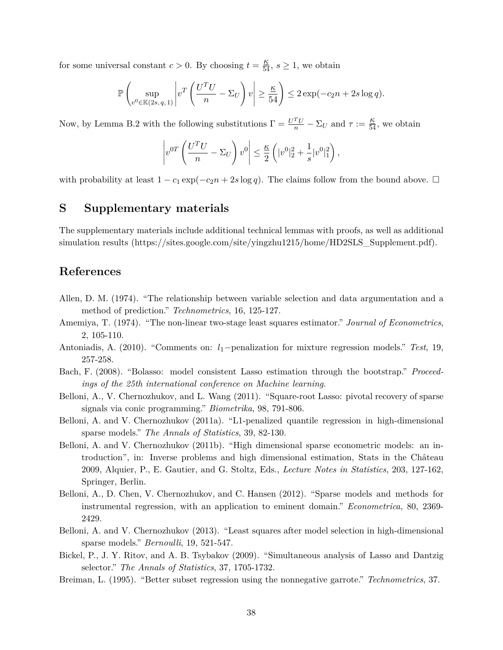for some universal constant  $c > 0$ . By choosing  $t = \frac{\kappa}{54}$ ,  $s \ge 1$ , we obtain

$$
\mathbb{P}\left(\sup_{v^0\in\mathbb{K}(2s,q,1)}\left|v^T\left(\frac{U^TU}{n}-\Sigma_U\right)v\right|\geq \frac{\kappa}{54}\right)\leq 2\exp(-c_2n+2s\log q).
$$

Now, by Lemma B.2 with the following substitutions  $\Gamma = \frac{U^T U}{n} - \Sigma_U$  and  $\tau := \frac{\kappa}{54}$ , we obtain

$$
\left| v^{0T} \left( \frac{U^T U}{n} - \Sigma_U \right) v^0 \right| \le \frac{\kappa}{2} \left( |v^0|_2^2 + \frac{1}{s} |v^0|_1^2 \right),
$$

with probability at least  $1 - c_1 \exp(-c_2 n + 2s \log q)$ . The claims follow from the bound above.  $\Box$ 

## **S Supplementary materials**

The supplementary materials include additional technical lemmas with proofs, as well as additional simulation results (https://sites.google.com/site/yingzhu1215/home/HD2SLS\_Supplement.pdf).

## **References**

- Allen, D. M. (1974). "The relationship between variable selection and data argumentation and a method of prediction." *Technometrics*, 16, 125-127.
- Amemiya, T. (1974). "The non-linear two-stage least squares estimator." *Journal of Econometrics*, 2, 105-110.
- Antoniadis, A. (2010). "Comments on: *l*1−penalization for mixture regression models." *Test*, 19, 257-258.
- Bach, F. (2008). "Bolasso: model consistent Lasso estimation through the bootstrap." *Proceedings of the 25th international conference on Machine learning*.
- Belloni, A., V. Chernozhukov, and L. Wang (2011). "Square-root Lasso: pivotal recovery of sparse signals via conic programming." *Biometrika*, 98, 791-806.
- Belloni, A. and V. Chernozhukov (2011a). "L1-penalized quantile regression in high-dimensional sparse models." *The Annals of Statistics*, 39, 82-130.
- Belloni, A. and V. Chernozhukov (2011b). "High dimensional sparse econometric models: an introduction", in: Inverse problems and high dimensional estimation, Stats in the Château 2009, Alquier, P., E. Gautier, and G. Stoltz, Eds., *Lecture Notes in Statistics*, 203, 127-162, Springer, Berlin.
- Belloni, A., D. Chen, V. Chernozhukov, and C. Hansen (2012). "Sparse models and methods for instrumental regression, with an application to eminent domain." *Econometrica*, 80, 2369- 2429.
- Belloni, A. and V. Chernozhukov (2013). "Least squares after model selection in high-dimensional sparse models." *Bernoulli*, 19, 521-547.
- Bickel, P., J. Y. Ritov, and A. B. Tsybakov (2009). "Simultaneous analysis of Lasso and Dantzig selector." *The Annals of Statistics*, 37, 1705-1732.
- Breiman, L. (1995). "Better subset regression using the nonnegative garrote." *Technometrics*, 37.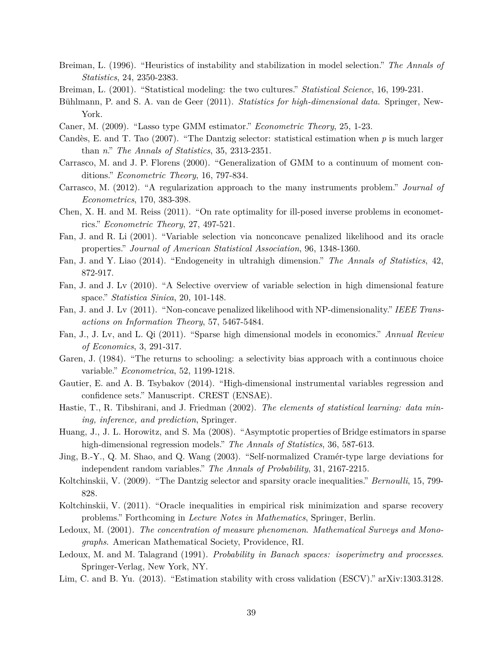- Breiman, L. (1996). "Heuristics of instability and stabilization in model selection." *The Annals of Statistics*, 24, 2350-2383.
- Breiman, L. (2001). "Statistical modeling: the two cultures." *Statistical Science*, 16, 199-231.
- Bühlmann, P. and S. A. van de Geer (2011). *Statistics for high-dimensional data*. Springer, New-York.
- Caner, M. (2009). "Lasso type GMM estimator." *Econometric Theory*, 25, 1-23.
- Candès, E. and T. Tao (2007). "The Dantzig selector: statistical estimation when *p* is much larger than *n*." *The Annals of Statistics*, 35, 2313-2351.
- Carrasco, M. and J. P. Florens (2000). "Generalization of GMM to a continuum of moment conditions." *Econometric Theory*, 16, 797-834.
- Carrasco, M. (2012). "A regularization approach to the many instruments problem." *Journal of Econometrics*, 170, 383-398.
- Chen, X. H. and M. Reiss (2011). "On rate optimality for ill-posed inverse problems in econometrics." *Econometric Theory*, 27, 497-521.
- Fan, J. and R. Li (2001). "Variable selection via nonconcave penalized likelihood and its oracle properties." *Journal of American Statistical Association*, 96, 1348-1360.
- Fan, J. and Y. Liao (2014). "Endogeneity in ultrahigh dimension." *The Annals of Statistics*, 42, 872-917.
- Fan, J. and J. Lv (2010). "A Selective overview of variable selection in high dimensional feature space." *Statistica Sinica*, 20, 101-148.
- Fan, J. and J. Lv (2011). "Non-concave penalized likelihood with NP-dimensionality." *IEEE Transactions on Information Theory*, 57, 5467-5484.
- Fan, J., J. Lv, and L. Qi (2011). "Sparse high dimensional models in economics." *Annual Review of Economics*, 3, 291-317.
- Garen, J. (1984). "The returns to schooling: a selectivity bias approach with a continuous choice variable." *Econometrica*, 52, 1199-1218.
- Gautier, E. and A. B. Tsybakov (2014). "High-dimensional instrumental variables regression and confidence sets." Manuscript. CREST (ENSAE).
- Hastie, T., R. Tibshirani, and J. Friedman (2002). *The elements of statistical learning: data mining, inference, and prediction*, Springer.
- Huang, J., J. L. Horowitz, and S. Ma (2008). "Asymptotic properties of Bridge estimators in sparse high-dimensional regression models." *The Annals of Statistics*, 36, 587-613.
- Jing, B.-Y., Q. M. Shao, and Q. Wang (2003). "Self-normalized Cramér-type large deviations for independent random variables." *The Annals of Probability*, 31, 2167-2215.
- Koltchinskii, V. (2009). "The Dantzig selector and sparsity oracle inequalities." *Bernoulli*, 15, 799- 828.
- Koltchinskii, V. (2011). "Oracle inequalities in empirical risk minimization and sparse recovery problems." Forthcoming in *Lecture Notes in Mathematics*, Springer, Berlin.
- Ledoux, M. (2001). *The concentration of measure phenomenon*. *Mathematical Surveys and Monographs*. American Mathematical Society, Providence, RI.
- Ledoux, M. and M. Talagrand (1991). *Probability in Banach spaces: isoperimetry and processes*. Springer-Verlag, New York, NY.
- Lim, C. and B. Yu. (2013). "Estimation stability with cross validation (ESCV)." arXiv:1303.3128.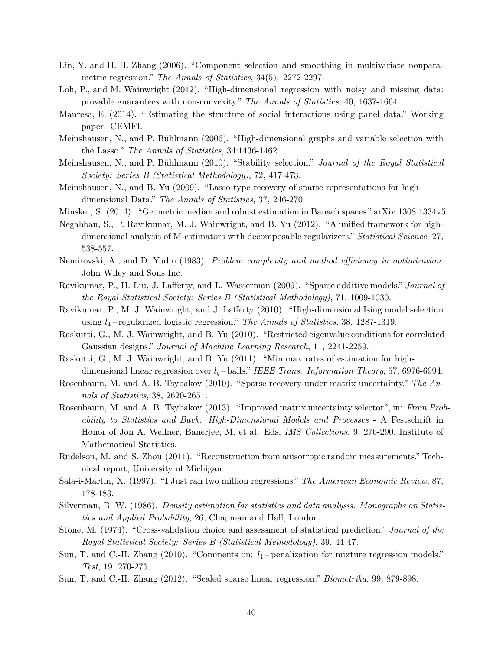- Lin, Y. and H. H. Zhang (2006). "Component selection and smoothing in multivariate nonparametric regression." *The Annals of Statistics*, 34(5): 2272-2297.
- Loh, P., and M. Wainwright (2012). "High-dimensional regression with noisy and missing data: provable guarantees with non-convexity." *The Annals of Statistics*, 40, 1637-1664.
- Manresa, E. (2014). "Estimating the structure of social interactions using panel data." Working paper. CEMFI.
- Meinshausen, N., and P. Bühlmann (2006). "High-dimensional graphs and variable selection with the Lasso." *The Annals of Statistics*, 34:1436-1462.
- Meinshausen, N., and P. Bühlmann (2010). "Stability selection." *Journal of the Royal Statistical Society: Series B (Statistical Methodology)*, 72, 417-473.
- Meinshausen, N., and B. Yu (2009). "Lasso-type recovery of sparse representations for highdimensional Data." *The Annals of Statistics*, 37, 246-270.
- Minsker, S. (2014). "Geometric median and robust estimation in Banach spaces." arXiv:1308.1334v5.
- Negahban, S., P. Ravikumar, M. J. Wainwright, and B. Yu (2012). "A unified framework for highdimensional analysis of M-estimators with decomposable regularizers." *Statistical Science*, 27, 538-557.
- Nemirovski, A., and D. Yudin (1983). *Problem complexity and method efficiency in optimization*. John Wiley and Sons Inc.
- Ravikumar, P., H. Liu, J. Lafferty, and L. Wasserman (2009). "Sparse additive models." *Journal of the Royal Statistical Society: Series B (Statistical Methodology)*, 71, 1009-1030.
- Ravikumar, P., M. J. Wainwright, and J. Lafferty (2010). "High-dimensional Ising model selection using *l*1−regularized logistic regression." *The Annals of Statistics*, 38, 1287-1319.
- Raskutti, G., M. J. Wainwright, and B. Yu (2010). "Restricted eigenvalue conditions for correlated Gaussian designs." *Journal of Machine Learning Research*, 11, 2241-2259.
- Raskutti, G., M. J. Wainwright, and B. Yu (2011). "Minimax rates of estimation for highdimensional linear regression over *lq*−balls." *IEEE Trans. Information Theory*, 57, 6976-6994.
- Rosenbaum, M. and A. B. Tsybakov (2010). "Sparse recovery under matrix uncertainty." *The Annals of Statistics*, 38, 2620-2651.
- Rosenbaum, M. and A. B. Tsybakov (2013). "Improved matrix uncertainty selector", in: *From Probability to Statistics and Back: High-Dimensional Models and Processes* - A Festschrift in Honor of Jon A. Wellner, Banerjee, M. et al. Eds, *IMS Collections*, 9, 276-290, Institute of Mathematical Statistics.
- Rudelson, M. and S. Zhou (2011). "Reconstruction from anisotropic random measurements." Technical report, University of Michigan.
- Sala-i-Martin, X. (1997). "I Just ran two million regressions." *The American Economic Review*, 87, 178-183.
- Silverman, B. W. (1986). *Density estimation for statistics and data analysis*. *Monographs on Statistics and Applied Probability*, 26, Chapman and Hall, London.
- Stone, M. (1974). "Cross-validation choice and assessment of statistical prediction." *Journal of the Royal Statistical Society: Series B (Statistical Methodology)*, 39, 44-47.
- Sun, T. and C.-H. Zhang (2010). "Comments on: *l*1−penalization for mixture regression models." *Test*, 19, 270-275.
- Sun, T. and C.-H. Zhang (2012). "Scaled sparse linear regression." *Biometrika*, 99, 879-898.